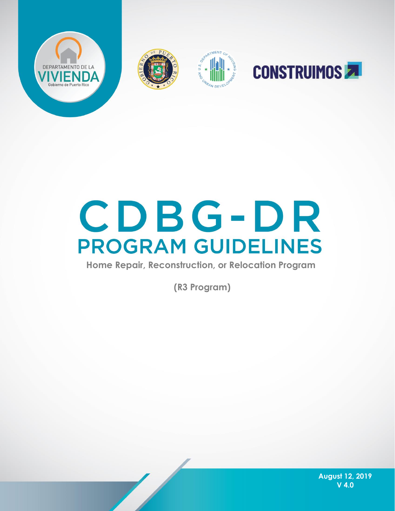







# CDBG-DR **PROGRAM GUIDELINES**

**Home Repair, Reconstruction, or Relocation Program**

**(R3 Program)**

**August 12, 2019 V 4.0**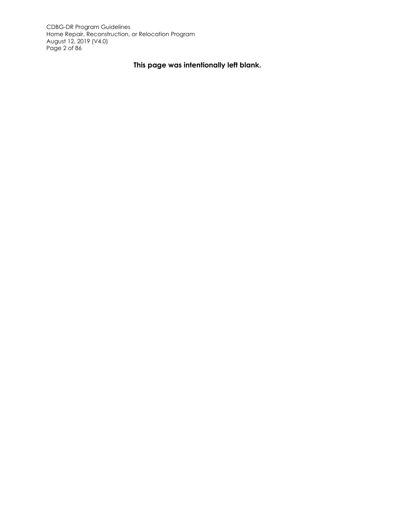CDBG-DR Program Guidelines Home Repair, Reconstruction, or Relocation Program August 12, 2019 (V4.0) Page 2 of 86

# **This page was intentionally left blank.**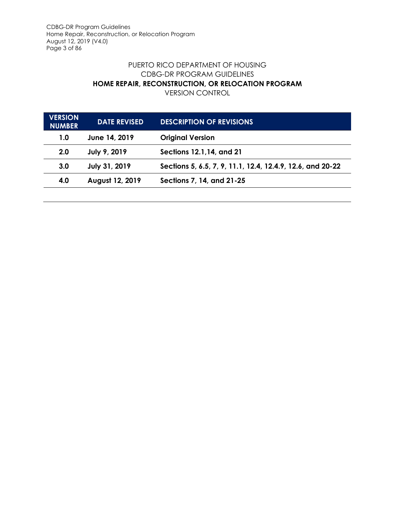CDBG-DR Program Guidelines Home Repair, Reconstruction, or Relocation Program August 12, 2019 (V4.0) Page 3 of 86

# PUERTO RICO DEPARTMENT OF HOUSING CDBG-DR PROGRAM GUIDELINES

## **HOME REPAIR, RECONSTRUCTION, OR RELOCATION PROGRAM**

VERSION CONTROL

| <b>DATE REVISED</b>  | <b>DESCRIPTION OF REVISIONS</b>                            |
|----------------------|------------------------------------------------------------|
| June 14, 2019        | <b>Original Version</b>                                    |
| <b>July 9, 2019</b>  | Sections 12.1,14, and 21                                   |
| <b>July 31, 2019</b> | Sections 5, 6.5, 7, 9, 11.1, 12.4, 12.4.9, 12.6, and 20-22 |
| August 12, 2019      | Sections 7, 14, and 21-25                                  |
|                      |                                                            |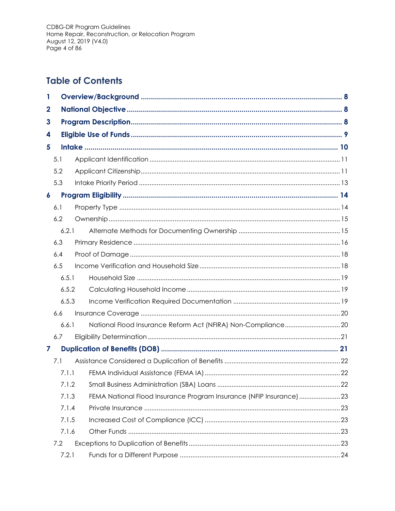# **Table of Contents**

| 1                |       |  |                                                                     |  |
|------------------|-------|--|---------------------------------------------------------------------|--|
| $\mathbf 2$      |       |  |                                                                     |  |
| 3                |       |  |                                                                     |  |
| 4                |       |  |                                                                     |  |
| 5                |       |  |                                                                     |  |
|                  | 5.1   |  |                                                                     |  |
|                  | 5.2   |  |                                                                     |  |
|                  | 5.3   |  |                                                                     |  |
| $\boldsymbol{6}$ |       |  |                                                                     |  |
|                  | 6.1   |  |                                                                     |  |
|                  | 6.2   |  |                                                                     |  |
|                  | 6.2.1 |  |                                                                     |  |
|                  | 6.3   |  |                                                                     |  |
|                  | 6.4   |  |                                                                     |  |
|                  | 6.5   |  |                                                                     |  |
|                  | 6.5.1 |  |                                                                     |  |
|                  | 6.5.2 |  |                                                                     |  |
|                  | 6.5.3 |  |                                                                     |  |
|                  | 6.6   |  |                                                                     |  |
|                  | 6.6.1 |  |                                                                     |  |
|                  | 6.7   |  |                                                                     |  |
| 7                |       |  |                                                                     |  |
|                  | 7.1   |  |                                                                     |  |
|                  | 7.1.1 |  |                                                                     |  |
|                  | 7.1.2 |  |                                                                     |  |
|                  | 7.1.3 |  | FEMA National Flood Insurance Program Insurance (NFIP Insurance) 23 |  |
|                  | 7.1.4 |  |                                                                     |  |
|                  | 7.1.5 |  |                                                                     |  |
|                  | 7.1.6 |  |                                                                     |  |
|                  | 7.2   |  |                                                                     |  |
|                  | 7.2.1 |  |                                                                     |  |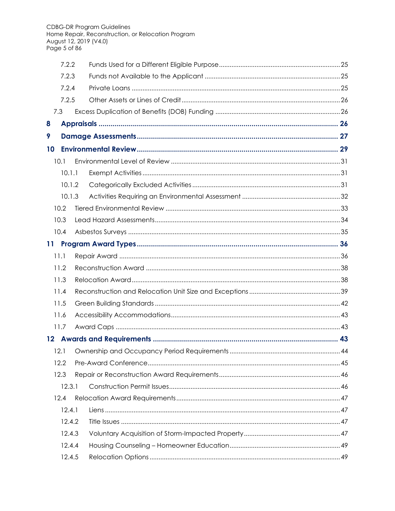CDBG-DR Program Guidelines<br>Home Repair, Reconstruction, or Relocation Program<br>August 12, 2019 (V4.0)<br>Page 5 of 86

| 7.2.2             |  |  |
|-------------------|--|--|
| 7.2.3             |  |  |
| 7.2.4             |  |  |
| 7.2.5             |  |  |
| 7.3               |  |  |
| 8                 |  |  |
| 9                 |  |  |
| 10                |  |  |
| 10.1              |  |  |
| 10.1.1            |  |  |
| 10.1.2            |  |  |
| 10.1.3            |  |  |
| 10.2              |  |  |
| 10.3              |  |  |
| 10.4              |  |  |
| 11 <sup>1</sup>   |  |  |
| 11.1              |  |  |
| 11.2              |  |  |
| 11.3              |  |  |
| 11.4              |  |  |
| 11.5              |  |  |
| 11.6              |  |  |
| 11.7              |  |  |
| $12 \overline{ }$ |  |  |
| 12.1              |  |  |
| 12.2              |  |  |
| 12.3              |  |  |
| 12.3.1            |  |  |
| 12.4              |  |  |
| 12.4.1            |  |  |
| 12.4.2            |  |  |
| 12.4.3            |  |  |
| 12.4.4            |  |  |
| 12.4.5            |  |  |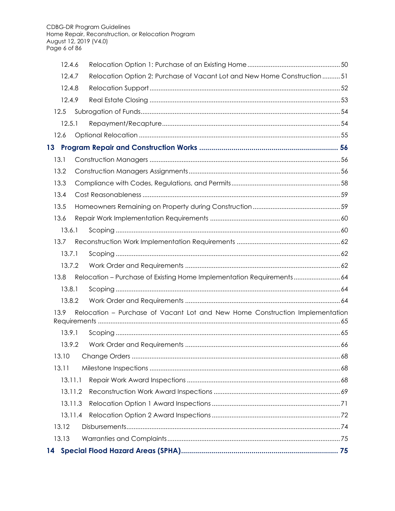| 12.4.6          |         |                                                                              |  |
|-----------------|---------|------------------------------------------------------------------------------|--|
| 12.4.7          |         | Relocation Option 2: Purchase of Vacant Lot and New Home Construction51      |  |
| 12.4.8          |         |                                                                              |  |
| 12.4.9          |         |                                                                              |  |
| 12.5            |         |                                                                              |  |
| 12.5.1          |         |                                                                              |  |
| 12.6            |         |                                                                              |  |
| 13 <sup>°</sup> |         |                                                                              |  |
| 13.1            |         |                                                                              |  |
| 13.2            |         |                                                                              |  |
| 13.3            |         |                                                                              |  |
| 13.4            |         |                                                                              |  |
| 13.5            |         |                                                                              |  |
| 13.6            |         |                                                                              |  |
| 13.6.1          |         |                                                                              |  |
| 13.7            |         |                                                                              |  |
| 13.7.1          |         |                                                                              |  |
| 13.7.2          |         |                                                                              |  |
| 13.8            |         | Relocation - Purchase of Existing Home Implementation Requirements 64        |  |
| 13.8.1          |         |                                                                              |  |
| 13.8.2          |         |                                                                              |  |
| 13.9            |         | Relocation - Purchase of Vacant Lot and New Home Construction Implementation |  |
| 13.9.1          |         |                                                                              |  |
| 13.9.2          |         |                                                                              |  |
| 13.10           |         |                                                                              |  |
| 13.11           |         |                                                                              |  |
| 13.11.1         |         |                                                                              |  |
| 13.11.2         |         |                                                                              |  |
| 13.11.3         |         |                                                                              |  |
|                 | 13.11.4 |                                                                              |  |
| 13.12           |         |                                                                              |  |
| 13.13           |         |                                                                              |  |
|                 |         |                                                                              |  |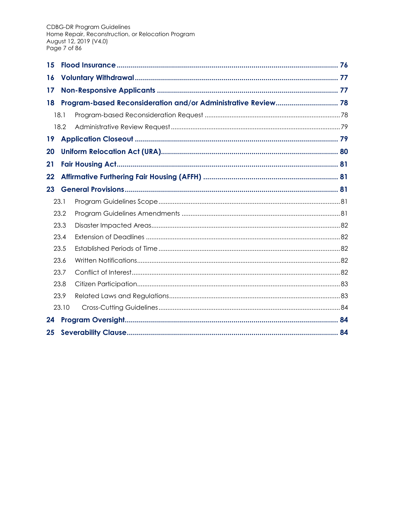CDBG-DR Program Guidelines<br>Home Repair, Reconstruction, or Relocation Program<br>August 12, 2019 (V4.0)<br>Page 7 of 86

| 15        |       |  |  |
|-----------|-------|--|--|
| <b>16</b> |       |  |  |
| 17        |       |  |  |
| 18        |       |  |  |
|           | 18.1  |  |  |
|           | 18.2  |  |  |
| 19        |       |  |  |
| 20        |       |  |  |
| 21        |       |  |  |
| 22        |       |  |  |
| 23        |       |  |  |
|           | 23.1  |  |  |
|           | 23.2  |  |  |
|           | 23.3  |  |  |
|           | 23.4  |  |  |
|           | 23.5  |  |  |
|           | 23.6  |  |  |
|           | 23.7  |  |  |
|           | 23.8  |  |  |
|           | 23.9  |  |  |
|           | 23.10 |  |  |
| 24        |       |  |  |
| 25        |       |  |  |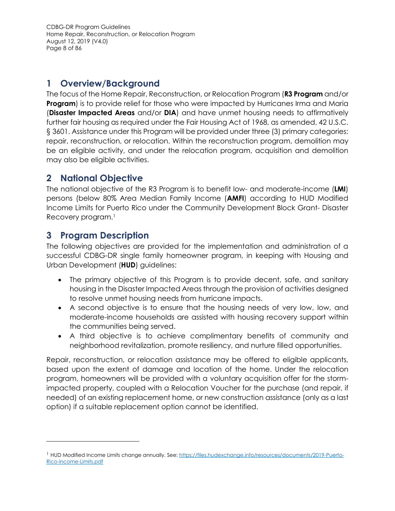CDBG-DR Program Guidelines Home Repair, Reconstruction, or Relocation Program August 12, 2019 (V4.0) Page 8 of 86

# <span id="page-7-0"></span>**1 Overview/Background**

The focus of the Home Repair, Reconstruction, or Relocation Program (**R3 Program** and/or **Program**) is to provide relief for those who were impacted by Hurricanes Irma and Maria (**Disaster Impacted Areas** and/or **DIA**) and have unmet housing needs to affirmatively further fair housing as required under the Fair Housing Act of 1968, as amended, 42 U.S.C. § 3601. Assistance under this Program will be provided under three (3) primary categories: repair, reconstruction, or relocation. Within the reconstruction program, demolition may be an eligible activity, and under the relocation program, acquisition and demolition may also be eligible activities.

# <span id="page-7-1"></span>**2 National Objective**

The national objective of the R3 Program is to benefit low- and moderate-income (**LMI**) persons (below 80% Area Median Family Income (**AMFI**) according to HUD Modified Income Limits for Puerto Rico under the Community Development Block Grant- Disaster Recovery program.<sup>1</sup>

# <span id="page-7-2"></span>**3 Program Description**

The following objectives are provided for the implementation and administration of a successful CDBG-DR single family homeowner program, in keeping with Housing and Urban Development (**HUD**) guidelines:

- The primary objective of this Program is to provide decent, safe, and sanitary housing in the Disaster Impacted Areas through the provision of activities designed to resolve unmet housing needs from hurricane impacts.
- A second objective is to ensure that the housing needs of very low, low, and moderate-income households are assisted with housing recovery support within the communities being served.
- A third objective is to achieve complimentary benefits of community and neighborhood revitalization, promote resiliency, and nurture filled opportunities.

Repair, reconstruction, or relocation assistance may be offered to eligible applicants, based upon the extent of damage and location of the home. Under the relocation program, homeowners will be provided with a voluntary acquisition offer for the stormimpacted property, coupled with a Relocation Voucher for the purchase (and repair, if needed) of an existing replacement home, or new construction assistance (only as a last option) if a suitable replacement option cannot be identified.

<sup>&</sup>lt;sup>1</sup> HUD Modified Income Limits change annually. See: [https://files.hudexchange.info/resources/documents/2019-Puerto-](https://files.hudexchange.info/resources/documents/2019-Puerto-Rico-Income-Limits.pdf)[Rico-Income-Limits.pdf](https://files.hudexchange.info/resources/documents/2019-Puerto-Rico-Income-Limits.pdf)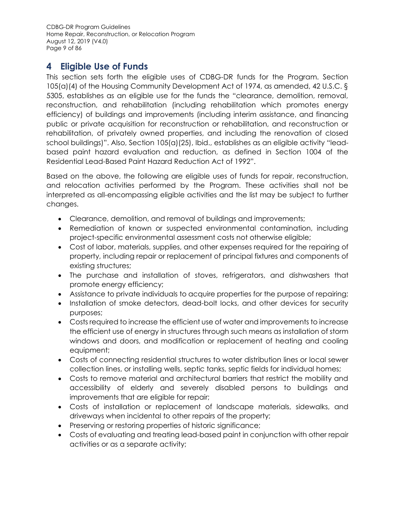CDBG-DR Program Guidelines Home Repair, Reconstruction, or Relocation Program August 12, 2019 (V4.0) Page 9 of 86

# <span id="page-8-0"></span>**4 Eligible Use of Funds**

This section sets forth the eligible uses of CDBG-DR funds for the Program. Section 105(a)(4) of the Housing Community Development Act of 1974, as amended, 42 U.S.C. § 5305, establishes as an eligible use for the funds the "clearance, demolition, removal, reconstruction, and rehabilitation (including rehabilitation which promotes energy efficiency) of buildings and improvements (including interim assistance, and financing public or private acquisition for reconstruction or rehabilitation, and reconstruction or rehabilitation, of privately owned properties, and including the renovation of closed school buildings)". Also, Section 105(a)(25), Ibid., establishes as an eligible activity "leadbased paint hazard evaluation and reduction, as defined in Section 1004 of the Residential Lead-Based Paint Hazard Reduction Act of 1992".

Based on the above, the following are eligible uses of funds for repair, reconstruction, and relocation activities performed by the Program. These activities shall not be interpreted as all-encompassing eligible activities and the list may be subject to further changes.

- Clearance, demolition, and removal of buildings and improvements;
- Remediation of known or suspected environmental contamination, including project-specific environmental assessment costs not otherwise eligible;
- Cost of labor, materials, supplies, and other expenses required for the repairing of property, including repair or replacement of principal fixtures and components of existing structures;
- The purchase and installation of stoves, refrigerators, and dishwashers that promote energy efficiency;
- Assistance to private individuals to acquire properties for the purpose of repairing;
- Installation of smoke detectors, dead-bolt locks, and other devices for security purposes;
- Costs required to increase the efficient use of water and improvements to increase the efficient use of energy in structures through such means as installation of storm windows and doors, and modification or replacement of heating and cooling equipment;
- Costs of connecting residential structures to water distribution lines or local sewer collection lines, or installing wells, septic tanks, septic fields for individual homes;
- Costs to remove material and architectural barriers that restrict the mobility and accessibility of elderly and severely disabled persons to buildings and improvements that are eligible for repair;
- Costs of installation or replacement of landscape materials, sidewalks, and driveways when incidental to other repairs of the property;
- Preserving or restoring properties of historic significance;
- Costs of evaluating and treating lead-based paint in conjunction with other repair activities or as a separate activity;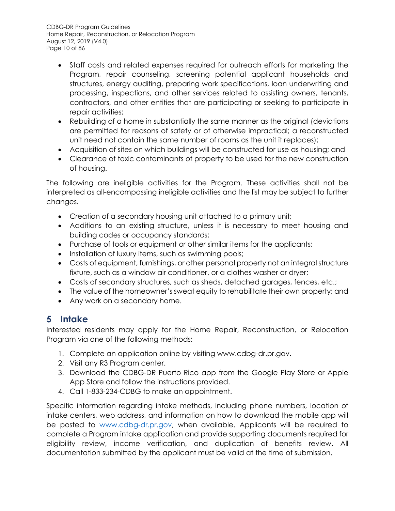CDBG-DR Program Guidelines Home Repair, Reconstruction, or Relocation Program August 12, 2019 (V4.0) Page 10 of 86

- Staff costs and related expenses required for outreach efforts for marketing the Program, repair counseling, screening potential applicant households and structures, energy auditing, preparing work specifications, loan underwriting and processing, inspections, and other services related to assisting owners, tenants, contractors, and other entities that are participating or seeking to participate in repair activities;
- Rebuilding of a home in substantially the same manner as the original (deviations are permitted for reasons of safety or of otherwise impractical; a reconstructed unit need not contain the same number of rooms as the unit it replaces);
- Acquisition of sites on which buildings will be constructed for use as housing; and
- Clearance of toxic contaminants of property to be used for the new construction of housing.

The following are ineligible activities for the Program. These activities shall not be interpreted as all-encompassing ineligible activities and the list may be subject to further changes.

- Creation of a secondary housing unit attached to a primary unit;
- Additions to an existing structure, unless it is necessary to meet housing and building codes or occupancy standards;
- Purchase of tools or equipment or other similar items for the applicants;
- Installation of luxury items, such as swimming pools;
- Costs of equipment, furnishings, or other personal property not an integral structure fixture, such as a window air conditioner, or a clothes washer or dryer;
- Costs of secondary structures, such as sheds, detached garages, fences, etc.;
- The value of the homeowner's sweat equity to rehabilitate their own property; and
- Any work on a secondary home.

# <span id="page-9-0"></span>**5 Intake**

Interested residents may apply for the Home Repair, Reconstruction, or Relocation Program via one of the following methods:

- 1. Complete an application online by visiting www.cdbg-dr.pr.gov.
- 2. Visit any R3 Program center.
- 3. Download the CDBG-DR Puerto Rico app from the Google Play Store or Apple App Store and follow the instructions provided.
- 4. Call 1-833-234-CDBG to make an appointment.

Specific information regarding intake methods, including phone numbers, location of intake centers, web address, and information on how to download the mobile app will be posted to [www.cdbg-dr.pr.gov,](http://www.cdbg-dr.pr.gov/) when available. Applicants will be required to complete a Program intake application and provide supporting documents required for eligibility review, income verification, and duplication of benefits review. All documentation submitted by the applicant must be valid at the time of submission.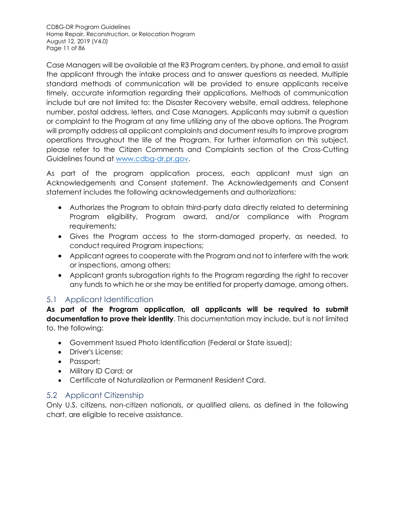CDBG-DR Program Guidelines Home Repair, Reconstruction, or Relocation Program August 12, 2019 (V4.0) Page 11 of 86

Case Managers will be available at the R3 Program centers, by phone, and email to assist the applicant through the intake process and to answer questions as needed. Multiple standard methods of communication will be provided to ensure applicants receive timely, accurate information regarding their applications. Methods of communication include but are not limited to: the Disaster Recovery website, email address, telephone number, postal address, letters, and Case Managers. Applicants may submit a question or complaint to the Program at any time utilizing any of the above options. The Program will promptly address all applicant complaints and document results to improve program operations throughout the life of the Program. For further information on this subject, please refer to the Citizen Comments and Complaints section of the Cross-Cutting Guidelines found at [www.cdbg-dr.pr.gov.](http://www.cdbg-dr.pr.gov/)

As part of the program application process, each applicant must sign an Acknowledgements and Consent statement. The Acknowledgements and Consent statement includes the following acknowledgements and authorizations:

- Authorizes the Program to obtain third-party data directly related to determining Program eligibility, Program award, and/or compliance with Program requirements;
- Gives the Program access to the storm-damaged property, as needed, to conduct required Program inspections;
- Applicant agrees to cooperate with the Program and not to interfere with the work or inspections, among others;
- Applicant grants subrogation rights to the Program regarding the right to recover any funds to which he or she may be entitled for property damage, among others.

## <span id="page-10-0"></span>5.1 Applicant Identification

**As part of the Program application, all applicants will be required to submit documentation to prove their identity**. This documentation may include, but is not limited to, the following:

- Government Issued Photo Identification (Federal or State issued);
- Driver's License;
- Passport;
- Military ID Card; or
- Certificate of Naturalization or Permanent Resident Card.

#### <span id="page-10-1"></span>5.2 Applicant Citizenship

Only U.S. citizens, non-citizen nationals, or qualified aliens, as defined in the following chart, are eligible to receive assistance.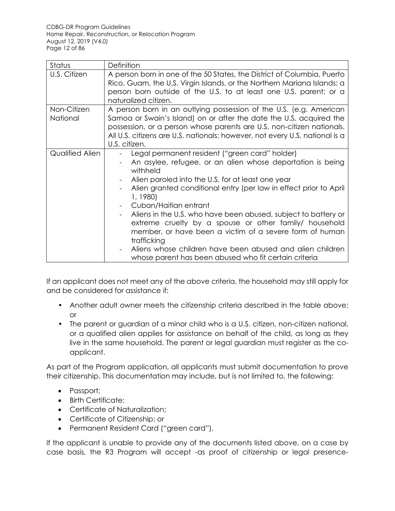CDBG-DR Program Guidelines Home Repair, Reconstruction, or Relocation Program August 12, 2019 (V4.0) Page 12 of 86

| Status          | Definition                                                                                                                                                                                                                                                                                                                                                                                                                                                                                    |  |  |
|-----------------|-----------------------------------------------------------------------------------------------------------------------------------------------------------------------------------------------------------------------------------------------------------------------------------------------------------------------------------------------------------------------------------------------------------------------------------------------------------------------------------------------|--|--|
| U.S. Citizen    | A person born in one of the 50 States, the District of Columbia, Puerto<br>Rico, Guam, the U.S. Virgin Islands, or the Northern Mariana Islands; a<br>person born outside of the U.S. to at least one U.S. parent; or a<br>naturalized citizen.                                                                                                                                                                                                                                               |  |  |
| Non-Citizen     | A person born in an outlying possession of the U.S. (e.g. American                                                                                                                                                                                                                                                                                                                                                                                                                            |  |  |
| National        | Samoa or Swain's Island) on or after the date the U.S. acquired the<br>possession, or a person whose parents are U.S. non-citizen nationals.<br>All U.S. citizens are U.S. nationals; however, not every U.S. national is a<br>U.S. citizen.                                                                                                                                                                                                                                                  |  |  |
| Qualified Alien | Legal permanent resident ("green card" holder)<br>An asylee, refugee, or an alien whose deportation is being<br>withheld<br>Alien paroled into the U.S. for at least one year<br>Alien granted conditional entry (per law in effect prior to April<br>1, 1980)<br>Cuban/Haitian entrant<br>Aliens in the U.S. who have been abused, subject to battery or<br>extreme cruelty by a spouse or other family/ household<br>member, or have been a victim of a severe form of human<br>trafficking |  |  |
|                 | Aliens whose children have been abused and alien children<br>whose parent has been abused who fit certain criteria                                                                                                                                                                                                                                                                                                                                                                            |  |  |

If an applicant does not meet any of the above criteria, the household may still apply for and be considered for assistance if:

- Another adult owner meets the citizenship criteria described in the table above; or
- The parent or guardian of a minor child who is a U.S. citizen, non-citizen national, or a qualified alien applies for assistance on behalf of the child, as long as they live in the same household. The parent or legal guardian must register as the coapplicant.

As part of the Program application, all applicants must submit documentation to prove their citizenship. This documentation may include, but is not limited to, the following:

- Passport;
- Birth Certificate:
- Certificate of Naturalization;
- Certificate of Citizenship; or
- Permanent Resident Card ("green card").

If the applicant is unable to provide any of the documents listed above, on a case by case basis, the R3 Program will accept -as proof of citizenship or legal presence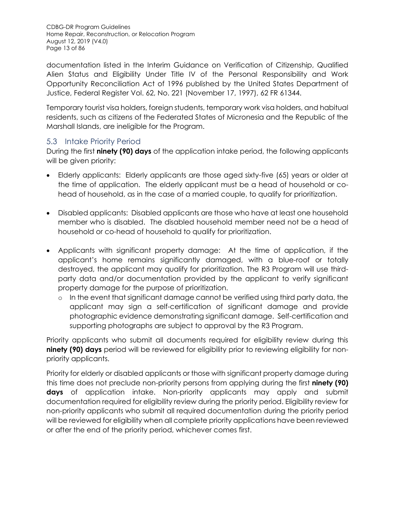CDBG-DR Program Guidelines Home Repair, Reconstruction, or Relocation Program August 12, 2019 (V4.0) Page 13 of 86

documentation listed in the Interim Guidance on Verification of Citizenship, Qualified Alien Status and Eligibility Under Title IV of the Personal Responsibility and Work Opportunity Reconciliation Act of 1996 published by the United States Department of Justice, Federal Register Vol. 62, No. 221 (November 17, 1997), 62 FR 61344.

Temporary tourist visa holders, foreign students, temporary work visa holders, and habitual residents, such as citizens of the Federated States of Micronesia and the Republic of the Marshall Islands, are ineligible for the Program.

#### <span id="page-12-0"></span>5.3 Intake Priority Period

During the first **ninety (90) days** of the application intake period, the following applicants will be given priority:

- Elderly applicants: Elderly applicants are those aged sixty-five (65) years or older at the time of application. The elderly applicant must be a head of household or cohead of household, as in the case of a married couple, to qualify for prioritization.
- Disabled applicants: Disabled applicants are those who have at least one household member who is disabled. The disabled household member need not be a head of household or co-head of household to qualify for prioritization.
- Applicants with significant property damage: At the time of application, if the applicant's home remains significantly damaged, with a blue-roof or totally destroyed, the applicant may qualify for prioritization. The R3 Program will use thirdparty data and/or documentation provided by the applicant to verify significant property damage for the purpose of prioritization.
	- o In the event that significant damage cannot be verified using third party data, the applicant may sign a self-certification of significant damage and provide photographic evidence demonstrating significant damage. Self-certification and supporting photographs are subject to approval by the R3 Program.

Priority applicants who submit all documents required for eligibility review during this **ninety (90) days** period will be reviewed for eligibility prior to reviewing eligibility for nonpriority applicants.

Priority for elderly or disabled applicants or those with significant property damage during this time does not preclude non-priority persons from applying during the first **ninety (90) days** of application intake. Non-priority applicants may apply and submit documentation required for eligibility review during the priority period. Eligibility review for non-priority applicants who submit all required documentation during the priority period will be reviewed for eligibility when all complete priority applications have been reviewed or after the end of the priority period, whichever comes first.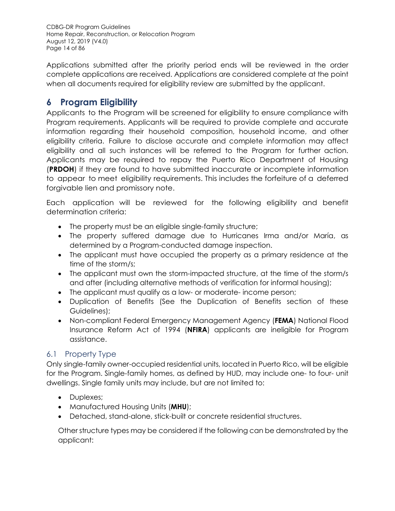CDBG-DR Program Guidelines Home Repair, Reconstruction, or Relocation Program August 12, 2019 (V4.0) Page 14 of 86

Applications submitted after the priority period ends will be reviewed in the order complete applications are received. Applications are considered complete at the point when all documents required for eligibility review are submitted by the applicant.

# <span id="page-13-0"></span>**6 Program Eligibility**

Applicants to the Program will be screened for eligibility to ensure compliance with Program requirements. Applicants will be required to provide complete and accurate information regarding their household composition, household income, and other eligibility criteria. Failure to disclose accurate and complete information may affect eligibility and all such instances will be referred to the Program for further action. Applicants may be required to repay the Puerto Rico Department of Housing (**PRDOH**) if they are found to have submitted inaccurate or incomplete information to appear to meet eligibility requirements. This includes the forfeiture of a deferred forgivable lien and promissory note.

Each application will be reviewed for the following eligibility and benefit determination criteria:

- The property must be an eligible single-family structure;
- The property suffered damage due to Hurricanes Irma and/or María, as determined by a Program-conducted damage inspection.
- The applicant must have occupied the property as a primary residence at the time of the storm/s;
- The applicant must own the storm-impacted structure, at the time of the storm/s and after (including alternative methods of verification for informal housing);
- The applicant must qualify as a low- or moderate-income person;
- Duplication of Benefits (See the Duplication of Benefits section of these Guidelines);
- Non-compliant Federal Emergency Management Agency (**FEMA**) National Flood Insurance Reform Act of 1994 (**NFIRA**) applicants are ineligible for Program assistance.

# <span id="page-13-1"></span>6.1 Property Type

Only single-family owner-occupied residential units, located in Puerto Rico, will be eligible for the Program. Single-family homes, as defined by HUD, may include one- to four- unit dwellings. Single family units may include, but are not limited to:

- Duplexes;
- Manufactured Housing Units (**MHU**);
- Detached, stand-alone, stick-built or concrete residential structures.

Other structure types may be considered if the following can be demonstrated by the applicant: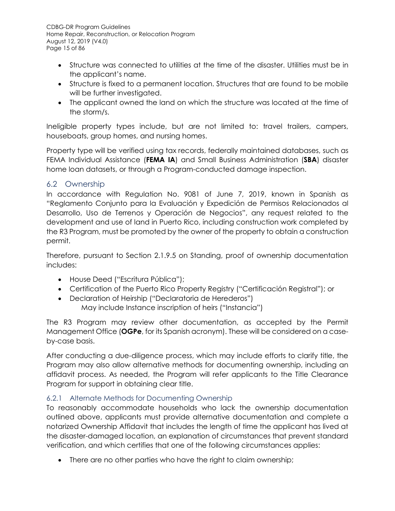CDBG-DR Program Guidelines Home Repair, Reconstruction, or Relocation Program August 12, 2019 (V4.0) Page 15 of 86

- Structure was connected to utilities at the time of the disaster. Utilities must be in the applicant's name.
- Structure is fixed to a permanent location. Structures that are found to be mobile will be further investigated.
- The applicant owned the land on which the structure was located at the time of the storm/s.

Ineligible property types include, but are not limited to: travel trailers, campers, houseboats, group homes, and nursing homes.

Property type will be verified using tax records, federally maintained databases, such as FEMA Individual Assistance (**FEMA IA**) and Small Business Administration (**SBA**) disaster home loan datasets, or through a Program-conducted damage inspection.

## <span id="page-14-0"></span>6.2 Ownership

In accordance with Regulation No. 9081 of June 7, 2019, known in Spanish as "Reglamento Conjunto para la Evaluación y Expedición de Permisos Relacionados al Desarrollo, Uso de Terrenos y Operación de Negocios", any request related to the development and use of land in Puerto Rico, including construction work completed by the R3 Program, must be promoted by the owner of the property to obtain a construction permit.

Therefore, pursuant to Section 2.1.9.5 on Standing, proof of ownership documentation includes:

- House Deed ("Escritura Pública");
- Certification of the Puerto Rico Property Registry ("Certificación Registral"); or
- Declaration of Heirship ("Declaratoria de Herederos") May include Instance inscription of heirs ("Instancia")

The R3 Program may review other documentation, as accepted by the Permit Management Office (**OGPe**, for its Spanish acronym). These will be considered on a caseby-case basis.

After conducting a due-diligence process, which may include efforts to clarify title, the Program may also allow alternative methods for documenting ownership, including an affidavit process. As needed, the Program will refer applicants to the Title Clearance Program for support in obtaining clear title.

## <span id="page-14-1"></span>6.2.1 Alternate Methods for Documenting Ownership

To reasonably accommodate households who lack the ownership documentation outlined above, applicants must provide alternative documentation and complete a notarized Ownership Affidavit that includes the length of time the applicant has lived at the disaster-damaged location, an explanation of circumstances that prevent standard verification, and which certifies that one of the following circumstances applies:

• There are no other parties who have the right to claim ownership;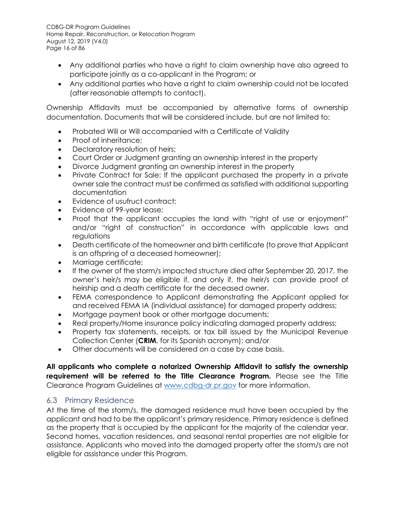CDBG-DR Program Guidelines Home Repair, Reconstruction, or Relocation Program August 12, 2019 (V4.0) Page 16 of 86

- Any additional parties who have a right to claim ownership have also agreed to participate jointly as a co-applicant in the Program; or
- Any additional parties who have a right to claim ownership could not be located (after reasonable attempts to contact).

Ownership Affidavits must be accompanied by alternative forms of ownership documentation. Documents that will be considered include, but are not limited to:

- Probated Will or Will accompanied with a Certificate of Validity
- Proof of inheritance:
- Declaratory resolution of heirs;
- Court Order or Judgment granting an ownership interest in the property
- Divorce Judgment granting an ownership interest in the property
- Private Contract for Sale: If the applicant purchased the property in a private owner sale the contract must be confirmed as satisfied with additional supporting documentation
- Evidence of usufruct contract;
- Evidence of 99-year lease;
- Proof that the applicant occupies the land with "right of use or enjoyment" and/or "right of construction" in accordance with applicable laws and regulations
- Death certificate of the homeowner and birth certificate (to prove that Applicant is an offspring of a deceased homeowner);
- Marriage certificate;
- If the owner of the storm/s impacted structure died after September 20, 2017, the owner's heir/s may be eligible if, and only if, the heir/s can provide proof of heirship and a death certificate for the deceased owner.
- FEMA correspondence to Applicant demonstrating the Applicant applied for and received FEMA IA (individual assistance) for damaged property address;
- Mortgage payment book or other mortgage documents;
- Real property/Home insurance policy indicating damaged property address;
- Property tax statements, receipts, or tax bill issued by the Municipal Revenue Collection Center (**CRIM**, for its Spanish acronym); and/or
- Other documents will be considered on a case by case basis.

**All applicants who complete a notarized Ownership Affidavit to satisfy the ownership requirement will be referred to the Title Clearance Program.** Please see the Title Clearance Program Guidelines at [www.cdbg-dr.pr.gov](http://www.cdbg-dr.pr.gov/) for more information.

#### <span id="page-15-0"></span>6.3 Primary Residence

At the time of the storm/s, the damaged residence must have been occupied by the applicant and had to be the applicant's primary residence. Primary residence is defined as the property that is occupied by the applicant for the majority of the calendar year. Second homes, vacation residences, and seasonal rental properties are not eligible for assistance. Applicants who moved into the damaged property after the storm/s are not eligible for assistance under this Program.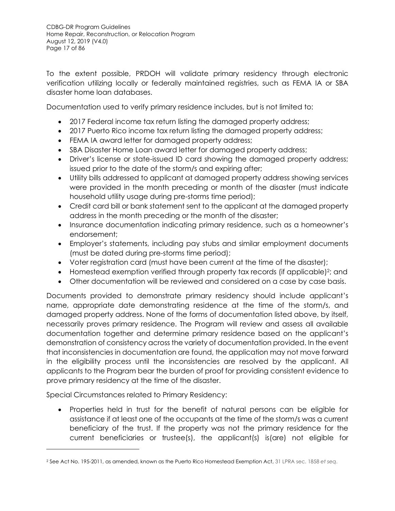To the extent possible, PRDOH will validate primary residency through electronic verification utilizing locally or federally maintained registries, such as FEMA IA or SBA disaster home loan databases.

Documentation used to verify primary residence includes, but is not limited to:

- 2017 Federal income tax return listing the damaged property address;
- 2017 Puerto Rico income tax return listing the damaged property address;
- FEMA IA award letter for damaged property address;
- SBA Disaster Home Loan award letter for damaged property address;
- Driver's license or state-issued ID card showing the damaged property address; issued prior to the date of the storm/s and expiring after;
- Utility bills addressed to applicant at damaged property address showing services were provided in the month preceding or month of the disaster (must indicate household utility usage during pre-storms time period);
- Credit card bill or bank statement sent to the applicant at the damaged property address in the month preceding or the month of the disaster;
- Insurance documentation indicating primary residence, such as a homeowner's endorsement;
- Employer's statements, including pay stubs and similar employment documents (must be dated during pre-storms time period);
- Voter registration card (must have been current at the time of the disaster);
- Homestead exemption verified through property tax records (if applicable)<sup>2</sup>; and
- Other documentation will be reviewed and considered on a case by case basis.

Documents provided to demonstrate primary residency should include applicant's name, appropriate date demonstrating residence at the time of the storm/s, and damaged property address. None of the forms of documentation listed above, by itself, necessarily proves primary residence. The Program will review and assess all available documentation together and determine primary residence based on the applicant's demonstration of consistency across the variety of documentation provided. In the event that inconsistencies in documentation are found, the application may not move forward in the eligibility process until the inconsistencies are resolved by the applicant. All applicants to the Program bear the burden of proof for providing consistent evidence to prove primary residency at the time of the disaster.

Special Circumstances related to Primary Residency:

• Properties held in trust for the benefit of natural persons can be eligible for assistance if at least one of the occupants at the time of the storm/s was a current beneficiary of the trust. If the property was not the primary residence for the current beneficiaries or trustee(s), the applicant(s) is(are) not eligible for

<sup>2</sup> See Act No. 195-2011, as amended, known as the Puerto Rico Homestead Exemption Act, 31 LPRA sec. 1858 *et seq*.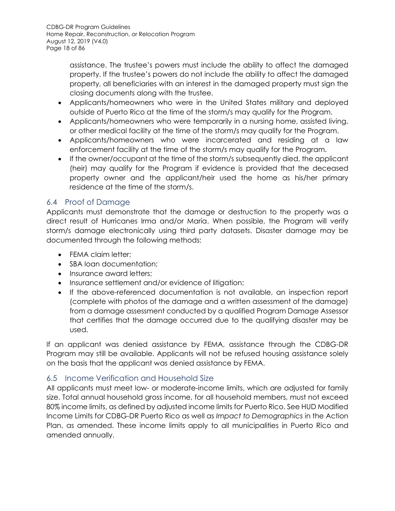assistance. The trustee's powers must include the ability to affect the damaged property. If the trustee's powers do not include the ability to affect the damaged property, all beneficiaries with an interest in the damaged property must sign the closing documents along with the trustee.

- Applicants/homeowners who were in the United States military and deployed outside of Puerto Rico at the time of the storm/s may qualify for the Program.
- Applicants/homeowners who were temporarily in a nursing home, assisted living, or other medical facility at the time of the storm/s may qualify for the Program.
- Applicants/homeowners who were incarcerated and residing at a law enforcement facility at the time of the storm/s may qualify for the Program.
- If the owner/occupant at the time of the storm/s subsequently died, the applicant (heir) may qualify for the Program if evidence is provided that the deceased property owner and the applicant/heir used the home as his/her primary residence at the time of the storm/s.

## <span id="page-17-0"></span>6.4 Proof of Damage

Applicants must demonstrate that the damage or destruction to the property was a direct result of Hurricanes Irma and/or María. When possible, the Program will verify storm/s damage electronically using third party datasets. Disaster damage may be documented through the following methods:

- FEMA claim letter:
- SBA loan documentation:
- Insurance award letters;
- Insurance settlement and/or evidence of litigation;
- If the above-referenced documentation is not available, an inspection report (complete with photos of the damage and a written assessment of the damage) from a damage assessment conducted by a qualified Program Damage Assessor that certifies that the damage occurred due to the qualifying disaster may be used.

If an applicant was denied assistance by FEMA, assistance through the CDBG-DR Program may still be available. Applicants will not be refused housing assistance solely on the basis that the applicant was denied assistance by FEMA.

# <span id="page-17-1"></span>6.5 Income Verification and Household Size

All applicants must meet low- or moderate-income limits, which are adjusted for family size. Total annual household gross income, for all household members, must not exceed 80% income limits, as defined by adjusted income limits for Puerto Rico. See HUD Modified Income Limits for CDBG-DR Puerto Rico as well as *Impact to Demographics* in the Action Plan, as amended. These income limits apply to all municipalities in Puerto Rico and amended annually.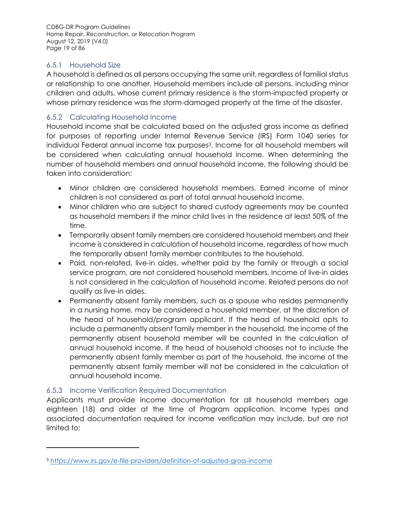CDBG-DR Program Guidelines Home Repair, Reconstruction, or Relocation Program August 12, 2019 (V4.0) Page 19 of 86

#### <span id="page-18-0"></span>6.5.1 Household Size

A household is defined as all persons occupying the same unit, regardless of familial status or relationship to one another. Household members include all persons, including minor children and adults, whose current primary residence is the storm-impacted property or whose primary residence was the storm-damaged property at the time of the disaster.

#### <span id="page-18-1"></span>6.5.2 Calculating Household Income

Household income shall be calculated based on the adjusted gross income as defined for purposes of reporting under Internal Revenue Service (IRS) Form 1040 series for individual Federal annual income tax purposes<sup>3</sup>. Income for all household members will be considered when calculating annual household income. When determining the number of household members and annual household income, the following should be taken into consideration:

- Minor children are considered household members. Earned income of minor children is not considered as part of total annual household income.
- Minor children who are subject to shared custody agreements may be counted as household members if the minor child lives in the residence at least 50% of the time.
- Temporarily absent family members are considered household members and their income is considered in calculation of household income, regardless of how much the temporarily absent family member contributes to the household.
- Paid, non-related, live-in aides, whether paid by the family or through a social service program, are not considered household members. Income of live-in aides is not considered in the calculation of household income. Related persons do not qualify as live-in aides.
- Permanently absent family members, such as a spouse who resides permanently in a nursing home, may be considered a household member, at the discretion of the head of household/program applicant. If the head of household opts to include a permanently absent family member in the household, the income of the permanently absent household member will be counted in the calculation of annual household income. If the head of household chooses not to include the permanently absent family member as part of the household, the income of the permanently absent family member will not be considered in the calculation of annual household income.

#### <span id="page-18-2"></span>6.5.3 Income Verification Required Documentation

Applicants must provide income documentation for all household members age eighteen (18) and older at the time of Program application. Income types and associated documentation required for income verification may include, but are not limited to:

<sup>3</sup> <https://www.irs.gov/e-file-providers/definition-of-adjusted-gross-income>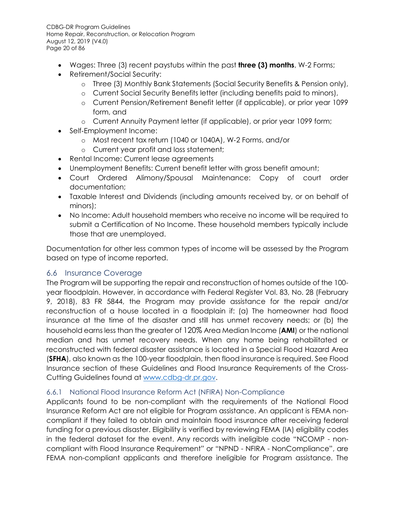CDBG-DR Program Guidelines Home Repair, Reconstruction, or Relocation Program August 12, 2019 (V4.0) Page 20 of 86

- Wages: Three (3) recent paystubs within the past **three (3) months**, W-2 Forms;
- Retirement/Social Security:
	- o Three (3) Monthly Bank Statements (Social Security Benefits & Pension only),
	- o Current Social Security Benefits letter (including benefits paid to minors),
	- o Current Pension/Retirement Benefit letter (if applicable), or prior year 1099 form, and
	- o Current Annuity Payment letter (if applicable), or prior year 1099 form;
- Self-Employment Income:
	- o Most recent tax return (1040 or 1040A), W‐2 Forms, and/or
	- o Current year profit and loss statement;
- Rental Income: Current lease agreements
- Unemployment Benefits: Current benefit letter with gross benefit amount;
- Court Ordered Alimony/Spousal Maintenance: Copy of court order documentation;
- Taxable Interest and Dividends (including amounts received by, or on behalf of minors);
- No Income: Adult household members who receive no income will be required to submit a Certification of No Income. These household members typically include those that are unemployed.

Documentation for other less common types of income will be assessed by the Program based on type of income reported.

#### <span id="page-19-0"></span>6.6 Insurance Coverage

The Program will be supporting the repair and reconstruction of homes outside of the 100 year floodplain. However, in accordance with Federal Register Vol. 83, No. 28 (February 9, 2018), 83 FR 5844, the Program may provide assistance for the repair and/or reconstruction of a house located in a floodplain if: (a) The homeowner had flood insurance at the time of the disaster and still has unmet recovery needs; or (b) the household earns less than the greater of 120% Area Median Income (**AMI**) or the national median and has unmet recovery needs. When any home being rehabilitated or reconstructed with federal disaster assistance is located in a Special Flood Hazard Area (**SFHA**), also known as the 100-year floodplain, then flood insurance is required. See Flood Insurance section of these Guidelines and Flood Insurance Requirements of the Cross-Cutting Guidelines found at [www.cdbg-dr.pr.gov.](http://www.cdbg-dr.pr.gov/)

#### <span id="page-19-1"></span>6.6.1 National Flood Insurance Reform Act (NFIRA) Non-Compliance

Applicants found to be non-compliant with the requirements of the National Flood Insurance Reform Act are not eligible for Program assistance. An applicant is FEMA noncompliant if they failed to obtain and maintain flood insurance after receiving federal funding for a previous disaster. Eligibility is verified by reviewing FEMA (IA) eligibility codes in the federal dataset for the event. Any records with ineligible code "NCOMP - noncompliant with Flood Insurance Requirement" or "NPND - NFIRA - NonCompliance", are FEMA non-compliant applicants and therefore ineligible for Program assistance. The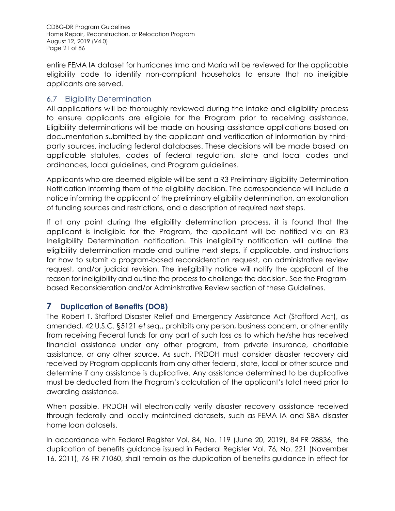CDBG-DR Program Guidelines Home Repair, Reconstruction, or Relocation Program August 12, 2019 (V4.0) Page 21 of 86

entire FEMA IA dataset for hurricanes Irma and Maria will be reviewed for the applicable eligibility code to identify non-compliant households to ensure that no ineligible applicants are served.

#### <span id="page-20-0"></span>6.7 Eligibility Determination

All applications will be thoroughly reviewed during the intake and eligibility process to ensure applicants are eligible for the Program prior to receiving assistance. Eligibility determinations will be made on housing assistance applications based on documentation submitted by the applicant and verification of information by thirdparty sources, including federal databases. These decisions will be made based on applicable statutes, codes of federal regulation, state and local codes and ordinances, local guidelines, and Program guidelines.

Applicants who are deemed eligible will be sent a R3 Preliminary Eligibility Determination Notification informing them of the eligibility decision. The correspondence will include a notice informing the applicant of the preliminary eligibility determination, an explanation of funding sources and restrictions, and a description of required next steps.

If at any point during the eligibility determination process, it is found that the applicant is ineligible for the Program, the applicant will be notified via an R3 Ineligibility Determination notification. This ineligibility notification will outline the eligibility determination made and outline next steps, if applicable, and instructions for how to submit a program-based reconsideration request, an administrative review request, and/or judicial revision. The ineligibility notice will notify the applicant of the reason for ineligibility and outline the process to challenge the decision. See the Programbased Reconsideration and/or Administrative Review section of these Guidelines.

## <span id="page-20-1"></span>**7 Duplication of Benefits (DOB)**

The Robert T. Stafford Disaster Relief and Emergency Assistance Act (Stafford Act), as amended, 42 U.S.C. §5121 *et seq*., prohibits any person, business concern, or other entity from receiving Federal funds for any part of such loss as to which he/she has received financial assistance under any other program, from private insurance, charitable assistance, or any other source. As such, PRDOH must consider disaster recovery aid received by Program applicants from any other federal, state, local or other source and determine if any assistance is duplicative. Any assistance determined to be duplicative must be deducted from the Program's calculation of the applicant's total need prior to awarding assistance.

When possible, PRDOH will electronically verify disaster recovery assistance received through federally and locally maintained datasets, such as FEMA IA and SBA disaster home loan datasets.

In accordance with Federal Register Vol. 84, No. 119 (June 20, 2019), 84 FR 28836, the duplication of benefits guidance issued in Federal Register Vol. 76, No. 221 (November 16, 2011), 76 FR 71060, shall remain as the duplication of benefits guidance in effect for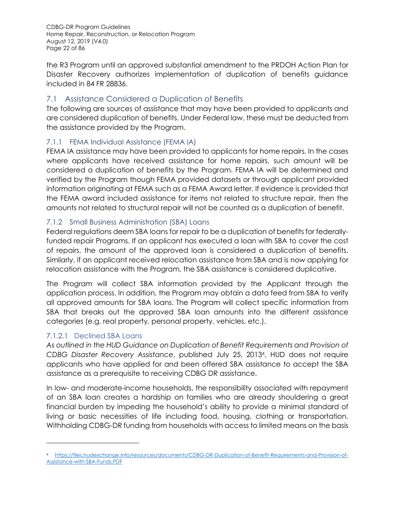CDBG-DR Program Guidelines Home Repair, Reconstruction, or Relocation Program August 12, 2019 (V4.0) Page 22 of 86

the R3 Program until an approved substantial amendment to the PRDOH Action Plan for Disaster Recovery authorizes implementation of duplication of benefits guidance included in 84 FR 28836.

## <span id="page-21-0"></span>7.1 Assistance Considered a Duplication of Benefits

The following are sources of assistance that may have been provided to applicants and are considered duplication of benefits. Under Federal law, these must be deducted from the assistance provided by the Program.

#### <span id="page-21-1"></span>7.1.1 FEMA Individual Assistance (FEMA IA)

FEMA IA assistance may have been provided to applicants for home repairs. In the cases where applicants have received assistance for home repairs, such amount will be considered a duplication of benefits by the Program. FEMA IA will be determined and verified by the Program though FEMA provided datasets or through applicant provided information originating at FEMA such as a FEMA Award letter. If evidence is provided that the FEMA award included assistance for items not related to structure repair, then the amounts not related to structural repair will not be counted as a duplication of benefit.

#### <span id="page-21-2"></span>7.1.2 Small Business Administration (SBA) Loans

Federal regulations deem SBA loans for repair to be a duplication of benefits for federallyfunded repair Programs. If an applicant has executed a loan with SBA to cover the cost of repairs, the amount of the approved loan is considered a duplication of benefits. Similarly, if an applicant received relocation assistance from SBA and is now applying for relocation assistance with the Program, the SBA assistance is considered duplicative.

The Program will collect SBA information provided by the Applicant through the application process. In addition, the Program may obtain a data feed from SBA to verify all approved amounts for SBA loans. The Program will collect specific information from SBA that breaks out the approved SBA loan amounts into the different assistance categories (e.g. real property, personal property, vehicles, etc.).

#### 7.1.2.1 Declined SBA Loans

*As outlined in the HUD Guidance on Duplication of Benefit Requirements and Provision of CDBG Disaster Recovery Assistance*, published July 25, 2013<sup>4</sup> , HUD does not require applicants who have applied for and been offered SBA assistance to accept the SBA assistance as a prerequisite to receiving CDBG DR assistance.

In low- and moderate-income households, the responsibility associated with repayment of an SBA loan creates a hardship on families who are already shouldering a great financial burden by impeding the household's ability to provide a minimal standard of living or basic necessities of life including food, housing, clothing or transportation. Withholding CDBG-DR funding from households with access to limited means on the basis

<sup>4</sup> [https://files.hudexchange.info/resources/documents/CDBG-DR-Duplication-of-Benefit-Requirements-and-Provision-of-](https://files.hudexchange.info/resources/documents/CDBG-DR-Duplication-of-Benefit-Requirements-and-Provision-of-Assistance-with-SBA-Funds.PDF)[Assistance-with-SBA-Funds.PDF](https://files.hudexchange.info/resources/documents/CDBG-DR-Duplication-of-Benefit-Requirements-and-Provision-of-Assistance-with-SBA-Funds.PDF)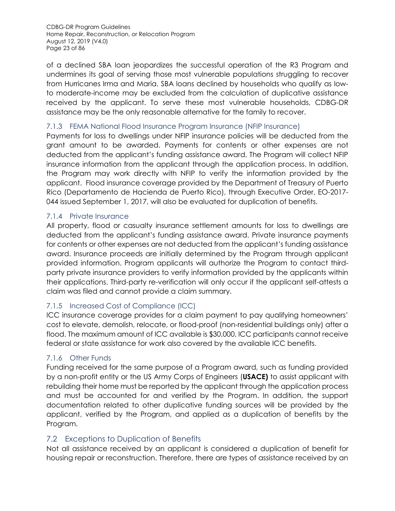CDBG-DR Program Guidelines Home Repair, Reconstruction, or Relocation Program August 12, 2019 (V4.0) Page 23 of 86

of a declined SBA loan jeopardizes the successful operation of the R3 Program and undermines its goal of serving those most vulnerable populations struggling to recover from Hurricanes Irma and Maria. SBA loans declined by households who qualify as lowto moderate-income may be excluded from the calculation of duplicative assistance received by the applicant. To serve these most vulnerable households, CDBG-DR assistance may be the only reasonable alternative for the family to recover.

#### <span id="page-22-0"></span>7.1.3 FEMA National Flood Insurance Program Insurance (NFIP Insurance)

Payments for loss to dwellings under NFIP insurance policies will be deducted from the grant amount to be awarded. Payments for contents or other expenses are not deducted from the applicant's funding assistance award. The Program will collect NFIP insurance information from the applicant through the application process. In addition, the Program may work directly with NFIP to verify the information provided by the applicant. Flood insurance coverage provided by the Department of Treasury of Puerto Rico (Departamento de Hacienda de Puerto Rico), through Executive Order, EO-2017- 044 issued September 1, 2017, will also be evaluated for duplication of benefits.

#### <span id="page-22-1"></span>7.1.4 Private Insurance

All property, flood or casualty insurance settlement amounts for loss to dwellings are deducted from the applicant's funding assistance award. Private insurance payments for contents or other expenses are not deducted from the applicant's funding assistance award. Insurance proceeds are initially determined by the Program through applicant provided information. Program applicants will authorize the Program to contact thirdparty private insurance providers to verify information provided by the applicants within their applications. Third-party re-verification will only occur if the applicant self-attests a claim was filed and cannot provide a claim summary.

## <span id="page-22-2"></span>7.1.5 Increased Cost of Compliance (ICC)

ICC insurance coverage provides for a claim payment to pay qualifying homeowners' cost to elevate, demolish, relocate, or flood-proof (non-residential buildings only) after a flood. The maximum amount of ICC available is \$30,000. ICC participants cannot receive federal or state assistance for work also covered by the available ICC benefits.

#### <span id="page-22-3"></span>7.1.6 Other Funds

Funding received for the same purpose of a Program award, such as funding provided by a non-profit entity or the US Army Corps of Engineers (**USACE)** to assist applicant with rebuilding their home must be reported by the applicant through the application process and must be accounted for and verified by the Program. In addition, the support documentation related to other duplicative funding sources will be provided by the applicant, verified by the Program, and applied as a duplication of benefits by the Program.

#### <span id="page-22-4"></span>7.2 Exceptions to Duplication of Benefits

Not all assistance received by an applicant is considered a duplication of benefit for housing repair or reconstruction. Therefore, there are types of assistance received by an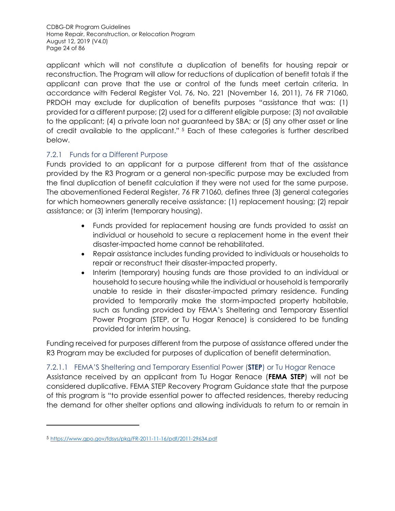CDBG-DR Program Guidelines Home Repair, Reconstruction, or Relocation Program August 12, 2019 (V4.0) Page 24 of 86

applicant which will not constitute a duplication of benefits for housing repair or reconstruction. The Program will allow for reductions of duplication of benefit totals if the applicant can prove that the use or control of the funds meet certain criteria. In accordance with Federal Register Vol. 76, No. 221 (November 16, 2011), 76 FR 71060, PRDOH may exclude for duplication of benefits purposes "assistance that was: (1) provided for a different purpose; (2) used for a different eligible purpose; (3) not available to the applicant; (4) a private loan not guaranteed by SBA; or (5) any other asset or line of credit available to the applicant." <sup>5</sup> Each of these categories is further described below.

## <span id="page-23-0"></span>7.2.1 Funds for a Different Purpose

Funds provided to an applicant for a purpose different from that of the assistance provided by the R3 Program or a general non-specific purpose may be excluded from the final duplication of benefit calculation if they were not used for the same purpose. The abovementioned Federal Register, 76 FR 71060, defines three (3) general categories for which homeowners generally receive assistance: (1) replacement housing; (2) repair assistance; or (3) interim (temporary housing).

- Funds provided for replacement housing are funds provided to assist an individual or household to secure a replacement home in the event their disaster-impacted home cannot be rehabilitated.
- Repair assistance includes funding provided to individuals or households to repair or reconstruct their disaster-impacted property.
- Interim (temporary) housing funds are those provided to an individual or household to secure housing while the individual or household is temporarily unable to reside in their disaster-impacted primary residence. Funding provided to temporarily make the storm-impacted property habitable, such as funding provided by FEMA's Sheltering and Temporary Essential Power Program (STEP, or Tu Hogar Renace) is considered to be funding provided for interim housing.

Funding received for purposes different from the purpose of assistance offered under the R3 Program may be excluded for purposes of duplication of benefit determination.

#### 7.2.1.1 FEMA'S Sheltering and Temporary Essential Power (**STEP**) or Tu Hogar Renace

Assistance received by an applicant from Tu Hogar Renace (**FEMA STEP**) will not be considered duplicative. FEMA STEP Recovery Program Guidance state that the purpose of this program is "to provide essential power to affected residences, thereby reducing the demand for other shelter options and allowing individuals to return to or remain in

<sup>5</sup> <https://www.gpo.gov/fdsys/pkg/FR-2011-11-16/pdf/2011-29634.pdf>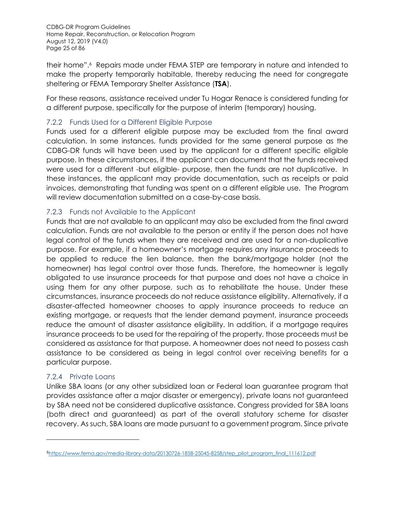CDBG-DR Program Guidelines Home Repair, Reconstruction, or Relocation Program August 12, 2019 (V4.0) Page 25 of 86

their home". 6 Repairs made under FEMA STEP are temporary in nature and intended to make the property temporarily habitable, thereby reducing the need for congregate sheltering or FEMA Temporary Shelter Assistance (**TSA**).

For these reasons, assistance received under Tu Hogar Renace is considered funding for a different purpose, specifically for the purpose of interim (temporary) housing.

#### <span id="page-24-0"></span>7.2.2 Funds Used for a Different Eligible Purpose

Funds used for a different eligible purpose may be excluded from the final award calculation. In some instances, funds provided for the same general purpose as the CDBG-DR funds will have been used by the applicant for a different specific eligible purpose. In these circumstances, if the applicant can document that the funds received were used for a different -but eligible- purpose, then the funds are not duplicative. In these instances, the applicant may provide documentation, such as receipts or paid invoices, demonstrating that funding was spent on a different eligible use. The Program will review documentation submitted on a case-by-case basis.

#### <span id="page-24-1"></span>7.2.3 Funds not Available to the Applicant

Funds that are not available to an applicant may also be excluded from the final award calculation. Funds are not available to the person or entity if the person does not have legal control of the funds when they are received and are used for a non-duplicative purpose. For example, if a homeowner's mortgage requires any insurance proceeds to be applied to reduce the lien balance, then the bank/mortgage holder (not the homeowner) has legal control over those funds. Therefore, the homeowner is legally obligated to use insurance proceeds for that purpose and does not have a choice in using them for any other purpose, such as to rehabilitate the house. Under these circumstances, insurance proceeds do not reduce assistance eligibility. Alternatively, if a disaster-affected homeowner chooses to apply insurance proceeds to reduce an existing mortgage, or requests that the lender demand payment, insurance proceeds reduce the amount of disaster assistance eligibility. In addition, if a mortgage requires insurance proceeds to be used for the repairing of the property, those proceeds must be considered as assistance for that purpose. A homeowner does not need to possess cash assistance to be considered as being in legal control over receiving benefits for a particular purpose.

#### <span id="page-24-2"></span>7.2.4 Private Loans

Unlike SBA loans (or any other subsidized loan or Federal loan guarantee program that provides assistance after a major disaster or emergency), private loans not guaranteed by SBA need not be considered duplicative assistance. Congress provided for SBA loans (both direct and guaranteed) as part of the overall statutory scheme for disaster recovery. As such, SBA loans are made pursuant to a government program. Since private

<sup>6</sup>[https://www.fema.gov/media-library-data/20130726-1858-25045-8258/step\\_pilot\\_program\\_final\\_111612.pdf](https://www.fema.gov/media-library-data/20130726-1858-25045-8258/step_pilot_program_final_111612.pdf)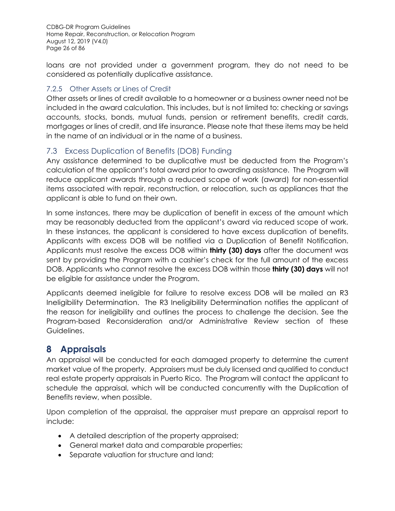CDBG-DR Program Guidelines Home Repair, Reconstruction, or Relocation Program August 12, 2019 (V4.0) Page 26 of 86

loans are not provided under a government program, they do not need to be considered as potentially duplicative assistance.

### <span id="page-25-0"></span>7.2.5 Other Assets or Lines of Credit

Other assets or lines of credit available to a homeowner or a business owner need not be included in the award calculation. This includes, but is not limited to: checking or savings accounts, stocks, bonds, mutual funds, pension or retirement benefits, credit cards, mortgages or lines of credit, and life insurance. Please note that these items may be held in the name of an individual or in the name of a business.

## <span id="page-25-1"></span>7.3 Excess Duplication of Benefits (DOB) Funding

Any assistance determined to be duplicative must be deducted from the Program's calculation of the applicant's total award prior to awarding assistance. The Program will reduce applicant awards through a reduced scope of work (award) for non-essential items associated with repair, reconstruction, or relocation, such as appliances that the applicant is able to fund on their own.

In some instances, there may be duplication of benefit in excess of the amount which may be reasonably deducted from the applicant's award via reduced scope of work. In these instances, the applicant is considered to have excess duplication of benefits. Applicants with excess DOB will be notified via a Duplication of Benefit Notification. Applicants must resolve the excess DOB within **thirty (30) days** after the document was sent by providing the Program with a cashier's check for the full amount of the excess DOB. Applicants who cannot resolve the excess DOB within those **thirty (30) days** will not be eligible for assistance under the Program.

Applicants deemed ineligible for failure to resolve excess DOB will be mailed an R3 Ineligibility Determination. The R3 Ineligibility Determination notifies the applicant of the reason for ineligibility and outlines the process to challenge the decision. See the Program-based Reconsideration and/or Administrative Review section of these Guidelines.

# <span id="page-25-2"></span>**8 Appraisals**

An appraisal will be conducted for each damaged property to determine the current market value of the property. Appraisers must be duly licensed and qualified to conduct real estate property appraisals in Puerto Rico. The Program will contact the applicant to schedule the appraisal, which will be conducted concurrently with the Duplication of Benefits review, when possible.

Upon completion of the appraisal, the appraiser must prepare an appraisal report to include:

- A detailed description of the property appraised;
- General market data and comparable properties;
- Separate valuation for structure and land;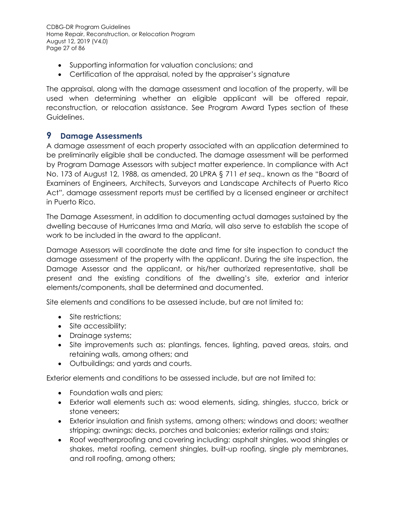CDBG-DR Program Guidelines Home Repair, Reconstruction, or Relocation Program August 12, 2019 (V4.0) Page 27 of 86

- Supporting information for valuation conclusions; and
- Certification of the appraisal, noted by the appraiser's signature

The appraisal, along with the damage assessment and location of the property, will be used when determining whether an eligible applicant will be offered repair, reconstruction, or relocation assistance. See Program Award Types section of these Guidelines.

#### <span id="page-26-0"></span>**9 Damage Assessments**

A damage assessment of each property associated with an application determined to be preliminarily eligible shall be conducted. The damage assessment will be performed by Program Damage Assessors with subject matter experience. In compliance with Act No. 173 of August 12, 1988, as amended, 20 LPRA § 711 *et seq*., known as the "Board of Examiners of Engineers, Architects, Surveyors and Landscape Architects of Puerto Rico Act", damage assessment reports must be certified by a licensed engineer or architect in Puerto Rico.

The Damage Assessment, in addition to documenting actual damages sustained by the dwelling because of Hurricanes Irma and María, will also serve to establish the scope of work to be included in the award to the applicant.

Damage Assessors will coordinate the date and time for site inspection to conduct the damage assessment of the property with the applicant. During the site inspection, the Damage Assessor and the applicant, or his/her authorized representative, shall be present and the existing conditions of the dwelling's site, exterior and interior elements/components, shall be determined and documented.

Site elements and conditions to be assessed include, but are not limited to:

- Site restrictions:
- Site accessibility;
- Drainage systems;
- Site improvements such as: plantings, fences, lighting, paved areas, stairs, and retaining walls, among others; and
- Outbuildings; and yards and courts.

Exterior elements and conditions to be assessed include, but are not limited to:

- Foundation walls and piers;
- Exterior wall elements such as: wood elements, siding, shingles, stucco, brick or stone veneers;
- Exterior insulation and finish systems, among others; windows and doors; weather stripping; awnings; decks, porches and balconies; exterior railings and stairs;
- Roof weatherproofing and covering including: asphalt shingles, wood shingles or shakes, metal roofing, cement shingles, built-up roofing, single ply membranes, and roll roofing, among others;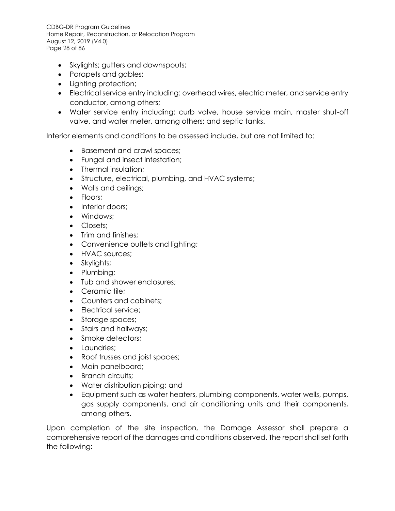CDBG-DR Program Guidelines Home Repair, Reconstruction, or Relocation Program August 12, 2019 (V4.0) Page 28 of 86

- Skylights; gutters and downspouts;
- Parapets and gables;
- Lighting protection;
- Electrical service entry including: overhead wires, electric meter, and service entry conductor, among others;
- Water service entry including: curb valve, house service main, master shut-off valve, and water meter, among others; and septic tanks.

Interior elements and conditions to be assessed include, but are not limited to:

- Basement and crawl spaces;
- Fungal and insect infestation;
- Thermal insulation;
- Structure, electrical, plumbing, and HVAC systems;
- Walls and ceilings;
- Floors;
- Interior doors;
- Windows;
- Closets:
- Trim and finishes:
- Convenience outlets and lighting;
- HVAC sources;
- Skylights;
- Plumbing;
- Tub and shower enclosures;
- Ceramic tile;
- Counters and cabinets;
- Electrical service:
- Storage spaces;
- Stairs and hallways;
- Smoke detectors:
- Laundries;
- Roof trusses and joist spaces;
- Main panelboard;
- Branch circuits;
- Water distribution piping; and
- Equipment such as water heaters, plumbing components, water wells, pumps, gas supply components, and air conditioning units and their components, among others.

Upon completion of the site inspection, the Damage Assessor shall prepare a comprehensive report of the damages and conditions observed. The report shall set forth the following: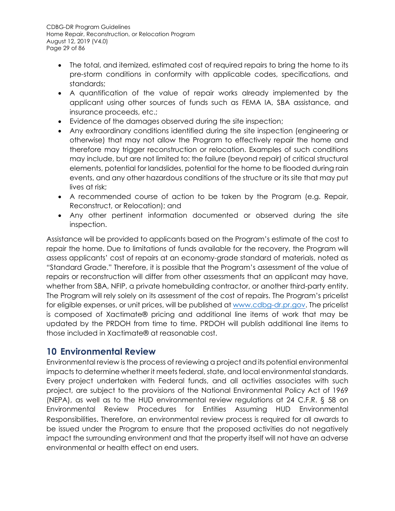CDBG-DR Program Guidelines Home Repair, Reconstruction, or Relocation Program August 12, 2019 (V4.0) Page 29 of 86

- The total, and itemized, estimated cost of required repairs to bring the home to its pre-storm conditions in conformity with applicable codes, specifications, and standards;
- A quantification of the value of repair works already implemented by the applicant using other sources of funds such as FEMA IA, SBA assistance, and insurance proceeds, etc.;
- Evidence of the damages observed during the site inspection;
- Any extraordinary conditions identified during the site inspection (engineering or otherwise) that may not allow the Program to effectively repair the home and therefore may trigger reconstruction or relocation. Examples of such conditions may include, but are not limited to: the failure (beyond repair) of critical structural elements, potential for landslides, potential for the home to be flooded during rain events, and any other hazardous conditions of the structure or its site that may put lives at risk;
- A recommended course of action to be taken by the Program (e.g. Repair, Reconstruct, or Relocation); and
- Any other pertinent information documented or observed during the site inspection.

Assistance will be provided to applicants based on the Program's estimate of the cost to repair the home. Due to limitations of funds available for the recovery, the Program will assess applicants' cost of repairs at an economy-grade standard of materials, noted as "Standard Grade." Therefore, it is possible that the Program's assessment of the value of repairs or reconstruction will differ from other assessments that an applicant may have, whether from SBA, NFIP, a private homebuilding contractor, or another third-party entity. The Program will rely solely on its assessment of the cost of repairs. The Program's pricelist for eligible expenses, or unit prices, will be published at [www.cdbg-dr.pr.gov.](http://www.cdbg-dr.pr.gov/) The pricelist is composed of Xactimate® pricing and additional line items of work that may be updated by the PRDOH from time to time. PRDOH will publish additional line items to those included in Xactimate® at reasonable cost.

# <span id="page-28-0"></span>**10 Environmental Review**

Environmental review is the process of reviewing a project and its potential environmental impacts to determine whether it meets federal, state, and local environmental standards. Every project undertaken with Federal funds, and all activities associates with such project, are subject to the provisions of the National Environmental Policy Act of 1969 (NEPA), as well as to the HUD environmental review regulations at 24 C.F.R. § 58 on Environmental Review Procedures for Entities Assuming HUD Environmental Responsibilities. Therefore, an environmental review process is required for all awards to be issued under the Program to ensure that the proposed activities do not negatively impact the surrounding environment and that the property itself will not have an adverse environmental or health effect on end users.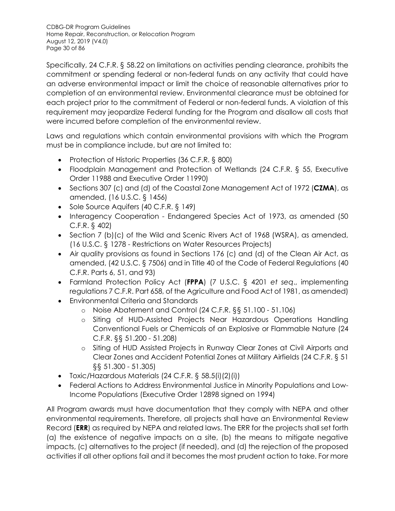CDBG-DR Program Guidelines Home Repair, Reconstruction, or Relocation Program August 12, 2019 (V4.0) Page 30 of 86

Specifically, 24 C.F.R. § 58.22 on limitations on activities pending clearance, prohibits the commitment or spending federal or non-federal funds on any activity that could have an adverse environmental impact or limit the choice of reasonable alternatives prior to completion of an environmental review. Environmental clearance must be obtained for each project prior to the commitment of Federal or non-federal funds. A violation of this requirement may jeopardize Federal funding for the Program and disallow all costs that were incurred before completion of the environmental review.

Laws and regulations which contain environmental provisions with which the Program must be in compliance include, but are not limited to:

- Protection of Historic Properties (36 C.F.R. § 800)
- Floodplain Management and Protection of Wetlands (24 C.F.R. § 55, Executive Order 11988 and Executive Order 11990)
- Sections 307 (c) and (d) of the Coastal Zone Management Act of 1972 (**CZMA**), as amended, (16 U.S.C. § 1456)
- Sole Source Aquifers (40 C.F.R. § 149)
- Interagency Cooperation Endangered Species Act of 1973, as amended (50 C.F.R. § 402)
- Section 7 (b)(c) of the Wild and Scenic Rivers Act of 1968 (WSRA), as amended, (16 U.S.C. § 1278 - Restrictions on Water Resources Projects)
- Air quality provisions as found in Sections 176 (c) and (d) of the Clean Air Act, as amended, (42 U.S.C. § 7506) and in Title 40 of the Code of Federal Regulations (40 C.F.R. Parts 6, 51, and 93)
- Farmland Protection Policy Act (**FPPA**) (7 U.S.C. § 4201 *et seq*., implementing regulations 7 C.F.R. Part 658, of the Agriculture and Food Act of 1981, as amended)
- Environmental Criteria and Standards
	- o Noise Abatement and Control (24 C.F.R. §§ 51.100 51.106)
	- o Siting of HUD-Assisted Projects Near Hazardous Operations Handling Conventional Fuels or Chemicals of an Explosive or Flammable Nature (24 C.F.R. §§ 51.200 - 51.208)
	- o Siting of HUD Assisted Projects in Runway Clear Zones at Civil Airports and Clear Zones and Accident Potential Zones at Military Airfields (24 C.F.R. § 51 §§ 51.300 - 51.305)
- Toxic/Hazardous Materials (24 C.F.R. § 58.5(i)(2)(i))
- Federal Actions to Address Environmental Justice in Minority Populations and Low-Income Populations (Executive Order 12898 signed on 1994)

All Program awards must have documentation that they comply with NEPA and other environmental requirements. Therefore, all projects shall have an Environmental Review Record (**ERR**) as required by NEPA and related laws. The ERR for the projects shall set forth (a) the existence of negative impacts on a site, (b) the means to mitigate negative impacts, (c) alternatives to the project (if needed), and (d) the rejection of the proposed activities if all other options fail and it becomes the most prudent action to take. For more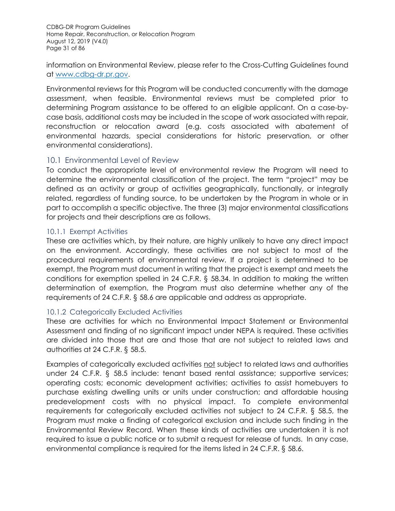CDBG-DR Program Guidelines Home Repair, Reconstruction, or Relocation Program August 12, 2019 (V4.0) Page 31 of 86

information on Environmental Review, please refer to the Cross-Cutting Guidelines found at [www.cdbg-dr.pr.gov.](http://www.cdbg-dr.pr.gov/)

Environmental reviews for this Program will be conducted concurrently with the damage assessment, when feasible. Environmental reviews must be completed prior to determining Program assistance to be offered to an eligible applicant. On a case-bycase basis, additional costs may be included in the scope of work associated with repair, reconstruction or relocation award (e.g. costs associated with abatement of environmental hazards, special considerations for historic preservation, or other environmental considerations).

#### <span id="page-30-0"></span>10.1 Environmental Level of Review

To conduct the appropriate level of environmental review the Program will need to determine the environmental classification of the project. The term "project" may be defined as an activity or group of activities geographically, functionally, or integrally related, regardless of funding source, to be undertaken by the Program in whole or in part to accomplish a specific objective. The three (3) major environmental classifications for projects and their descriptions are as follows.

#### <span id="page-30-1"></span>10.1.1 Exempt Activities

These are activities which, by their nature, are highly unlikely to have any direct impact on the environment. Accordingly, these activities are not subject to most of the procedural requirements of environmental review. If a project is determined to be exempt, the Program must document in writing that the project is exempt and meets the conditions for exemption spelled in 24 C.F.R. § 58.34. In addition to making the written determination of exemption, the Program must also determine whether any of the requirements of 24 C.F.R. § 58.6 are applicable and address as appropriate.

#### <span id="page-30-2"></span>10.1.2 Categorically Excluded Activities

These are activities for which no Environmental Impact Statement or Environmental Assessment and finding of no significant impact under NEPA is required. These activities are divided into those that are and those that are not subject to related laws and authorities at 24 C.F.R. § 58.5.

Examples of categorically excluded activities not subject to related laws and authorities under 24 C.F.R. § 58.5 include: tenant based rental assistance; supportive services; operating costs; economic development activities; activities to assist homebuyers to purchase existing dwelling units or units under construction; and affordable housing predevelopment costs with no physical impact. To complete environmental requirements for categorically excluded activities not subject to 24 C.F.R. § 58.5, the Program must make a finding of categorical exclusion and include such finding in the Environmental Review Record. When these kinds of activities are undertaken it is not required to issue a public notice or to submit a request for release of funds. In any case, environmental compliance is required for the items listed in 24 C.F.R. § 58.6.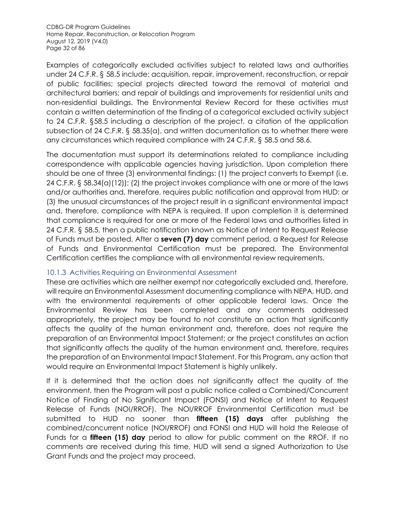CDBG-DR Program Guidelines Home Repair, Reconstruction, or Relocation Program August 12, 2019 (V4.0) Page 32 of 86

Examples of categorically excluded activities subject to related laws and authorities under 24 C.F.R. § 58.5 include: acquisition, repair, improvement, reconstruction, or repair of public facilities; special projects directed toward the removal of material and architectural barriers; and repair of buildings and improvements for residential units and non-residential buildings. The Environmental Review Record for these activities must contain a written determination of the finding of a categorical excluded activity subject to 24 C.F.R. §58.5 including a description of the project, a citation of the application subsection of 24 C.F.R. § 58.35(a), and written documentation as to whether there were any circumstances which required compliance with 24 C.F.R. § 58.5 and 58.6.

The documentation must support its determinations related to compliance including correspondence with applicable agencies having jurisdiction. Upon completion there should be one of three (3) environmental findings: (1) the project converts to Exempt (i.e. 24 C.F.R. § 58.34(a)(12)); (2) the project invokes compliance with one or more of the laws and/or authorities and, therefore, requires public notification and approval from HUD; or (3) the unusual circumstances of the project result in a significant environmental impact and, therefore, compliance with NEPA is required. If upon completion it is determined that compliance is required for one or more of the Federal laws and authorities listed in 24 C.F.R. § 58.5, then a public notification known as Notice of Intent to Request Release of Funds must be posted. After a **seven (7) day** comment period, a Request for Release of Funds and Environmental Certification must be prepared. The Environmental Certification certifies the compliance with all environmental review requirements.

#### <span id="page-31-0"></span>10.1.3 Activities Requiring an Environmental Assessment

These are activities which are neither exempt nor categorically excluded and, therefore, will require an Environmental Assessment documenting compliance with NEPA, HUD, and with the environmental requirements of other applicable federal laws. Once the Environmental Review has been completed and any comments addressed appropriately, the project may be found to not constitute an action that significantly affects the quality of the human environment and, therefore, does not require the preparation of an Environmental Impact Statement; or the project constitutes an action that significantly affects the quality of the human environment and, therefore, requires the preparation of an Environmental Impact Statement. For this Program, any action that would require an Environmental Impact Statement is highly unlikely.

If it is determined that the action does not significantly affect the quality of the environment, then the Program will post a public notice called a Combined/Concurrent Notice of Finding of No Significant Impact (FONSI) and Notice of Intent to Request Release of Funds (NOI/RROF). The NOI/RROF Environmental Certification must be submitted to HUD no sooner than **fifteen (15) days** after publishing the combined/concurrent notice (NOI/RROF) and FONSI and HUD will hold the Release of Funds for a **fifteen (15) day** period to allow for public comment on the RROF. If no comments are received during this time, HUD will send a signed Authorization to Use Grant Funds and the project may proceed.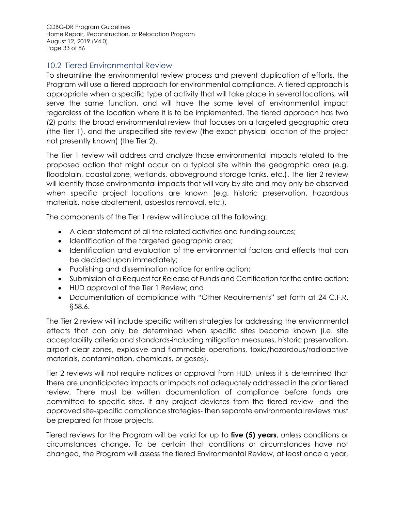CDBG-DR Program Guidelines Home Repair, Reconstruction, or Relocation Program August 12, 2019 (V4.0) Page 33 of 86

#### <span id="page-32-0"></span>10.2 Tiered Environmental Review

To streamline the environmental review process and prevent duplication of efforts, the Program will use a tiered approach for environmental compliance. A tiered approach is appropriate when a specific type of activity that will take place in several locations, will serve the same function, and will have the same level of environmental impact regardless of the location where it is to be implemented. The tiered approach has two (2) parts: the broad environmental review that focuses on a targeted geographic area (the Tier 1), and the unspecified site review (the exact physical location of the project not presently known) (the Tier 2).

The Tier 1 review will address and analyze those environmental impacts related to the proposed action that might occur on a typical site within the geographic area (e.g. floodplain, coastal zone, wetlands, aboveground storage tanks, etc.). The Tier 2 review will identify those environmental impacts that will vary by site and may only be observed when specific project locations are known (e.g. historic preservation, hazardous materials, noise abatement, asbestos removal, etc.).

The components of the Tier 1 review will include all the following:

- A clear statement of all the related activities and funding sources;
- Identification of the targeted geographic area;
- Identification and evaluation of the environmental factors and effects that can be decided upon immediately;
- Publishing and dissemination notice for entire action;
- Submission of a Request for Release of Funds and Certification for the entire action;
- HUD approval of the Tier 1 Review; and
- Documentation of compliance with "Other Requirements" set forth at 24 C.F.R. §58.6.

The Tier 2 review will include specific written strategies for addressing the environmental effects that can only be determined when specific sites become known (i.e. site acceptability criteria and standards-including mitigation measures, historic preservation, airport clear zones, explosive and flammable operations, toxic/hazardous/radioactive materials, contamination, chemicals, or gases).

Tier 2 reviews will not require notices or approval from HUD, unless it is determined that there are unanticipated impacts or impacts not adequately addressed in the prior tiered review. There must be written documentation of compliance before funds are committed to specific sites. If any project deviates from the tiered review -and the approved site-specific compliance strategies- then separate environmental reviews must be prepared for those projects.

Tiered reviews for the Program will be valid for up to **five (5) years**, unless conditions or circumstances change. To be certain that conditions or circumstances have not changed, the Program will assess the tiered Environmental Review, at least once a year,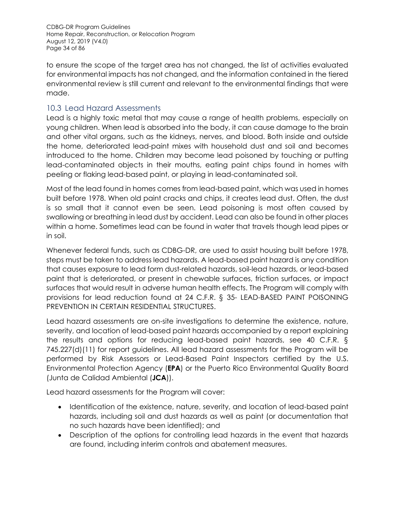CDBG-DR Program Guidelines Home Repair, Reconstruction, or Relocation Program August 12, 2019 (V4.0) Page 34 of 86

to ensure the scope of the target area has not changed, the list of activities evaluated for environmental impacts has not changed, and the information contained in the tiered environmental review is still current and relevant to the environmental findings that were made.

#### <span id="page-33-0"></span>10.3 Lead Hazard Assessments

Lead is a highly toxic metal that may cause a range of health problems, especially on young children. When lead is absorbed into the body, it can cause damage to the brain and other vital organs, such as the kidneys, nerves, and blood. Both inside and outside the home, deteriorated lead-paint mixes with household dust and soil and becomes introduced to the home. Children may become lead poisoned by touching or putting lead-contaminated objects in their mouths, eating paint chips found in homes with peeling or flaking lead-based paint, or playing in lead-contaminated soil.

Most of the lead found in homes comes from lead-based paint, which was used in homes built before 1978. When old paint cracks and chips, it creates lead dust. Often, the dust is so small that it cannot even be seen. Lead poisoning is most often caused by swallowing or breathing in lead dust by accident. Lead can also be found in other places within a home. Sometimes lead can be found in water that travels though lead pipes or in soil.

Whenever federal funds, such as CDBG-DR, are used to assist housing built before 1978, steps must be taken to address lead hazards. A lead-based paint hazard is any condition that causes exposure to lead form dust-related hazards, soil-lead hazards, or lead-based paint that is deteriorated, or present in chewable surfaces, friction surfaces, or impact surfaces that would result in adverse human health effects. The Program will comply with provisions for lead reduction found at 24 C.F.R. § 35- LEAD-BASED PAINT POISONING PREVENTION IN CERTAIN RESIDENTIAL STRUCTURES.

Lead hazard assessments are on-site investigations to determine the existence, nature, severity, and location of lead-based paint hazards accompanied by a report explaining the results and options for reducing lead-based paint hazards, see 40 C.F.R. § 745.227(d)(11) for report guidelines. All lead hazard assessments for the Program will be performed by Risk Assessors or Lead-Based Paint Inspectors certified by the U.S. Environmental Protection Agency (**EPA**) or the Puerto Rico Environmental Quality Board (Junta de Calidad Ambiental (**JCA**)).

Lead hazard assessments for the Program will cover:

- Identification of the existence, nature, severity, and location of lead-based paint hazards, including soil and dust hazards as well as paint (or documentation that no such hazards have been identified); and
- Description of the options for controlling lead hazards in the event that hazards are found, including interim controls and abatement measures.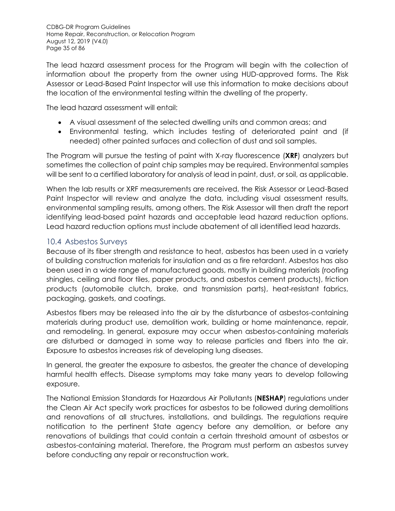CDBG-DR Program Guidelines Home Repair, Reconstruction, or Relocation Program August 12, 2019 (V4.0) Page 35 of 86

The lead hazard assessment process for the Program will begin with the collection of information about the property from the owner using HUD-approved forms. The Risk Assessor or Lead-Based Paint Inspector will use this information to make decisions about the location of the environmental testing within the dwelling of the property.

The lead hazard assessment will entail:

- A visual assessment of the selected dwelling units and common areas; and
- Environmental testing, which includes testing of deteriorated paint and (if needed) other painted surfaces and collection of dust and soil samples.

The Program will pursue the testing of paint with X-ray fluorescence (**XRF**) analyzers but sometimes the collection of paint chip samples may be required. Environmental samples will be sent to a certified laboratory for analysis of lead in paint, dust, or soil, as applicable.

When the lab results or XRF measurements are received, the Risk Assessor or Lead-Based Paint Inspector will review and analyze the data, including visual assessment results, environmental sampling results, among others. The Risk Assessor will then draft the report identifying lead-based paint hazards and acceptable lead hazard reduction options. Lead hazard reduction options must include abatement of all identified lead hazards.

#### <span id="page-34-0"></span>10.4 Asbestos Surveys

Because of its fiber strength and resistance to heat, asbestos has been used in a variety of building construction materials for insulation and as a fire retardant. Asbestos has also been used in a wide range of manufactured goods, mostly in building materials (roofing shingles, ceiling and floor tiles, paper products, and asbestos cement products), friction products (automobile clutch, brake, and transmission parts), heat-resistant fabrics, packaging, gaskets, and coatings.

Asbestos fibers may be released into the air by the disturbance of asbestos-containing materials during product use, demolition work, building or home maintenance, repair, and remodeling. In general, exposure may occur when asbestos-containing materials are disturbed or damaged in some way to release particles and fibers into the air. Exposure to asbestos increases risk of developing lung diseases.

In general, the greater the exposure to asbestos, the greater the chance of developing harmful health effects. Disease symptoms may take many years to develop following exposure.

The National Emission Standards for Hazardous Air Pollutants (**NESHAP**) regulations under the Clean Air Act specify work practices for asbestos to be followed during demolitions and renovations of all structures, installations, and buildings. The regulations require notification to the pertinent State agency before any demolition, or before any renovations of buildings that could contain a certain threshold amount of asbestos or asbestos-containing material. Therefore, the Program must perform an asbestos survey before conducting any repair or reconstruction work.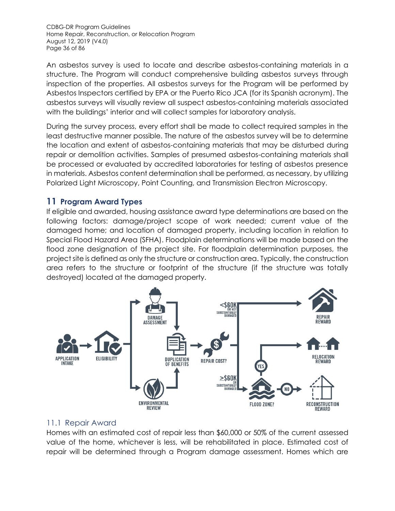CDBG-DR Program Guidelines Home Repair, Reconstruction, or Relocation Program August 12, 2019 (V4.0) Page 36 of 86

An asbestos survey is used to locate and describe asbestos-containing materials in a structure. The Program will conduct comprehensive building asbestos surveys through inspection of the properties. All asbestos surveys for the Program will be performed by Asbestos Inspectors certified by EPA or the Puerto Rico JCA (for its Spanish acronym). The asbestos surveys will visually review all suspect asbestos-containing materials associated with the buildings' interior and will collect samples for laboratory analysis.

During the survey process, every effort shall be made to collect required samples in the least destructive manner possible. The nature of the asbestos survey will be to determine the location and extent of asbestos-containing materials that may be disturbed during repair or demolition activities. Samples of presumed asbestos-containing materials shall be processed or evaluated by accredited laboratories for testing of asbestos presence in materials. Asbestos content determination shall be performed, as necessary, by utilizing Polarized Light Microscopy, Point Counting, and Transmission Electron Microscopy.

## <span id="page-35-0"></span>**11 Program Award Types**

If eligible and awarded, housing assistance award type determinations are based on the following factors: damage/project scope of work needed; current value of the damaged home; and location of damaged property, including location in relation to Special Flood Hazard Area (SFHA). Floodplain determinations will be made based on the flood zone designation of the project site. For floodplain determination purposes, the project site is defined as only the structure or construction area. Typically, the construction area refers to the structure or footprint of the structure (if the structure was totally destroyed) located at the damaged property.



## <span id="page-35-1"></span>11.1 Repair Award

Homes with an estimated cost of repair less than \$60,000 or 50% of the current assessed value of the home, whichever is less, will be rehabilitated in place. Estimated cost of repair will be determined through a Program damage assessment. Homes which are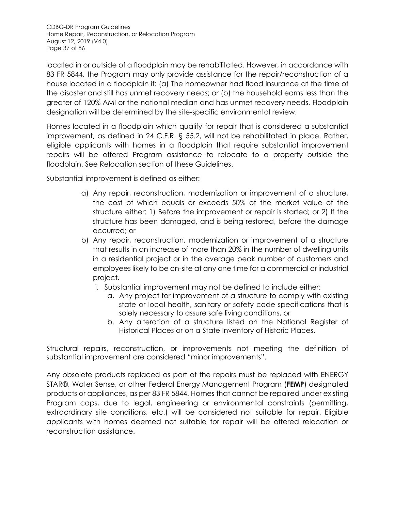CDBG-DR Program Guidelines Home Repair, Reconstruction, or Relocation Program August 12, 2019 (V4.0) Page 37 of 86

located in or outside of a floodplain may be rehabilitated. However, in accordance with 83 FR 5844, the Program may only provide assistance for the repair/reconstruction of a house located in a floodplain if: (a) The homeowner had flood insurance at the time of the disaster and still has unmet recovery needs; or (b) the household earns less than the greater of 120% AMI or the national median and has unmet recovery needs. Floodplain designation will be determined by the site-specific environmental review.

Homes located in a floodplain which qualify for repair that is considered a substantial improvement, as defined in 24 C.F.R. § 55.2, will not be rehabilitated in place. Rather, eligible applicants with homes in a floodplain that require substantial improvement repairs will be offered Program assistance to relocate to a property outside the floodplain. See Relocation section of these Guidelines.

Substantial improvement is defined as either:

- a) Any repair, reconstruction, modernization or improvement of a structure, the cost of which equals or exceeds 50% of the market value of the structure either: 1) Before the improvement or repair is started; or 2) If the structure has been damaged, and is being restored, before the damage occurred; or
- b) Any repair, reconstruction, modernization or improvement of a structure that results in an increase of more than 20% in the number of dwelling units in a residential project or in the average peak number of customers and employees likely to be on-site at any one time for a commercial or industrial project.
	- i. Substantial improvement may not be defined to include either:
		- a. Any project for improvement of a structure to comply with existing state or local health, sanitary or safety code specifications that is solely necessary to assure safe living conditions, or
		- b. Any alteration of a structure listed on the National Register of Historical Places or on a State Inventory of Historic Places.

Structural repairs, reconstruction, or improvements not meeting the definition of substantial improvement are considered "minor improvements".

Any obsolete products replaced as part of the repairs must be replaced with ENERGY STAR®, Water Sense, or other Federal Energy Management Program (**FEMP**) designated products or appliances, as per 83 FR 5844. Homes that cannot be repaired under existing Program caps, due to legal, engineering or environmental constraints (permitting, extraordinary site conditions, etc.) will be considered not suitable for repair. Eligible applicants with homes deemed not suitable for repair will be offered relocation or reconstruction assistance.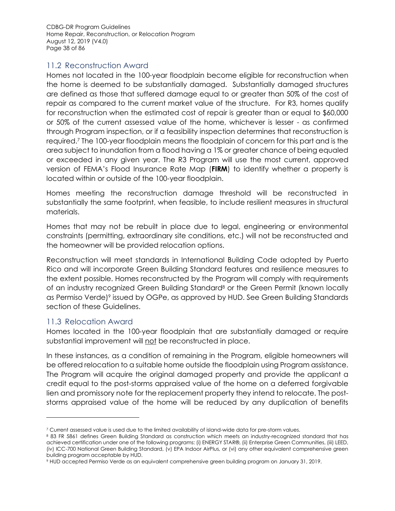CDBG-DR Program Guidelines Home Repair, Reconstruction, or Relocation Program August 12, 2019 (V4.0) Page 38 of 86

## 11.2 Reconstruction Award

Homes not located in the 100-year floodplain become eligible for reconstruction when the home is deemed to be substantially damaged. Substantially damaged structures are defined as those that suffered damage equal to or greater than 50% of the cost of repair as compared to the current market value of the structure. For R3, homes qualify for reconstruction when the estimated cost of repair is greater than or equal to \$60,000 or 50% of the current assessed value of the home, whichever is lesser - as confirmed through Program inspection, or if a feasibility inspection determines that reconstruction is required.<sup>7</sup> The 100-year floodplain means the floodplain of concern for this part and is the area subject to inundation from a flood having a 1% or greater chance of being equaled or exceeded in any given year. The R3 Program will use the most current, approved version of FEMA's Flood Insurance Rate Map (**FIRM**) to identify whether a property is located within or outside of the 100-year floodplain.

Homes meeting the reconstruction damage threshold will be reconstructed in substantially the same footprint, when feasible, to include resilient measures in structural materials.

Homes that may not be rebuilt in place due to legal, engineering or environmental constraints (permitting, extraordinary site conditions, etc.) will not be reconstructed and the homeowner will be provided relocation options.

Reconstruction will meet standards in International Building Code adopted by Puerto Rico and will incorporate Green Building Standard features and resilience measures to the extent possible. Homes reconstructed by the Program will comply with requirements of an industry recognized Green Building Standard<sup>8</sup> or the Green Permit (known locally as Permiso Verde)<sup>9</sup> issued by OGPe, as approved by HUD. See Green Building Standards section of these Guidelines.

### 11.3 Relocation Award

Homes located in the 100-year floodplain that are substantially damaged or require substantial improvement will not be reconstructed in place.

In these instances, as a condition of remaining in the Program, eligible homeowners will be offered relocation to a suitable home outside the floodplain using Program assistance. The Program will acquire the original damaged property and provide the applicant a credit equal to the post-storms appraised value of the home on a deferred forgivable lien and promissory note for the replacement property they intend to relocate. The poststorms appraised value of the home will be reduced by any duplication of benefits

<sup>7</sup> Current assessed value is used due to the limited availability of island-wide data for pre-storm values.

<sup>8 83</sup> FR 5861 defines Green Building Standard as construction which meets an industry-recognized standard that has achieved certification under one of the following programs: (i) ENERGY STAR®, (ii) Enterprise Green Communities, (iii) LEED, (iv) ICC-700 National Green Building Standard, (v) EPA Indoor AirPlus, or (vi) any other equivalent comprehensive green building program acceptable by HUD.

<sup>9</sup> HUD accepted Permiso Verde as an equivalent comprehensive green building program on January 31, 2019.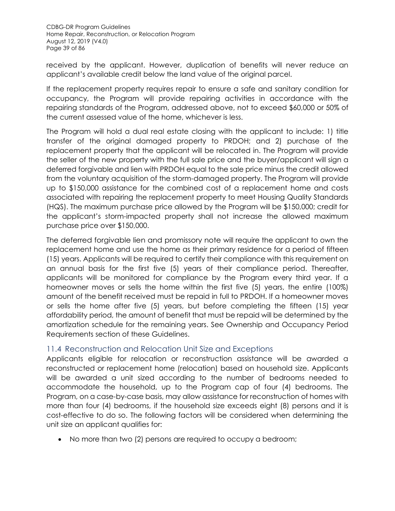CDBG-DR Program Guidelines Home Repair, Reconstruction, or Relocation Program August 12, 2019 (V4.0) Page 39 of 86

received by the applicant. However, duplication of benefits will never reduce an applicant's available credit below the land value of the original parcel.

If the replacement property requires repair to ensure a safe and sanitary condition for occupancy, the Program will provide repairing activities in accordance with the repairing standards of the Program, addressed above, not to exceed \$60,000 or 50% of the current assessed value of the home, whichever is less.

The Program will hold a dual real estate closing with the applicant to include: 1) title transfer of the original damaged property to PRDOH; and 2) purchase of the replacement property that the applicant will be relocated in. The Program will provide the seller of the new property with the full sale price and the buyer/applicant will sign a deferred forgivable and lien with PRDOH equal to the sale price minus the credit allowed from the voluntary acquisition of the storm-damaged property. The Program will provide up to \$150,000 assistance for the combined cost of a replacement home and costs associated with repairing the replacement property to meet Housing Quality Standards (HQS). The maximum purchase price allowed by the Program will be \$150,000; credit for the applicant's storm-impacted property shall not increase the allowed maximum purchase price over \$150,000.

The deferred forgivable lien and promissory note will require the applicant to own the replacement home and use the home as their primary residence for a period of fifteen (15) years. Applicants will be required to certify their compliance with this requirement on an annual basis for the first five (5) years of their compliance period. Thereafter, applicants will be monitored for compliance by the Program every third year. If a homeowner moves or sells the home within the first five (5) years, the entire (100%) amount of the benefit received must be repaid in full to PRDOH. If a homeowner moves or sells the home after five (5) years, but before completing the fifteen (15) year affordability period, the amount of benefit that must be repaid will be determined by the amortization schedule for the remaining years. See Ownership and Occupancy Period Requirements section of these Guidelines.

## 11.4 Reconstruction and Relocation Unit Size and Exceptions

Applicants eligible for relocation or reconstruction assistance will be awarded a reconstructed or replacement home (relocation) based on household size. Applicants will be awarded a unit sized according to the number of bedrooms needed to accommodate the household, up to the Program cap of four (4) bedrooms. The Program, on a case-by-case basis, may allow assistance for reconstruction of homes with more than four (4) bedrooms, if the household size exceeds eight (8) persons and it is cost-effective to do so. The following factors will be considered when determining the unit size an applicant qualifies for:

• No more than two (2) persons are required to occupy a bedroom;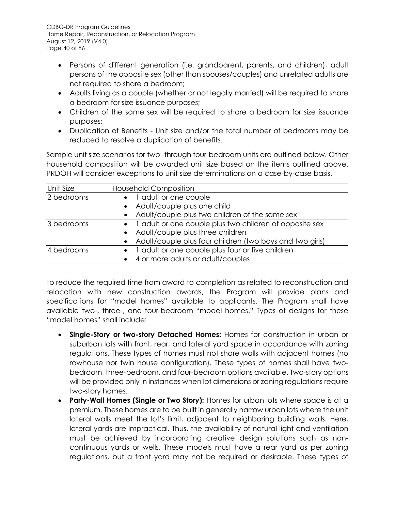CDBG-DR Program Guidelines Home Repair, Reconstruction, or Relocation Program August 12, 2019 (V4.0) Page 40 of 86

- Persons of different generation (i.e. grandparent, parents, and children), adult persons of the opposite sex (other than spouses/couples) and unrelated adults are not required to share a bedroom;
- Adults living as a couple (whether or not legally married) will be required to share a bedroom for size issuance purposes;
- Children of the same sex will be required to share a bedroom for size issuance purposes;
- Duplication of Benefits Unit size and/or the total number of bedrooms may be reduced to resolve a duplication of benefits.

Sample unit size scenarios for two- through four-bedroom units are outlined below. Other household composition will be awarded unit size based on the items outlined above. PRDOH will consider exceptions to unit size determinations on a case-by-case basis.

| Unit Size  | <b>Household Composition</b>                                          |  |  |
|------------|-----------------------------------------------------------------------|--|--|
| 2 bedrooms | • 1 adult or one couple                                               |  |  |
|            | • Adult/couple plus one child                                         |  |  |
|            | Adult/couple plus two children of the same sex<br>$\bullet$           |  |  |
| 3 bedrooms | I adult or one couple plus two children of opposite sex<br>$\bullet$  |  |  |
|            | • Adult/couple plus three children                                    |  |  |
|            | Adult/couple plus four children (two boys and two girls)<br>$\bullet$ |  |  |
| 4 bedrooms | I adult or one couple plus four or five children                      |  |  |
|            | 4 or more adults or adult/couples                                     |  |  |

To reduce the required time from award to completion as related to reconstruction and relocation with new construction awards, the Program will provide plans and specifications for "model homes" available to applicants. The Program shall have available two-, three-, and four-bedroom "model homes." Types of designs for these "model homes" shall include:

- **Single-Story or two-story Detached Homes:** Homes for construction in urban or suburban lots with front, rear, and lateral yard space in accordance with zoning regulations. These types of homes must not share walls with adjacent homes (no rowhouse nor twin house configuration). These types of homes shall have twobedroom, three-bedroom, and four-bedroom options available. Two-story options will be provided only in instances when lot dimensions or zoning regulations require two-story homes.
- **Party-Wall Homes (Single or Two Story):** Homes for urban lots where space is at a premium. These homes are to be built in generally narrow urban lots where the unit lateral walls meet the lot's limit, adjacent to neighboring building walls. Here, lateral yards are impractical. Thus, the availability of natural light and ventilation must be achieved by incorporating creative design solutions such as noncontinuous yards or wells. These models must have a rear yard as per zoning regulations, but a front yard may not be required or desirable. These types of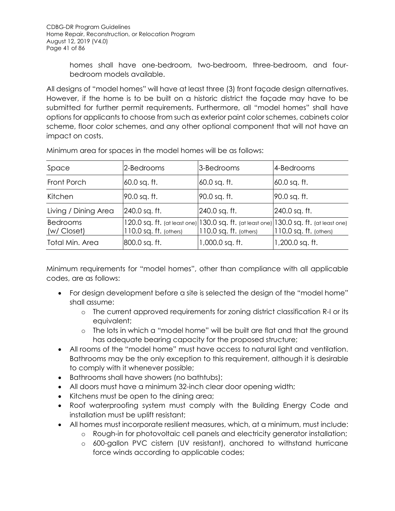homes shall have one-bedroom, two-bedroom, three-bedroom, and fourbedroom models available.

All designs of "model homes" will have at least three (3) front façade design alternatives. However, if the home is to be built on a historic district the façade may have to be submitted for further permit requirements. Furthermore, all "model homes" shall have options for applicants to choose from such as exterior paint color schemes, cabinets color scheme, floor color schemes, and any other optional component that will not have an impact on costs.

| Space                          | 2-Bedrooms               | 3-Bedrooms               | 4-Bedrooms                                                                                                       |
|--------------------------------|--------------------------|--------------------------|------------------------------------------------------------------------------------------------------------------|
| Front Porch                    | 60.0 sq. ft.             | 60.0 sq. ft.             | $60.0$ sq. ft.                                                                                                   |
| Kitchen                        | 90.0 sq. ft.             | 90.0 sq. ft.             | 90.0 sq. ft.                                                                                                     |
| Living / Dining Area           | 240.0 sq. ft.            | 240.0 sq. ft.            | 240.0 sq. ft.                                                                                                    |
| <b>Bedrooms</b><br>(w/ Closet) | $110.0$ sq. ft. (others) | $110.0$ sq. ft. (others) | 120.0 sq. ft. (at least one) 130.0 sq. ft. (at least one) 130.0 sq. ft. (at least one)<br>110.0 sq. ft. (others) |
| Total Min. Area                | 800.0 sq. ft.            | 1,000.0 sq. ft.          | 1,200.0 sq. ft.                                                                                                  |

Minimum area for spaces in the model homes will be as follows:

Minimum requirements for "model homes", other than compliance with all applicable codes, are as follows:

- For design development before a site is selected the design of the "model home" shall assume:
	- o The current approved requirements for zoning district classification R-I or its equivalent;
	- o The lots in which a "model home" will be built are flat and that the ground has adequate bearing capacity for the proposed structure;
- All rooms of the "model home" must have access to natural light and ventilation. Bathrooms may be the only exception to this requirement, although it is desirable to comply with it whenever possible;
- Bathrooms shall have showers (no bathtubs);
- All doors must have a minimum 32-inch clear door opening width;
- Kitchens must be open to the dining area;
- Roof waterproofing system must comply with the Building Energy Code and installation must be uplift resistant;
- All homes must incorporate resilient measures, which, at a minimum, must include:
	- o Rough-in for photovoltaic cell panels and electricity generator installation;
	- o 600-gallon PVC cistern (UV resistant), anchored to withstand hurricane force winds according to applicable codes;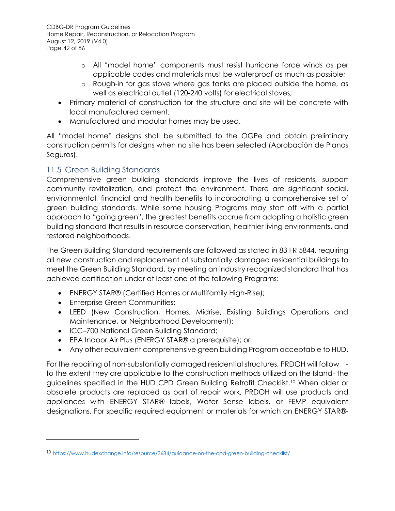CDBG-DR Program Guidelines Home Repair, Reconstruction, or Relocation Program August 12, 2019 (V4.0) Page 42 of 86

- o All "model home" components must resist hurricane force winds as per applicable codes and materials must be waterproof as much as possible;
- o Rough-in for gas stove where gas tanks are placed outside the home, as well as electrical outlet (120-240 volts) for electrical stoves;
- Primary material of construction for the structure and site will be concrete with local manufactured cement;
- Manufactured and modular homes may be used.

All "model home" designs shall be submitted to the OGPe and obtain preliminary construction permits for designs when no site has been selected (Aprobación de Planos Seguros).

# 11.5 Green Building Standards

Comprehensive green building standards improve the lives of residents, support community revitalization, and protect the environment. There are significant social, environmental, financial and health benefits to incorporating a comprehensive set of green building standards. While some housing Programs may start off with a partial approach to "going green", the greatest benefits accrue from adopting a holistic green building standard that results in resource conservation, healthier living environments, and restored neighborhoods.

The Green Building Standard requirements are followed as stated in 83 FR 5844, requiring all new construction and replacement of substantially damaged residential buildings to meet the Green Building Standard, by meeting an industry recognized standard that has achieved certification under at least one of the following Programs:

- ENERGY STAR® (Certified Homes or Multifamily High-Rise);
- Enterprise Green Communities;
- LEED (New Construction, Homes, Midrise, Existing Buildings Operations and Maintenance, or Neighborhood Development);
- ICC–700 National Green Building Standard;
- EPA Indoor Air Plus (ENERGY STAR® a prerequisite); or
- Any other equivalent comprehensive green building Program acceptable to HUD.

For the repairing of non‐substantially damaged residential structures, PRDOH will follow to the extent they are applicable to the construction methods utilized on the Island- the guidelines specified in the HUD CPD Green Building Retrofit Checklist.<sup>10</sup> When older or obsolete products are replaced as part of repair work, PRDOH will use products and appliances with ENERGY STAR® labels, Water Sense labels, or FEMP equivalent designations. For specific required equipment or materials for which an ENERGY STAR®-

<sup>10</sup> <https://www.hudexchange.info/resource/3684/guidance-on-the-cpd-green-building-checklist/>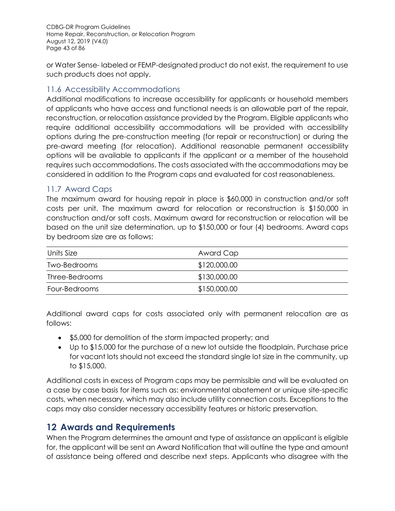CDBG-DR Program Guidelines Home Repair, Reconstruction, or Relocation Program August 12, 2019 (V4.0) Page 43 of 86

or Water Sense- labeled or FEMP-designated product do not exist, the requirement to use such products does not apply.

## 11.6 Accessibility Accommodations

Additional modifications to increase accessibility for applicants or household members of applicants who have access and functional needs is an allowable part of the repair, reconstruction, or relocation assistance provided by the Program. Eligible applicants who require additional accessibility accommodations will be provided with accessibility options during the pre-construction meeting (for repair or reconstruction) or during the pre-award meeting (for relocation). Additional reasonable permanent accessibility options will be available to applicants if the applicant or a member of the household requires such accommodations. The costs associated with the accommodations may be considered in addition to the Program caps and evaluated for cost reasonableness.

### 11.7 Award Caps

The maximum award for housing repair in place is \$60,000 in construction and/or soft costs per unit. The maximum award for relocation or reconstruction is \$150,000 in construction and/or soft costs. Maximum award for reconstruction or relocation will be based on the unit size determination, up to \$150,000 or four (4) bedrooms. Award caps by bedroom size are as follows:

| Units Size     | Award Cap    |  |
|----------------|--------------|--|
| Two-Bedrooms   | \$120,000.00 |  |
| Three-Bedrooms | \$130,000.00 |  |
| Four-Bedrooms  | \$150,000.00 |  |

Additional award caps for costs associated only with permanent relocation are as follows:

- \$5,000 for demolition of the storm impacted property; and
- Up to \$15,000 for the purchase of a new lot outside the floodplain. Purchase price for vacant lots should not exceed the standard single lot size in the community, up to \$15,000.

Additional costs in excess of Program caps may be permissible and will be evaluated on a case by case basis for items such as: environmental abatement or unique site-specific costs, when necessary, which may also include utility connection costs. Exceptions to the caps may also consider necessary accessibility features or historic preservation.

# **12 Awards and Requirements**

When the Program determines the amount and type of assistance an applicant is eligible for, the applicant will be sent an Award Notification that will outline the type and amount of assistance being offered and describe next steps. Applicants who disagree with the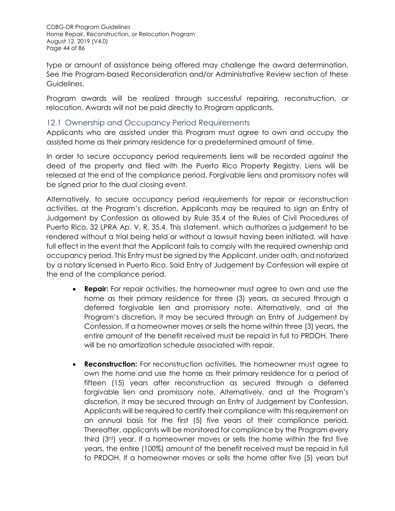CDBG-DR Program Guidelines Home Repair, Reconstruction, or Relocation Program August 12, 2019 (V4.0) Page 44 of 86

type or amount of assistance being offered may challenge the award determination. See the Program-based Reconsideration and/or Administrative Review section of these Guidelines.

Program awards will be realized through successful repairing, reconstruction, or relocation. Awards will not be paid directly to Program applicants.

## 12.1 Ownership and Occupancy Period Requirements

Applicants who are assisted under this Program must agree to own and occupy the assisted home as their primary residence for a predetermined amount of time.

In order to secure occupancy period requirements liens will be recorded against the deed of the property and filed with the Puerto Rico Property Registry. Liens will be released at the end of the compliance period. Forgivable liens and promissory notes will be signed prior to the dual closing event.

Alternatively, to secure occupancy period requirements for repair or reconstruction activities, at the Program's discretion, Applicants may be required to sign an Entry of Judgement by Confession as allowed by Rule 35.4 of the Rules of Civil Procedures of Puerto Rico, 32 LPRA Ap. V, R. 35.4. This statement, which authorizes a judgement to be rendered without a trial being held or without a lawsuit having been initiated, will have full effect in the event that the Applicant fails to comply with the required ownership and occupancy period. This Entry must be signed by the Applicant, under oath, and notarized by a notary licensed in Puerto Rico. Said Entry of Judgement by Confession will expire at the end of the compliance period.

- **Repair:** For repair activities, the homeowner must agree to own and use the home as their primary residence for three (3) years, as secured through a deferred forgivable lien and promissory note. Alternatively, and at the Program's discretion, it may be secured through an Entry of Judgement by Confession. If a homeowner moves or sells the home within three (3) years, the entire amount of the benefit received must be repaid in full to PRDOH. There will be no amortization schedule associated with repair.
- **Reconstruction:** For reconstruction activities, the homeowner must agree to own the home and use the home as their primary residence for a period of fifteen (15) years after reconstruction as secured through a deferred forgivable lien and promissory note. Alternatively, and at the Program's discretion, it may be secured through an Entry of Judgement by Confession. Applicants will be required to certify their compliance with this requirement on an annual basis for the first (5) five years of their compliance period. Thereafter, applicants will be monitored for compliance by the Program every third (3rd) year. If a homeowner moves or sells the home within the first five years, the entire (100%) amount of the benefit received must be repaid in full to PRDOH. If a homeowner moves or sells the home after five (5) years but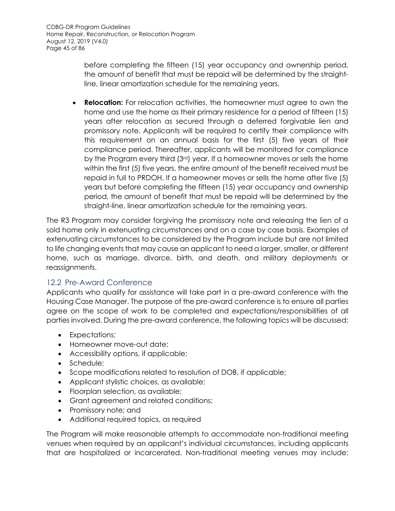before completing the fifteen (15) year occupancy and ownership period, the amount of benefit that must be repaid will be determined by the straightline, linear amortization schedule for the remaining years.

• **Relocation:** For relocation activities, the homeowner must agree to own the home and use the home as their primary residence for a period of fifteen (15) years after relocation as secured through a deferred forgivable lien and promissory note. Applicants will be required to certify their compliance with this requirement on an annual basis for the first (5) five years of their compliance period. Thereafter, applicants will be monitored for compliance by the Program every third (3<sup>rd</sup>) year. If a homeowner moves or sells the home within the first (5) five years, the entire amount of the benefit received must be repaid in full to PRDOH. If a homeowner moves or sells the home after five (5) years but before completing the fifteen (15) year occupancy and ownership period, the amount of benefit that must be repaid will be determined by the straight-line, linear amortization schedule for the remaining years.

The R3 Program may consider forgiving the promissory note and releasing the lien of a sold home only in extenuating circumstances and on a case by case basis. Examples of extenuating circumstances to be considered by the Program include but are not limited to life changing events that may cause an applicant to need a larger, smaller, or different home, such as marriage, divorce, birth, and death, and military deployments or reassignments.

# 12.2 Pre-Award Conference

Applicants who qualify for assistance will take part in a pre-award conference with the Housing Case Manager. The purpose of the pre-award conference is to ensure all parties agree on the scope of work to be completed and expectations/responsibilities of all parties involved. During the pre-award conference, the following topics will be discussed:

- Expectations;
- Homeowner move-out date;
- Accessibility options, if applicable;
- Schedule;
- Scope modifications related to resolution of DOB, if applicable;
- Applicant stylistic choices, as available;
- Floorplan selection, as available:
- Grant agreement and related conditions;
- Promissory note; and
- Additional required topics, as required

The Program will make reasonable attempts to accommodate non-traditional meeting venues when required by an applicant's individual circumstances, including applicants that are hospitalized or incarcerated. Non-traditional meeting venues may include: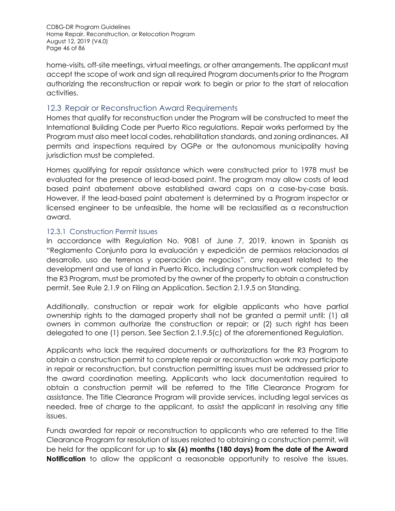CDBG-DR Program Guidelines Home Repair, Reconstruction, or Relocation Program August 12, 2019 (V4.0) Page 46 of 86

home-visits, off-site meetings, virtual meetings, or other arrangements. The applicant must accept the scope of work and sign all required Program documents prior to the Program authorizing the reconstruction or repair work to begin or prior to the start of relocation activities.

### 12.3 Repair or Reconstruction Award Requirements

Homes that qualify for reconstruction under the Program will be constructed to meet the International Building Code per Puerto Rico regulations. Repair works performed by the Program must also meet local codes, rehabilitation standards, and zoning ordinances. All permits and inspections required by OGPe or the autonomous municipality having jurisdiction must be completed.

Homes qualifying for repair assistance which were constructed prior to 1978 must be evaluated for the presence of lead-based paint. The program may allow costs of lead based paint abatement above established award caps on a case-by-case basis. However, if the lead-based paint abatement is determined by a Program inspector or licensed engineer to be unfeasible, the home will be reclassified as a reconstruction award.

### 12.3.1 Construction Permit Issues

In accordance with Regulation No. 9081 of June 7, 2019, known in Spanish as "Reglamento Conjunto para la evaluación y expedición de permisos relacionados al desarrollo, uso de terrenos y operación de negocios", any request related to the development and use of land in Puerto Rico, including construction work completed by the R3 Program, must be promoted by the owner of the property to obtain a construction permit. See Rule 2.1.9 on Filing an Application, Section 2.1.9.5 on Standing.

Additionally, construction or repair work for eligible applicants who have partial ownership rights to the damaged property shall not be granted a permit until: (1) all owners in common authorize the construction or repair; or (2) such right has been delegated to one (1) person. See Section 2.1.9.5(c) of the aforementioned Regulation.

Applicants who lack the required documents or authorizations for the R3 Program to obtain a construction permit to complete repair or reconstruction work may participate in repair or reconstruction, but construction permitting issues must be addressed prior to the award coordination meeting. Applicants who lack documentation required to obtain a construction permit will be referred to the Title Clearance Program for assistance. The Title Clearance Program will provide services, including legal services as needed, free of charge to the applicant, to assist the applicant in resolving any title issues.

Funds awarded for repair or reconstruction to applicants who are referred to the Title Clearance Program for resolution of issues related to obtaining a construction permit, will be held for the applicant for up to **six (6) months (180 days) from the date of the Award Notification** to allow the applicant a reasonable opportunity to resolve the issues.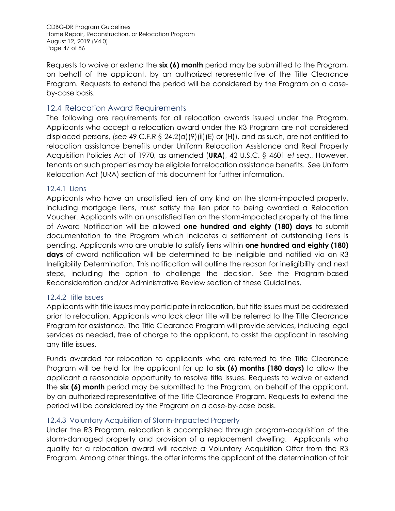CDBG-DR Program Guidelines Home Repair, Reconstruction, or Relocation Program August 12, 2019 (V4.0) Page 47 of 86

Requests to waive or extend the **six (6) month** period may be submitted to the Program, on behalf of the applicant, by an authorized representative of the Title Clearance Program. Requests to extend the period will be considered by the Program on a caseby-case basis.

### 12.4 Relocation Award Requirements

The following are requirements for all relocation awards issued under the Program. Applicants who accept a relocation award under the R3 Program are not considered displaced persons, (see 49 C.F.R § 24.2(a)(9)(ii)(E) or (H)), and as such, are not entitled to relocation assistance benefits under Uniform Relocation Assistance and Real Property Acquisition Policies Act of 1970, as amended (**URA**), 42 U.S.C. § 4601 *et seq*., However, tenants on such properties may be eligible for relocation assistance benefits. See Uniform Relocation Act (URA) section of this document for further information.

### 12.4.1 Liens

Applicants who have an unsatisfied lien of any kind on the storm-impacted property, including mortgage liens, must satisfy the lien prior to being awarded a Relocation Voucher. Applicants with an unsatisfied lien on the storm-impacted property at the time of Award Notification will be allowed **one hundred and eighty (180) days** to submit documentation to the Program which indicates a settlement of outstanding liens is pending. Applicants who are unable to satisfy liens within **one hundred and eighty (180) days** of award notification will be determined to be ineligible and notified via an R3 Ineligibility Determination. This notification will outline the reason for ineligibility and next steps, including the option to challenge the decision. See the Program-based Reconsideration and/or Administrative Review section of these Guidelines.

#### 12.4.2 Title Issues

Applicants with title issues may participate in relocation, but title issues must be addressed prior to relocation. Applicants who lack clear title will be referred to the Title Clearance Program for assistance. The Title Clearance Program will provide services, including legal services as needed, free of charge to the applicant, to assist the applicant in resolving any title issues.

Funds awarded for relocation to applicants who are referred to the Title Clearance Program will be held for the applicant for up to **six (6) months (180 days)** to allow the applicant a reasonable opportunity to resolve title issues. Requests to waive or extend the **six (6) month** period may be submitted to the Program, on behalf of the applicant, by an authorized representative of the Title Clearance Program. Requests to extend the period will be considered by the Program on a case-by-case basis.

### 12.4.3 Voluntary Acquisition of Storm-Impacted Property

Under the R3 Program, relocation is accomplished through program-acquisition of the storm-damaged property and provision of a replacement dwelling. Applicants who qualify for a relocation award will receive a Voluntary Acquisition Offer from the R3 Program. Among other things, the offer informs the applicant of the determination of fair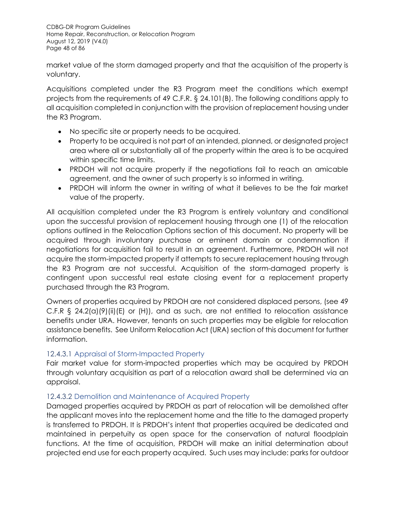CDBG-DR Program Guidelines Home Repair, Reconstruction, or Relocation Program August 12, 2019 (V4.0) Page 48 of 86

market value of the storm damaged property and that the acquisition of the property is voluntary.

Acquisitions completed under the R3 Program meet the conditions which exempt projects from the requirements of 49 C.F.R. § 24.101(B). The following conditions apply to all acquisition completed in conjunction with the provision of replacement housing under the R3 Program.

- No specific site or property needs to be acquired.
- Property to be acquired is not part of an intended, planned, or designated project area where all or substantially all of the property within the area is to be acquired within specific time limits.
- PRDOH will not acquire property if the negotiations fail to reach an amicable agreement, and the owner of such property is so informed in writing.
- PRDOH will inform the owner in writing of what it believes to be the fair market value of the property.

All acquisition completed under the R3 Program is entirely voluntary and conditional upon the successful provision of replacement housing through one (1) of the relocation options outlined in the Relocation Options section of this document. No property will be acquired through involuntary purchase or eminent domain or condemnation if negotiations for acquisition fail to result in an agreement. Furthermore, PRDOH will not acquire the storm-impacted property if attempts to secure replacement housing through the R3 Program are not successful. Acquisition of the storm-damaged property is contingent upon successful real estate closing event for a replacement property purchased through the R3 Program.

Owners of properties acquired by PRDOH are not considered displaced persons, (see 49 C.F.R  $\S$  24.2(a)(9)(ii)(E) or (H)), and as such, are not entitled to relocation assistance benefits under URA. However, tenants on such properties may be eligible for relocation assistance benefits. See Uniform Relocation Act (URA) section of this document for further information.

## 12.4.3.1 Appraisal of Storm-Impacted Property

Fair market value for storm-impacted properties which may be acquired by PRDOH through voluntary acquisition as part of a relocation award shall be determined via an appraisal.

### 12.4.3.2 Demolition and Maintenance of Acquired Property

Damaged properties acquired by PRDOH as part of relocation will be demolished after the applicant moves into the replacement home and the title to the damaged property is transferred to PRDOH. It is PRDOH's intent that properties acquired be dedicated and maintained in perpetuity as open space for the conservation of natural floodplain functions. At the time of acquisition, PRDOH will make an initial determination about projected end use for each property acquired. Such uses may include: parks for outdoor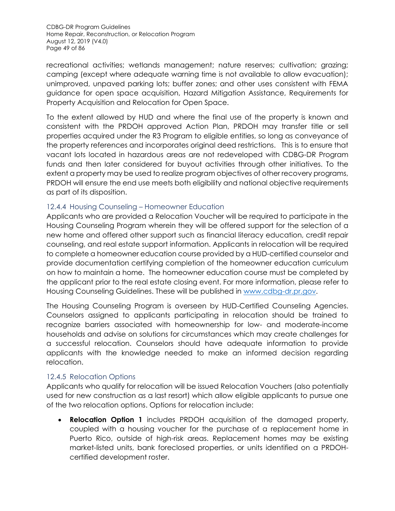CDBG-DR Program Guidelines Home Repair, Reconstruction, or Relocation Program August 12, 2019 (V4.0) Page 49 of 86

recreational activities; wetlands management; nature reserves; cultivation; grazing; camping (except where adequate warning time is not available to allow evacuation); unimproved, unpaved parking lots; buffer zones; and other uses consistent with FEMA guidance for open space acquisition, Hazard Mitigation Assistance, Requirements for Property Acquisition and Relocation for Open Space.

To the extent allowed by HUD and where the final use of the property is known and consistent with the PRDOH approved Action Plan, PRDOH may transfer title or sell properties acquired under the R3 Program to eligible entities, so long as conveyance of the property references and incorporates original deed restrictions. This is to ensure that vacant lots located in hazardous areas are not redeveloped with CDBG-DR Program funds and then later considered for buyout activities through other initiatives. To the extent a property may be used to realize program objectives of other recovery programs, PRDOH will ensure the end use meets both eligibility and national objective requirements as part of its disposition.

### 12.4.4 Housing Counseling – Homeowner Education

Applicants who are provided a Relocation Voucher will be required to participate in the Housing Counseling Program wherein they will be offered support for the selection of a new home and offered other support such as financial literacy education, credit repair counseling, and real estate support information. Applicants in relocation will be required to complete a homeowner education course provided by a HUD-certified counselor and provide documentation certifying completion of the homeowner education curriculum on how to maintain a home. The homeowner education course must be completed by the applicant prior to the real estate closing event. For more information, please refer to Housing Counseling Guidelines. These will be published in [www.cdbg-dr.pr.gov.](http://www.cdbg-dr.pr.gov/)

The Housing Counseling Program is overseen by HUD-Certified Counseling Agencies. Counselors assigned to applicants participating in relocation should be trained to recognize barriers associated with homeownership for low- and moderate-income households and advise on solutions for circumstances which may create challenges for a successful relocation. Counselors should have adequate information to provide applicants with the knowledge needed to make an informed decision regarding relocation.

#### 12.4.5 Relocation Options

Applicants who qualify for relocation will be issued Relocation Vouchers (also potentially used for new construction as a last resort) which allow eligible applicants to pursue one of the two relocation options. Options for relocation include:

• **Relocation Option 1** includes PRDOH acquisition of the damaged property, coupled with a housing voucher for the purchase of a replacement home in Puerto Rico, outside of high-risk areas. Replacement homes may be existing market-listed units, bank foreclosed properties, or units identified on a PRDOHcertified development roster.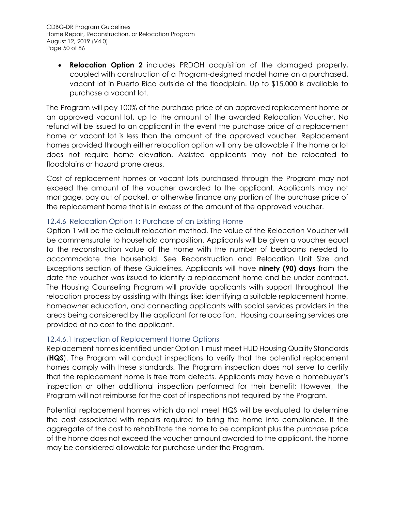• **Relocation Option 2** includes PRDOH acquisition of the damaged property, coupled with construction of a Program-designed model home on a purchased, vacant lot in Puerto Rico outside of the floodplain. Up to \$15,000 is available to purchase a vacant lot.

The Program will pay 100% of the purchase price of an approved replacement home or an approved vacant lot, up to the amount of the awarded Relocation Voucher. No refund will be issued to an applicant in the event the purchase price of a replacement home or vacant lot is less than the amount of the approved voucher. Replacement homes provided through either relocation option will only be allowable if the home or lot does not require home elevation. Assisted applicants may not be relocated to floodplains or hazard prone areas.

Cost of replacement homes or vacant lots purchased through the Program may not exceed the amount of the voucher awarded to the applicant. Applicants may not mortgage, pay out of pocket, or otherwise finance any portion of the purchase price of the replacement home that is in excess of the amount of the approved voucher.

### 12.4.6 Relocation Option 1: Purchase of an Existing Home

Option 1 will be the default relocation method. The value of the Relocation Voucher will be commensurate to household composition. Applicants will be given a voucher equal to the reconstruction value of the home with the number of bedrooms needed to accommodate the household. See Reconstruction and Relocation Unit Size and Exceptions section of these Guidelines. Applicants will have **ninety (90) days** from the date the voucher was issued to identify a replacement home and be under contract. The Housing Counseling Program will provide applicants with support throughout the relocation process by assisting with things like: identifying a suitable replacement home, homeowner education, and connecting applicants with social services providers in the areas being considered by the applicant for relocation. Housing counseling services are provided at no cost to the applicant.

## 12.4.6.1 Inspection of Replacement Home Options

Replacement homes identified under Option 1 must meet HUD Housing Quality Standards (**HQS**). The Program will conduct inspections to verify that the potential replacement homes comply with these standards. The Program inspection does not serve to certify that the replacement home is free from defects. Applicants may have a homebuyer's inspection or other additional inspection performed for their benefit; However, the Program will not reimburse for the cost of inspections not required by the Program.

Potential replacement homes which do not meet HQS will be evaluated to determine the cost associated with repairs required to bring the home into compliance. If the aggregate of the cost to rehabilitate the home to be compliant plus the purchase price of the home does not exceed the voucher amount awarded to the applicant, the home may be considered allowable for purchase under the Program.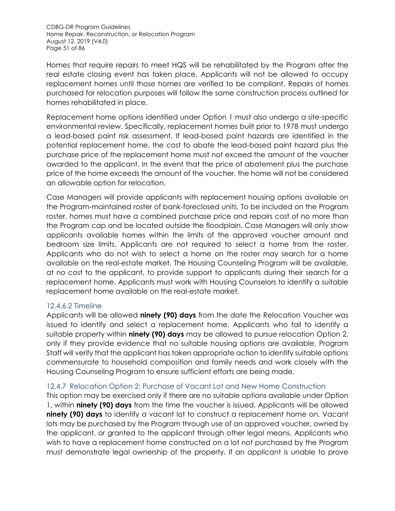CDBG-DR Program Guidelines Home Repair, Reconstruction, or Relocation Program August 12, 2019 (V4.0) Page 51 of 86

Homes that require repairs to meet HQS will be rehabilitated by the Program after the real estate closing event has taken place. Applicants will not be allowed to occupy replacement homes until those homes are verified to be compliant. Repairs of homes purchased for relocation purposes will follow the same construction process outlined for homes rehabilitated in place.

Replacement home options identified under Option 1 must also undergo a site-specific environmental review. Specifically, replacement homes built prior to 1978 must undergo a lead-based paint risk assessment. If lead-based paint hazards are identified in the potential replacement home, the cost to abate the lead-based paint hazard plus the purchase price of the replacement home must not exceed the amount of the voucher awarded to the applicant. In the event that the price of abatement plus the purchase price of the home exceeds the amount of the voucher, the home will not be considered an allowable option for relocation.

Case Managers will provide applicants with replacement housing options available on the Program-maintained roster of bank-foreclosed units. To be included on the Program roster, homes must have a combined purchase price and repairs cost of no more than the Program cap and be located outside the floodplain. Case Managers will only show applicants available homes within the limits of the approved voucher amount and bedroom size limits. Applicants are not required to select a home from the roster. Applicants who do not wish to select a home on the roster may search for a home available on the real-estate market. The Housing Counseling Program will be available, at no cost to the applicant, to provide support to applicants during their search for a replacement home. Applicants must work with Housing Counselors to identify a suitable replacement home available on the real-estate market.

### 12.4.6.2 Timeline

Applicants will be allowed **ninety (90) days** from the date the Relocation Voucher was issued to identify and select a replacement home. Applicants who fail to identify a suitable property within **ninety (90) days** may be allowed to pursue relocation Option 2, only if they provide evidence that no suitable housing options are available. Program Staff will verify that the applicant has taken appropriate action to identify suitable options commensurate to household composition and family needs and work closely with the Housing Counseling Program to ensure sufficient efforts are being made.

### 12.4.7 Relocation Option 2: Purchase of Vacant Lot and New Home Construction

This option may be exercised only if there are no suitable options available under Option 1, within **ninety (90) days** from the time the voucher is issued. Applicants will be allowed **ninety (90) days** to identify a vacant lot to construct a replacement home on. Vacant lots may be purchased by the Program through use of an approved voucher, owned by the applicant, or granted to the applicant through other legal means. Applicants who wish to have a replacement home constructed on a lot not purchased by the Program must demonstrate legal ownership of the property. If an applicant is unable to prove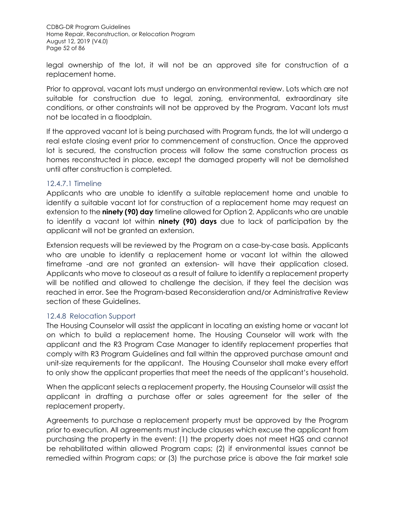CDBG-DR Program Guidelines Home Repair, Reconstruction, or Relocation Program August 12, 2019 (V4.0) Page 52 of 86

legal ownership of the lot, it will not be an approved site for construction of a replacement home.

Prior to approval, vacant lots must undergo an environmental review. Lots which are not suitable for construction due to legal, zoning, environmental, extraordinary site conditions, or other constraints will not be approved by the Program. Vacant lots must not be located in a floodplain.

If the approved vacant lot is being purchased with Program funds, the lot will undergo a real estate closing event prior to commencement of construction. Once the approved lot is secured, the construction process will follow the same construction process as homes reconstructed in place, except the damaged property will not be demolished until after construction is completed.

### 12.4.7.1 Timeline

Applicants who are unable to identify a suitable replacement home and unable to identify a suitable vacant lot for construction of a replacement home may request an extension to the **ninety (90) day** timeline allowed for Option 2. Applicants who are unable to identify a vacant lot within **ninety (90) days** due to lack of participation by the applicant will not be granted an extension.

Extension requests will be reviewed by the Program on a case-by-case basis. Applicants who are unable to identify a replacement home or vacant lot within the allowed timeframe -and are not granted an extension- will have their application closed. Applicants who move to closeout as a result of failure to identify a replacement property will be notified and allowed to challenge the decision, if they feel the decision was reached in error. See the Program-based Reconsideration and/or Administrative Review section of these Guidelines.

#### 12.4.8 Relocation Support

The Housing Counselor will assist the applicant in locating an existing home or vacant lot on which to build a replacement home. The Housing Counselor will work with the applicant and the R3 Program Case Manager to identify replacement properties that comply with R3 Program Guidelines and fall within the approved purchase amount and unit-size requirements for the applicant. The Housing Counselor shall make every effort to only show the applicant properties that meet the needs of the applicant's household.

When the applicant selects a replacement property, the Housing Counselor will assist the applicant in drafting a purchase offer or sales agreement for the seller of the replacement property.

Agreements to purchase a replacement property must be approved by the Program prior to execution. All agreements must include clauses which excuse the applicant from purchasing the property in the event: (1) the property does not meet HQS and cannot be rehabilitated within allowed Program caps; (2) if environmental issues cannot be remedied within Program caps; or (3) the purchase price is above the fair market sale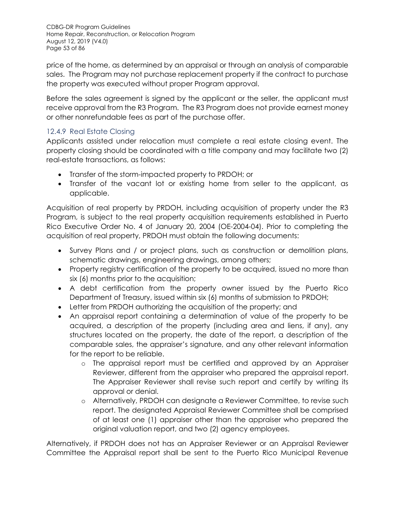CDBG-DR Program Guidelines Home Repair, Reconstruction, or Relocation Program August 12, 2019 (V4.0) Page 53 of 86

price of the home, as determined by an appraisal or through an analysis of comparable sales. The Program may not purchase replacement property if the contract to purchase the property was executed without proper Program approval.

Before the sales agreement is signed by the applicant or the seller, the applicant must receive approval from the R3 Program. The R3 Program does not provide earnest money or other nonrefundable fees as part of the purchase offer.

### 12.4.9 Real Estate Closing

Applicants assisted under relocation must complete a real estate closing event. The property closing should be coordinated with a title company and may facilitate two (2) real-estate transactions, as follows:

- Transfer of the storm-impacted property to PRDOH; or
- Transfer of the vacant lot or existing home from seller to the applicant, as applicable.

Acquisition of real property by PRDOH, including acquisition of property under the R3 Program, is subject to the real property acquisition requirements established in Puerto Rico Executive Order No. 4 of January 20, 2004 (OE-2004-04). Prior to completing the acquisition of real property, PRDOH must obtain the following documents:

- Survey Plans and / or project plans, such as construction or demolition plans, schematic drawings, engineering drawings, among others;
- Property registry certification of the property to be acquired, issued no more than six (6) months prior to the acquisition;
- A debt certification from the property owner issued by the Puerto Rico Department of Treasury, issued within six (6) months of submission to PRDOH;
- Letter from PRDOH authorizing the acquisition of the property; and
- An appraisal report containing a determination of value of the property to be acquired, a description of the property (including area and liens, if any), any structures located on the property, the date of the report, a description of the comparable sales, the appraiser's signature, and any other relevant information for the report to be reliable.
	- o The appraisal report must be certified and approved by an Appraiser Reviewer, different from the appraiser who prepared the appraisal report. The Appraiser Reviewer shall revise such report and certify by writing its approval or denial.
	- o Alternatively, PRDOH can designate a Reviewer Committee, to revise such report. The designated Appraisal Reviewer Committee shall be comprised of at least one (1) appraiser other than the appraiser who prepared the original valuation report, and two (2) agency employees.

Alternatively, if PRDOH does not has an Appraiser Reviewer or an Appraisal Reviewer Committee the Appraisal report shall be sent to the Puerto Rico Municipal Revenue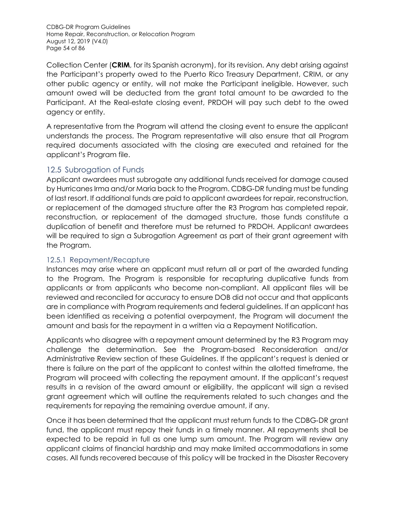CDBG-DR Program Guidelines Home Repair, Reconstruction, or Relocation Program August 12, 2019 (V4.0) Page 54 of 86

Collection Center (**CRIM**, for its Spanish acronym), for its revision. Any debt arising against the Participant's property owed to the Puerto Rico Treasury Department, CRIM, or any other public agency or entity, will not make the Participant ineligible. However, such amount owed will be deducted from the grant total amount to be awarded to the Participant. At the Real-estate closing event, PRDOH will pay such debt to the owed agency or entity.

A representative from the Program will attend the closing event to ensure the applicant understands the process. The Program representative will also ensure that all Program required documents associated with the closing are executed and retained for the applicant's Program file.

### 12.5 Subrogation of Funds

Applicant awardees must subrogate any additional funds received for damage caused by Hurricanes Irma and/or Maria back to the Program. CDBG‐DR funding must be funding of last resort. If additional funds are paid to applicant awardees for repair, reconstruction, or replacement of the damaged structure after the R3 Program has completed repair, reconstruction, or replacement of the damaged structure, those funds constitute a duplication of benefit and therefore must be returned to PRDOH. Applicant awardees will be required to sign a Subrogation Agreement as part of their grant agreement with the Program.

## 12.5.1 Repayment/Recapture

Instances may arise where an applicant must return all or part of the awarded funding to the Program. The Program is responsible for recapturing duplicative funds from applicants or from applicants who become non-compliant. All applicant files will be reviewed and reconciled for accuracy to ensure DOB did not occur and that applicants are in compliance with Program requirements and federal guidelines. If an applicant has been identified as receiving a potential overpayment, the Program will document the amount and basis for the repayment in a written via a Repayment Notification.

Applicants who disagree with a repayment amount determined by the R3 Program may challenge the determination. See the Program-based Reconsideration and/or Administrative Review section of these Guidelines. If the applicant's request is denied or there is failure on the part of the applicant to contest within the allotted timeframe, the Program will proceed with collecting the repayment amount. If the applicant's request results in a revision of the award amount or eligibility, the applicant will sign a revised grant agreement which will outline the requirements related to such changes and the requirements for repaying the remaining overdue amount, if any.

Once it has been determined that the applicant must return funds to the CDBG‐DR grant fund, the applicant must repay their funds in a timely manner. All repayments shall be expected to be repaid in full as one lump sum amount. The Program will review any applicant claims of financial hardship and may make limited accommodations in some cases. All funds recovered because of this policy will be tracked in the Disaster Recovery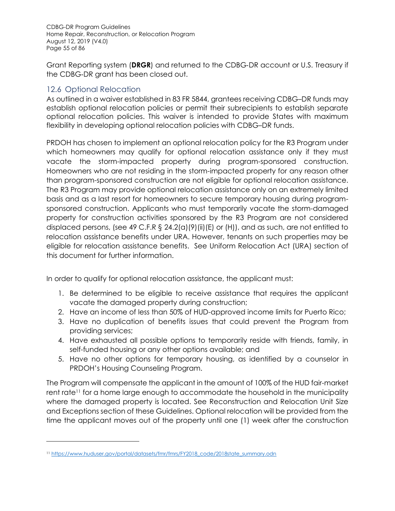CDBG-DR Program Guidelines Home Repair, Reconstruction, or Relocation Program August 12, 2019 (V4.0) Page 55 of 86

Grant Reporting system (**DRGR**) and returned to the CDBG‐DR account or U.S. Treasury if the CDBG‐DR grant has been closed out.

## 12.6 Optional Relocation

As outlined in a waiver established in 83 FR 5844, grantees receiving CDBG–DR funds may establish optional relocation policies or permit their subrecipients to establish separate optional relocation policies. This waiver is intended to provide States with maximum flexibility in developing optional relocation policies with CDBG–DR funds.

PRDOH has chosen to implement an optional relocation policy for the R3 Program under which homeowners may qualify for optional relocation assistance only if they must vacate the storm-impacted property during program-sponsored construction. Homeowners who are not residing in the storm-impacted property for any reason other than program-sponsored construction are not eligible for optional relocation assistance. The R3 Program may provide optional relocation assistance only on an extremely limited basis and as a last resort for homeowners to secure temporary housing during programsponsored construction. Applicants who must temporarily vacate the storm-damaged property for construction activities sponsored by the R3 Program are not considered displaced persons, (see 49 C.F.R  $\S$  24.2(a)(9)(ii)(E) or (H)), and as such, are not entitled to relocation assistance benefits under URA. However, tenants on such properties may be eligible for relocation assistance benefits. See Uniform Relocation Act (URA) section of this document for further information.

In order to qualify for optional relocation assistance, the applicant must:

- 1. Be determined to be eligible to receive assistance that requires the applicant vacate the damaged property during construction;
- 2. Have an income of less than 50% of HUD-approved income limits for Puerto Rico;
- 3. Have no duplication of benefits issues that could prevent the Program from providing services;
- 4. Have exhausted all possible options to temporarily reside with friends, family, in self-funded housing or any other options available; and
- 5. Have no other options for temporary housing, as identified by a counselor in PRDOH's Housing Counseling Program.

The Program will compensate the applicant in the amount of 100% of the HUD fair-market rent rate<sup>11</sup> for a home large enough to accommodate the household in the municipality where the damaged property is located. See Reconstruction and Relocation Unit Size and Exceptions section of these Guidelines. Optional relocation will be provided from the time the applicant moves out of the property until one (1) week after the construction

<sup>11</sup> [https://www.huduser.gov/portal/datasets/fmr/fmrs/FY2018\\_code/2018state\\_summary.odn](https://www.huduser.gov/portal/datasets/fmr/fmrs/FY2018_code/2018state_summary.odn)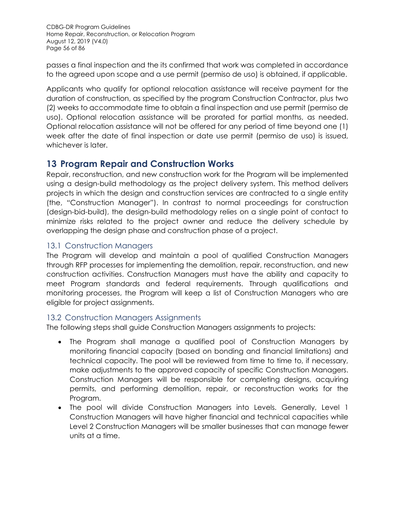CDBG-DR Program Guidelines Home Repair, Reconstruction, or Relocation Program August 12, 2019 (V4.0) Page 56 of 86

passes a final inspection and the its confirmed that work was completed in accordance to the agreed upon scope and a use permit (permiso de uso) is obtained, if applicable.

Applicants who qualify for optional relocation assistance will receive payment for the duration of construction, as specified by the program Construction Contractor, plus two (2) weeks to accommodate time to obtain a final inspection and use permit (permiso de uso). Optional relocation assistance will be prorated for partial months, as needed. Optional relocation assistance will not be offered for any period of time beyond one (1) week after the date of final inspection or date use permit (permiso de uso) is issued, whichever is later.

# **13 Program Repair and Construction Works**

Repair, reconstruction, and new construction work for the Program will be implemented using a design-build methodology as the project delivery system. This method delivers projects in which the design and construction services are contracted to a single entity (the, "Construction Manager"). In contrast to normal proceedings for construction (design-bid-build), the design-build methodology relies on a single point of contact to minimize risks related to the project owner and reduce the delivery schedule by overlapping the design phase and construction phase of a project.

## 13.1 Construction Managers

The Program will develop and maintain a pool of qualified Construction Managers through RFP processes for implementing the demolition, repair, reconstruction, and new construction activities. Construction Managers must have the ability and capacity to meet Program standards and federal requirements. Through qualifications and monitoring processes, the Program will keep a list of Construction Managers who are eligible for project assignments.

## 13.2 Construction Managers Assignments

The following steps shall guide Construction Managers assignments to projects:

- The Program shall manage a qualified pool of Construction Managers by monitoring financial capacity (based on bonding and financial limitations) and technical capacity. The pool will be reviewed from time to time to, if necessary, make adjustments to the approved capacity of specific Construction Managers. Construction Managers will be responsible for completing designs, acquiring permits, and performing demolition, repair, or reconstruction works for the Program.
- The pool will divide Construction Managers into Levels. Generally, Level 1 Construction Managers will have higher financial and technical capacities while Level 2 Construction Managers will be smaller businesses that can manage fewer units at a time.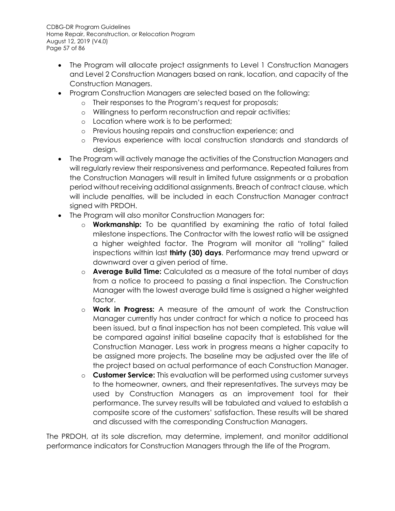CDBG-DR Program Guidelines Home Repair, Reconstruction, or Relocation Program August 12, 2019 (V4.0) Page 57 of 86

- The Program will allocate project assignments to Level 1 Construction Managers and Level 2 Construction Managers based on rank, location, and capacity of the Construction Managers.
- Program Construction Managers are selected based on the following:
	- o Their responses to the Program's request for proposals;
	- o Willingness to perform reconstruction and repair activities;
	- o Location where work is to be performed;
	- o Previous housing repairs and construction experience; and
	- o Previous experience with local construction standards and standards of design.
- The Program will actively manage the activities of the Construction Managers and will regularly review their responsiveness and performance. Repeated failures from the Construction Managers will result in limited future assignments or a probation period without receiving additional assignments. Breach of contract clause, which will include penalties, will be included in each Construction Manager contract signed with PRDOH.
- The Program will also monitor Construction Managers for:
	- **Workmanship:** To be quantified by examining the ratio of total failed milestone inspections. The Contractor with the lowest ratio will be assigned a higher weighted factor. The Program will monitor all "rolling" failed inspections within last **thirty (30) days**. Performance may trend upward or downward over a given period of time.
	- o **Average Build Time:** Calculated as a measure of the total number of days from a notice to proceed to passing a final inspection. The Construction Manager with the lowest average build time is assigned a higher weighted factor.
	- o **Work in Progress:** A measure of the amount of work the Construction Manager currently has under contract for which a notice to proceed has been issued, but a final inspection has not been completed. This value will be compared against initial baseline capacity that is established for the Construction Manager. Less work in progress means a higher capacity to be assigned more projects. The baseline may be adjusted over the life of the project based on actual performance of each Construction Manager.
	- o **Customer Service:** This evaluation will be performed using customer surveys to the homeowner, owners, and their representatives. The surveys may be used by Construction Managers as an improvement tool for their performance. The survey results will be tabulated and valued to establish a composite score of the customers' satisfaction. These results will be shared and discussed with the corresponding Construction Managers.

The PRDOH, at its sole discretion, may determine, implement, and monitor additional performance indicators for Construction Managers through the life of the Program.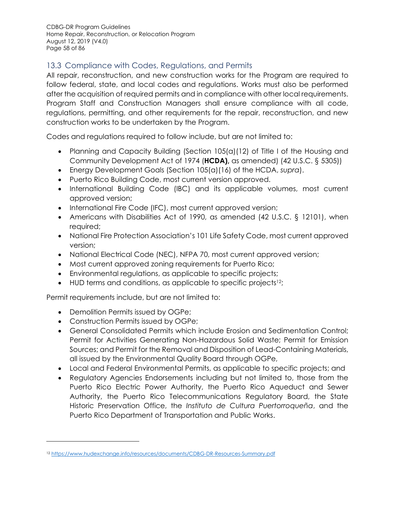CDBG-DR Program Guidelines Home Repair, Reconstruction, or Relocation Program August 12, 2019 (V4.0) Page 58 of 86

# 13.3 Compliance with Codes, Regulations, and Permits

All repair, reconstruction, and new construction works for the Program are required to follow federal, state, and local codes and regulations. Works must also be performed after the acquisition of required permits and in compliance with other local requirements. Program Staff and Construction Managers shall ensure compliance with all code, regulations, permitting, and other requirements for the repair, reconstruction, and new construction works to be undertaken by the Program.

Codes and regulations required to follow include, but are not limited to:

- Planning and Capacity Building (Section 105(a)(12) of Title I of the Housing and Community Development Act of 1974 (**HCDA),** as amended) (42 U.S.C. § 5305))
- Energy Development Goals (Section 105(a)(16) of the HCDA, *supra*).
- Puerto Rico Building Code, most current version approved.
- International Building Code (IBC) and its applicable volumes, most current approved version;
- International Fire Code (IFC), most current approved version;
- Americans with Disabilities Act of 1990, as amended (42 U.S.C. § 12101), when required;
- National Fire Protection Association's 101 Life Safety Code, most current approved version;
- National Electrical Code (NEC), NFPA 70, most current approved version;
- Most current approved zoning requirements for Puerto Rico;
- Environmental regulations, as applicable to specific projects;
- HUD terms and conditions, as applicable to specific projects<sup>12</sup>;

Permit requirements include, but are not limited to:

- Demolition Permits issued by OGPe;
- Construction Permits issued by OGPe;
- General Consolidated Permits which include Erosion and Sedimentation Control; Permit for Activities Generating Non-Hazardous Solid Waste; Permit for Emission Sources; and Permit for the Removal and Disposition of Lead-Containing Materials, all issued by the Environmental Quality Board through OGPe,
- Local and Federal Environmental Permits, as applicable to specific projects; and
- Regulatory Agencies Endorsements including but not limited to, those from the Puerto Rico Electric Power Authority, the Puerto Rico Aqueduct and Sewer Authority, the Puerto Rico Telecommunications Regulatory Board, the State Historic Preservation Office, the *Instituto de Cultura Puertorroqueña*, and the Puerto Rico Department of Transportation and Public Works.

<sup>12</sup> <https://www.hudexchange.info/resources/documents/CDBG-DR-Resources-Summary.pdf>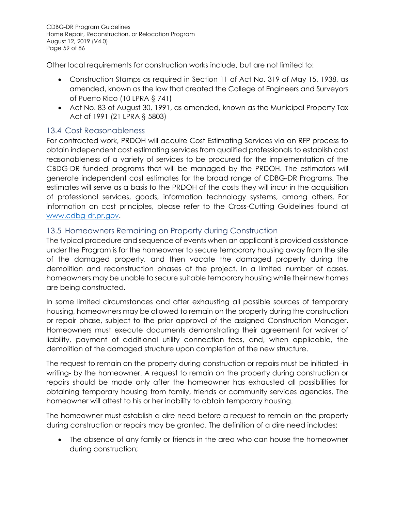CDBG-DR Program Guidelines Home Repair, Reconstruction, or Relocation Program August 12, 2019 (V4.0) Page 59 of 86

Other local requirements for construction works include, but are not limited to:

- Construction Stamps as required in Section 11 of Act No. 319 of May 15, 1938, as amended, known as the law that created the College of Engineers and Surveyors of Puerto Rico (10 LPRA § 741)
- Act No. 83 of August 30, 1991, as amended, known as the Municipal Property Tax Act of 1991 (21 LPRA § 5803)

## 13.4 Cost Reasonableness

For contracted work, PRDOH will acquire Cost Estimating Services via an RFP process to obtain independent cost estimating services from qualified professionals to establish cost reasonableness of a variety of services to be procured for the implementation of the CBDG-DR funded programs that will be managed by the PRDOH. The estimators will generate independent cost estimates for the broad range of CDBG-DR Programs. The estimates will serve as a basis to the PRDOH of the costs they will incur in the acquisition of professional services, goods, information technology systems, among others. For information on cost principles, please refer to the Cross-Cutting Guidelines found at [www.cdbg-dr.pr.gov.](http://www.cdbg-dr.pr.gov/)

## 13.5 Homeowners Remaining on Property during Construction

The typical procedure and sequence of events when an applicant is provided assistance under the Program is for the homeowner to secure temporary housing away from the site of the damaged property, and then vacate the damaged property during the demolition and reconstruction phases of the project. In a limited number of cases, homeowners may be unable to secure suitable temporary housing while their new homes are being constructed.

In some limited circumstances and after exhausting all possible sources of temporary housing, homeowners may be allowed to remain on the property during the construction or repair phase, subject to the prior approval of the assigned Construction Manager. Homeowners must execute documents demonstrating their agreement for waiver of liability, payment of additional utility connection fees, and, when applicable, the demolition of the damaged structure upon completion of the new structure.

The request to remain on the property during construction or repairs must be initiated -in writing- by the homeowner. A request to remain on the property during construction or repairs should be made only after the homeowner has exhausted all possibilities for obtaining temporary housing from family, friends or community services agencies. The homeowner will attest to his or her inability to obtain temporary housing.

The homeowner must establish a dire need before a request to remain on the property during construction or repairs may be granted. The definition of a dire need includes:

• The absence of any family or friends in the area who can house the homeowner during construction;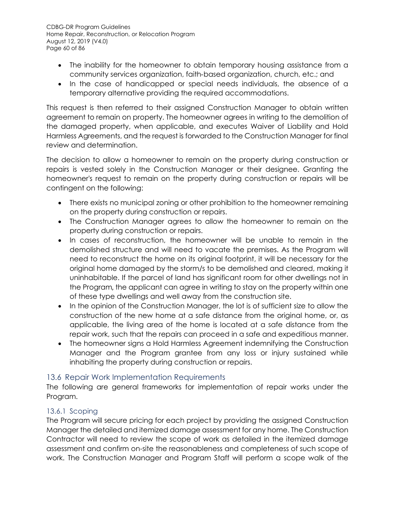CDBG-DR Program Guidelines Home Repair, Reconstruction, or Relocation Program August 12, 2019 (V4.0) Page 60 of 86

- The inability for the homeowner to obtain temporary housing assistance from a community services organization, faith‐based organization, church, etc.; and
- In the case of handicapped or special needs individuals, the absence of a temporary alternative providing the required accommodations.

This request is then referred to their assigned Construction Manager to obtain written agreement to remain on property. The homeowner agrees in writing to the demolition of the damaged property, when applicable, and executes Waiver of Liability and Hold Harmless Agreements, and the request is forwarded to the Construction Manager for final review and determination.

The decision to allow a homeowner to remain on the property during construction or repairs is vested solely in the Construction Manager or their designee. Granting the homeowner's request to remain on the property during construction or repairs will be contingent on the following:

- There exists no municipal zoning or other prohibition to the homeowner remaining on the property during construction or repairs.
- The Construction Manager agrees to allow the homeowner to remain on the property during construction or repairs.
- In cases of reconstruction, the homeowner will be unable to remain in the demolished structure and will need to vacate the premises. As the Program will need to reconstruct the home on its original footprint, it will be necessary for the original home damaged by the storm/s to be demolished and cleared, making it uninhabitable. If the parcel of land has significant room for other dwellings not in the Program, the applicant can agree in writing to stay on the property within one of these type dwellings and well away from the construction site.
- In the opinion of the Construction Manager, the lot is of sufficient size to allow the construction of the new home at a safe distance from the original home, or, as applicable, the living area of the home is located at a safe distance from the repair work, such that the repairs can proceed in a safe and expeditious manner.
- The homeowner signs a Hold Harmless Agreement indemnifying the Construction Manager and the Program grantee from any loss or injury sustained while inhabiting the property during construction or repairs.

## 13.6 Repair Work Implementation Requirements

The following are general frameworks for implementation of repair works under the Program.

## 13.6.1 Scoping

The Program will secure pricing for each project by providing the assigned Construction Manager the detailed and itemized damage assessment for any home. The Construction Contractor will need to review the scope of work as detailed in the itemized damage assessment and confirm on-site the reasonableness and completeness of such scope of work. The Construction Manager and Program Staff will perform a scope walk of the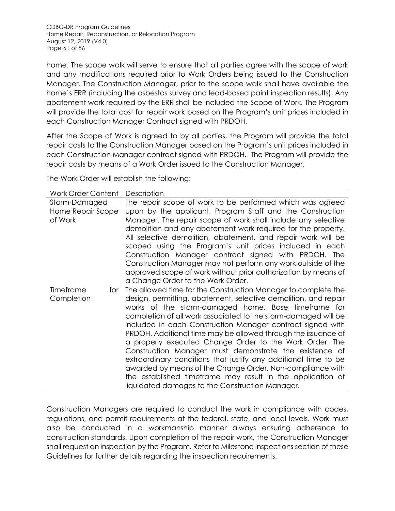CDBG-DR Program Guidelines Home Repair, Reconstruction, or Relocation Program August 12, 2019 (V4.0) Page 61 of 86

home. The scope walk will serve to ensure that all parties agree with the scope of work and any modifications required prior to Work Orders being issued to the Construction Manager. The Construction Manager, prior to the scope walk shall have available the home's ERR (including the asbestos survey and lead-based paint inspection results). Any abatement work required by the ERR shall be included the Scope of Work. The Program will provide the total cost for repair work based on the Program's unit prices included in each Construction Manager Contract signed with PRDOH.

After the Scope of Work is agreed to by all parties, the Program will provide the total repair costs to the Construction Manager based on the Program's unit prices included in each Construction Manager contract signed with PRDOH. The Program will provide the repair costs by means of a Work Order issued to the Construction Manager.

| Work Order Content                            | Description                                                                                                                                                                                                                                                                                                                                                                                                                                                                                                                                                                                                                                                                                                                                                    |
|-----------------------------------------------|----------------------------------------------------------------------------------------------------------------------------------------------------------------------------------------------------------------------------------------------------------------------------------------------------------------------------------------------------------------------------------------------------------------------------------------------------------------------------------------------------------------------------------------------------------------------------------------------------------------------------------------------------------------------------------------------------------------------------------------------------------------|
| Storm-Damaged<br>Home Repair Scope<br>of Work | The repair scope of work to be performed which was agreed<br>upon by the applicant, Program Staff and the Construction<br>Manager. The repair scope of work shall include any selective<br>demolition and any abatement work required for the property.<br>All selective demolition, abatement, and repair work will be<br>scoped using the Program's unit prices included in each<br>Construction Manager contract signed with PRDOH. The<br>Construction Manager may not perform any work outside of the<br>approved scope of work without prior authorization by means of<br>a Change Order to the Work Order.                                                                                                                                              |
| Timeframe<br>for I<br>Completion              | The allowed time for the Construction Manager to complete the<br>design, permitting, abatement, selective demolition, and repair<br>works of the storm-damaged home. Base timeframe for<br>completion of all work associated to the storm-damaged will be<br>included in each Construction Manager contract signed with<br>PRDOH. Additional time may be allowed through the issuance of<br>a properly executed Change Order to the Work Order. The<br>Construction Manager must demonstrate the existence of<br>extraordinary conditions that justify any additional time to be<br>awarded by means of the Change Order. Non-compliance with<br>the established timeframe may result in the application of<br>liquidated damages to the Construction Manager. |

The Work Order will establish the following:

Construction Managers are required to conduct the work in compliance with codes, regulations, and permit requirements at the federal, state, and local levels. Work must also be conducted in a workmanship manner always ensuring adherence to construction standards. Upon completion of the repair work, the Construction Manager shall request an inspection by the Program. Refer to Milestone Inspections section of these Guidelines for further details regarding the inspection requirements.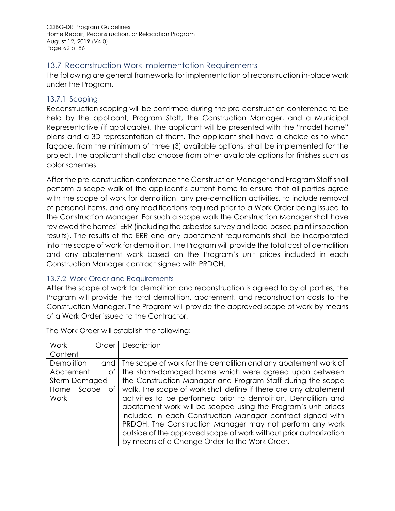CDBG-DR Program Guidelines Home Repair, Reconstruction, or Relocation Program August 12, 2019 (V4.0) Page 62 of 86

## 13.7 Reconstruction Work Implementation Requirements

The following are general frameworks for implementation of reconstruction in-place work under the Program.

### 13.7.1 Scoping

Reconstruction scoping will be confirmed during the pre-construction conference to be held by the applicant, Program Staff, the Construction Manager, and a Municipal Representative (if applicable). The applicant will be presented with the "model home" plans and a 3D representation of them. The applicant shall have a choice as to what façade, from the minimum of three (3) available options, shall be implemented for the project. The applicant shall also choose from other available options for finishes such as color schemes.

After the pre-construction conference the Construction Manager and Program Staff shall perform a scope walk of the applicant's current home to ensure that all parties agree with the scope of work for demolition, any pre-demolition activities, to include removal of personal items, and any modifications required prior to a Work Order being issued to the Construction Manager. For such a scope walk the Construction Manager shall have reviewed the homes' ERR (including the asbestos survey and lead-based paint inspection results). The results of the ERR and any abatement requirements shall be incorporated into the scope of work for demolition. The Program will provide the total cost of demolition and any abatement work based on the Program's unit prices included in each Construction Manager contract signed with PRDOH.

### 13.7.2 Work Order and Requirements

After the scope of work for demolition and reconstruction is agreed to by all parties, the Program will provide the total demolition, abatement, and reconstruction costs to the Construction Manager. The Program will provide the approved scope of work by means of a Work Order issued to the Contractor.

| Work<br>Order         | Description                                                       |
|-----------------------|-------------------------------------------------------------------|
|                       |                                                                   |
| Content               |                                                                   |
| Demolition<br>and     | The scope of work for the demolition and any abatement work of    |
| Abatement<br>оf       | the storm-damaged home which were agreed upon between             |
| Storm-Damaged         | the Construction Manager and Program Staff during the scope       |
| Home<br>Scope<br>of I | walk. The scope of work shall define if there are any abatement   |
| <b>Work</b>           | activities to be performed prior to demolition. Demolition and    |
|                       | abatement work will be scoped using the Program's unit prices     |
|                       | included in each Construction Manager contract signed with        |
|                       | PRDOH. The Construction Manager may not perform any work          |
|                       | outside of the approved scope of work without prior authorization |
|                       | by means of a Change Order to the Work Order.                     |

The Work Order will establish the following: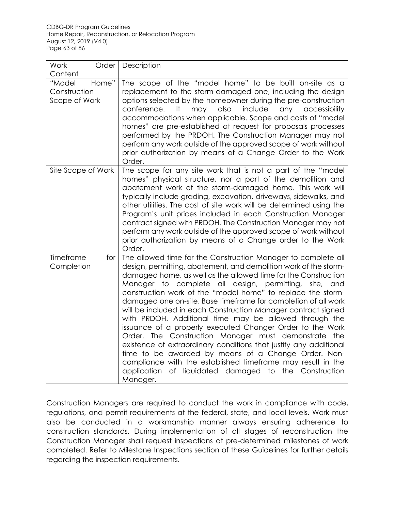| Work<br>Order<br>Content                         | Description                                                                                                                                                                                                                                                                                                                                                                                                                                                                                                                                                                                                                                                                                                                                                                                                                                                                                                               |
|--------------------------------------------------|---------------------------------------------------------------------------------------------------------------------------------------------------------------------------------------------------------------------------------------------------------------------------------------------------------------------------------------------------------------------------------------------------------------------------------------------------------------------------------------------------------------------------------------------------------------------------------------------------------------------------------------------------------------------------------------------------------------------------------------------------------------------------------------------------------------------------------------------------------------------------------------------------------------------------|
| Home"<br>"Model<br>Construction<br>Scope of Work | The scope of the "model home" to be built on-site as a<br>replacement to the storm-damaged one, including the design<br>options selected by the homeowner during the pre-construction<br>conference.<br>-lt<br>may<br>also<br>include<br>any<br>accessibility<br>accommodations when applicable. Scope and costs of "model<br>homes" are pre-established at request for proposals processes<br>performed by the PRDOH. The Construction Manager may not<br>perform any work outside of the approved scope of work without<br>prior authorization by means of a Change Order to the Work<br>Order.                                                                                                                                                                                                                                                                                                                         |
| Site Scope of Work                               | The scope for any site work that is not a part of the "model"<br>homes" physical structure, nor a part of the demolition and<br>abatement work of the storm-damaged home. This work will<br>typically include grading, excavation, driveways, sidewalks, and<br>other utilities. The cost of site work will be determined using the<br>Program's unit prices included in each Construction Manager<br>contract signed with PRDOH. The Construction Manager may not<br>perform any work outside of the approved scope of work without<br>prior authorization by means of a Change order to the Work<br>Order.                                                                                                                                                                                                                                                                                                              |
| Timeframe<br>for<br>Completion                   | The allowed time for the Construction Manager to complete all<br>design, permitting, abatement, and demolition work of the storm-<br>damaged home, as well as the allowed time for the Construction<br>all design, permitting,<br>Manager to complete<br>site,<br>and<br>construction work of the "model home" to replace the storm-<br>damaged one on-site. Base timeframe for completion of all work<br>will be included in each Construction Manager contract signed<br>with PRDOH. Additional time may be allowed through the<br>issuance of a properly executed Changer Order to the Work<br>Order. The Construction Manager must demonstrate the<br>existence of extraordinary conditions that justify any additional<br>time to be awarded by means of a Change Order. Non-<br>compliance with the established timeframe may result in the<br>of liquidated damaged to the Construction<br>application<br>Manager. |

Construction Managers are required to conduct the work in compliance with code, regulations, and permit requirements at the federal, state, and local levels. Work must also be conducted in a workmanship manner always ensuring adherence to construction standards. During implementation of all stages of reconstruction the Construction Manager shall request inspections at pre-determined milestones of work completed. Refer to Milestone Inspections section of these Guidelines for further details regarding the inspection requirements.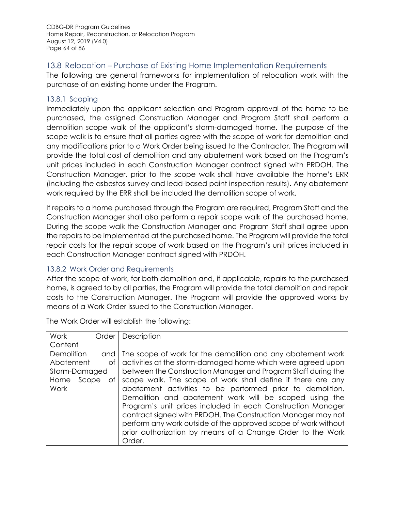CDBG-DR Program Guidelines Home Repair, Reconstruction, or Relocation Program August 12, 2019 (V4.0) Page 64 of 86

### 13.8 Relocation – Purchase of Existing Home Implementation Requirements

The following are general frameworks for implementation of relocation work with the purchase of an existing home under the Program.

### 13.8.1 Scoping

Immediately upon the applicant selection and Program approval of the home to be purchased, the assigned Construction Manager and Program Staff shall perform a demolition scope walk of the applicant's storm-damaged home. The purpose of the scope walk is to ensure that all parties agree with the scope of work for demolition and any modifications prior to a Work Order being issued to the Contractor. The Program will provide the total cost of demolition and any abatement work based on the Program's unit prices included in each Construction Manager contract signed with PRDOH. The Construction Manager, prior to the scope walk shall have available the home's ERR (including the asbestos survey and lead-based paint inspection results). Any abatement work required by the ERR shall be included the demolition scope of work.

If repairs to a home purchased through the Program are required, Program Staff and the Construction Manager shall also perform a repair scope walk of the purchased home. During the scope walk the Construction Manager and Program Staff shall agree upon the repairs to be implemented at the purchased home. The Program will provide the total repair costs for the repair scope of work based on the Program's unit prices included in each Construction Manager contract signed with PRDOH.

### 13.8.2 Work Order and Requirements

After the scope of work, for both demolition and, if applicable, repairs to the purchased home, is agreed to by all parties, the Program will provide the total demolition and repair costs to the Construction Manager. The Program will provide the approved works by means of a Work Order issued to the Construction Manager.

| <b>Work</b>   | Order I | Description                                                    |
|---------------|---------|----------------------------------------------------------------|
| Content       |         |                                                                |
| Demolition    | and     | The scope of work for the demolition and any abatement work    |
| Abatement     | of      | activities at the storm-damaged home which were agreed upon    |
| Storm-Damaged |         | between the Construction Manager and Program Staff during the  |
| Scope<br>Home | of      | scope walk. The scope of work shall define if there are any    |
| Work          |         | abatement activities to be performed prior to demolition.      |
|               |         | Demolition and abatement work will be scoped using the         |
|               |         | Program's unit prices included in each Construction Manager    |
|               |         | contract signed with PRDOH. The Construction Manager may not   |
|               |         | perform any work outside of the approved scope of work without |
|               |         | prior authorization by means of a Change Order to the Work     |
|               |         | Order.                                                         |

The Work Order will establish the following: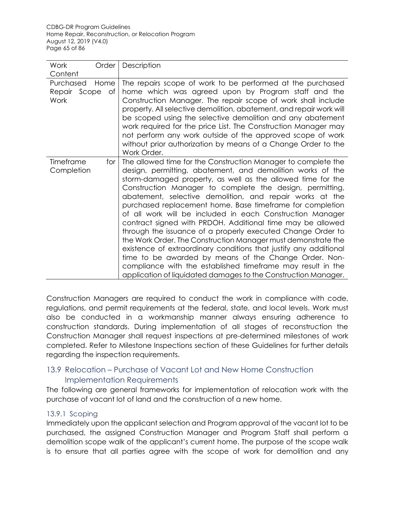| Work<br>Order<br>Content                           | Description                                                                                                                                                                                                                                                                                                                                                                                                                                                                                                                                                                                                                                                                                                                                                                                                                                                                                               |
|----------------------------------------------------|-----------------------------------------------------------------------------------------------------------------------------------------------------------------------------------------------------------------------------------------------------------------------------------------------------------------------------------------------------------------------------------------------------------------------------------------------------------------------------------------------------------------------------------------------------------------------------------------------------------------------------------------------------------------------------------------------------------------------------------------------------------------------------------------------------------------------------------------------------------------------------------------------------------|
| Purchased<br>Home<br>Scope<br>Repair<br>Оf<br>Work | The repairs scope of work to be performed at the purchased<br>home which was agreed upon by Program staff and the<br>Construction Manager. The repair scope of work shall include<br>property. All selective demolition, abatement, and repair work will<br>be scoped using the selective demolition and any abatement<br>work required for the price List. The Construction Manager may<br>not perform any work outside of the approved scope of work<br>without prior authorization by means of a Change Order to the<br>Work Order.                                                                                                                                                                                                                                                                                                                                                                    |
| Timeframe<br>for<br>Completion                     | The allowed time for the Construction Manager to complete the<br>design, permitting, abatement, and demolition works of the<br>storm-damaged property, as well as the allowed time for the<br>Construction Manager to complete the design, permitting,<br>abatement, selective demolition, and repair works at the<br>purchased replacement home. Base timeframe for completion<br>of all work will be included in each Construction Manager<br>contract signed with PRDOH. Additional time may be allowed<br>through the issuance of a properly executed Change Order to<br>the Work Order. The Construction Manager must demonstrate the<br>existence of extraordinary conditions that justify any additional<br>time to be awarded by means of the Change Order. Non-<br>compliance with the established timeframe may result in the<br>application of liquidated damages to the Construction Manager. |

Construction Managers are required to conduct the work in compliance with code, regulations, and permit requirements at the federal, state, and local levels. Work must also be conducted in a workmanship manner always ensuring adherence to construction standards. During implementation of all stages of reconstruction the Construction Manager shall request inspections at pre-determined milestones of work completed. Refer to Milestone Inspections section of these Guidelines for further details regarding the inspection requirements.

## 13.9 Relocation – Purchase of Vacant Lot and New Home Construction Implementation Requirements

The following are general frameworks for implementation of relocation work with the purchase of vacant lot of land and the construction of a new home.

## 13.9.1 Scoping

Immediately upon the applicant selection and Program approval of the vacant lot to be purchased, the assigned Construction Manager and Program Staff shall perform a demolition scope walk of the applicant's current home. The purpose of the scope walk is to ensure that all parties agree with the scope of work for demolition and any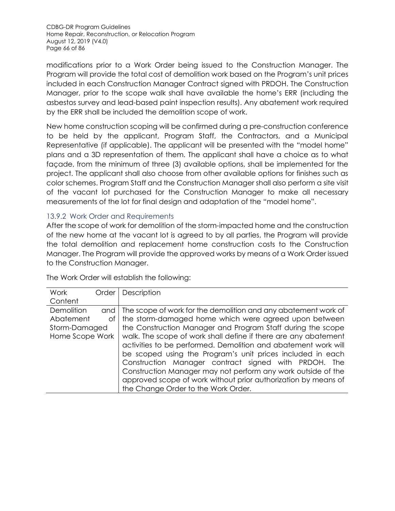CDBG-DR Program Guidelines Home Repair, Reconstruction, or Relocation Program August 12, 2019 (V4.0) Page 66 of 86

modifications prior to a Work Order being issued to the Construction Manager. The Program will provide the total cost of demolition work based on the Program's unit prices included in each Construction Manager Contract signed with PRDOH. The Construction Manager, prior to the scope walk shall have available the home's ERR (including the asbestos survey and lead-based paint inspection results). Any abatement work required by the ERR shall be included the demolition scope of work.

New home construction scoping will be confirmed during a pre-construction conference to be held by the applicant, Program Staff, the Contractors, and a Municipal Representative (if applicable). The applicant will be presented with the "model home" plans and a 3D representation of them. The applicant shall have a choice as to what façade, from the minimum of three (3) available options, shall be implemented for the project. The applicant shall also choose from other available options for finishes such as color schemes. Program Staff and the Construction Manager shall also perform a site visit of the vacant lot purchased for the Construction Manager to make all necessary measurements of the lot for final design and adaptation of the "model home".

### 13.9.2 Work Order and Requirements

After the scope of work for demolition of the storm-impacted home and the construction of the new home at the vacant lot is agreed to by all parties, the Program will provide the total demolition and replacement home construction costs to the Construction Manager. The Program will provide the approved works by means of a Work Order issued to the Construction Manager.

The Work Order will establish the following:

| Work              | Order | Description                                                     |
|-------------------|-------|-----------------------------------------------------------------|
| Content           |       |                                                                 |
| <b>Demolition</b> | and l | The scope of work for the demolition and any abatement work of  |
| Abatement         | ot    | the storm-damaged home which were agreed upon between           |
| Storm-Damaged     |       | the Construction Manager and Program Staff during the scope     |
| Home Scope Work   |       | walk. The scope of work shall define if there are any abatement |
|                   |       | activities to be performed. Demolition and abatement work will  |
|                   |       | be scoped using the Program's unit prices included in each      |
|                   |       | Construction Manager contract signed with PRDOH. The            |
|                   |       | Construction Manager may not perform any work outside of the    |
|                   |       | approved scope of work without prior authorization by means of  |
|                   |       | the Change Order to the Work Order.                             |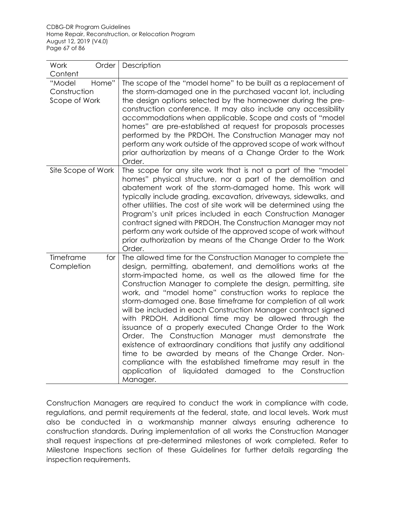| Work<br>Order<br>Content                         | Description                                                                                                                                                                                                                                                                                                                                                                                                                                                                                                                                                                                                                                                                                                                                                                                                                                                                                               |
|--------------------------------------------------|-----------------------------------------------------------------------------------------------------------------------------------------------------------------------------------------------------------------------------------------------------------------------------------------------------------------------------------------------------------------------------------------------------------------------------------------------------------------------------------------------------------------------------------------------------------------------------------------------------------------------------------------------------------------------------------------------------------------------------------------------------------------------------------------------------------------------------------------------------------------------------------------------------------|
| Home"<br>"Model<br>Construction<br>Scope of Work | The scope of the "model home" to be built as a replacement of<br>the storm-damaged one in the purchased vacant lot, including<br>the design options selected by the homeowner during the pre-<br>construction conference. It may also include any accessibility<br>accommodations when applicable. Scope and costs of "model"<br>homes" are pre-established at request for proposals processes<br>performed by the PRDOH. The Construction Manager may not<br>perform any work outside of the approved scope of work without<br>prior authorization by means of a Change Order to the Work<br>Order.                                                                                                                                                                                                                                                                                                      |
| Site Scope of Work                               | The scope for any site work that is not a part of the "model"<br>homes" physical structure, nor a part of the demolition and<br>abatement work of the storm-damaged home. This work will<br>typically include grading, excavation, driveways, sidewalks, and<br>other utilities. The cost of site work will be determined using the<br>Program's unit prices included in each Construction Manager<br>contract signed with PRDOH. The Construction Manager may not<br>perform any work outside of the approved scope of work without<br>prior authorization by means of the Change Order to the Work<br>Order.                                                                                                                                                                                                                                                                                            |
| Timeframe<br>for<br>Completion                   | The allowed time for the Construction Manager to complete the<br>design, permitting, abatement, and demolitions works at the<br>storm-impacted home, as well as the allowed time for the<br>Construction Manager to complete the design, permitting, site<br>work, and "model home" construction works to replace the<br>storm-damaged one. Base timeframe for completion of all work<br>will be included in each Construction Manager contract signed<br>with PRDOH. Additional time may be allowed through the<br>issuance of a properly executed Change Order to the Work<br>Order. The Construction Manager must demonstrate<br>the<br>existence of extraordinary conditions that justify any additional<br>time to be awarded by means of the Change Order. Non-<br>compliance with the established timeframe may result in the<br>application of liquidated damaged to the Construction<br>Manager. |

Construction Managers are required to conduct the work in compliance with code, regulations, and permit requirements at the federal, state, and local levels. Work must also be conducted in a workmanship manner always ensuring adherence to construction standards. During implementation of all works the Construction Manager shall request inspections at pre-determined milestones of work completed. Refer to Milestone Inspections section of these Guidelines for further details regarding the inspection requirements.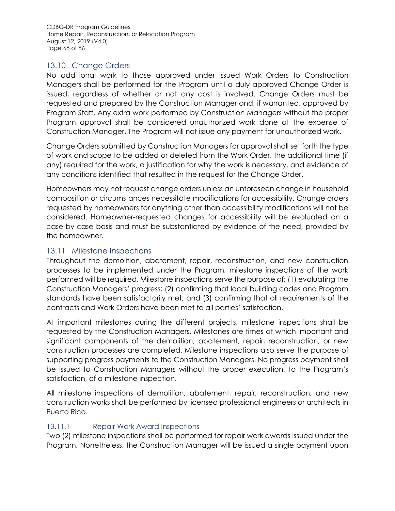CDBG-DR Program Guidelines Home Repair, Reconstruction, or Relocation Program August 12, 2019 (V4.0) Page 68 of 86

## 13.10 Change Orders

No additional work to those approved under issued Work Orders to Construction Managers shall be performed for the Program until a duly approved Change Order is issued, regardless of whether or not any cost is involved. Change Orders must be requested and prepared by the Construction Manager and, if warranted, approved by Program Staff. Any extra work performed by Construction Managers without the proper Program approval shall be considered unauthorized work done at the expense of Construction Manager. The Program will not issue any payment for unauthorized work.

Change Orders submitted by Construction Managers for approval shall set forth the type of work and scope to be added or deleted from the Work Order, the additional time (if any) required for the work, a justification for why the work is necessary, and evidence of any conditions identified that resulted in the request for the Change Order.

Homeowners may not request change orders unless an unforeseen change in household composition or circumstances necessitate modifications for accessibility. Change orders requested by homeowners for anything other than accessibility modifications will not be considered. Homeowner-requested changes for accessibility will be evaluated on a case-by-case basis and must be substantiated by evidence of the need, provided by the homeowner.

## 13.11 Milestone Inspections

Throughout the demolition, abatement, repair, reconstruction, and new construction processes to be implemented under the Program, milestone inspections of the work performed will be required. Milestone inspections serve the purpose of: (1) evaluating the Construction Managers' progress; (2) confirming that local building codes and Program standards have been satisfactorily met; and (3) confirming that all requirements of the contracts and Work Orders have been met to all parties' satisfaction.

At important milestones during the different projects, milestone inspections shall be requested by the Construction Managers. Milestones are times at which important and significant components of the demolition, abatement, repair, reconstruction, or new construction processes are completed. Milestone inspections also serve the purpose of supporting progress payments to the Construction Managers. No progress payment shall be issued to Construction Managers without the proper execution, to the Program's satisfaction, of a milestone inspection.

All milestone inspections of demolition, abatement, repair, reconstruction, and new construction works shall be performed by licensed professional engineers or architects in Puerto Rico.

### 13.11.1 Repair Work Award Inspections

Two (2) milestone inspections shall be performed for repair work awards issued under the Program. Nonetheless, the Construction Manager will be issued a single payment upon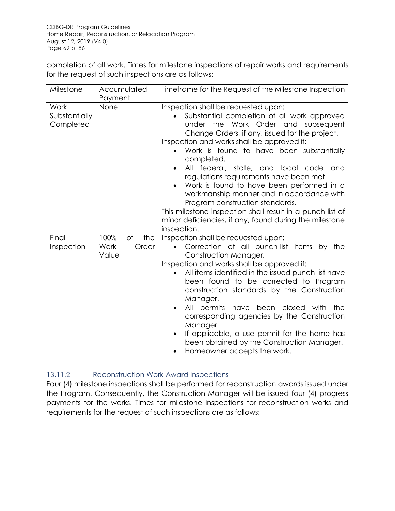completion of all work. Times for milestone inspections of repair works and requirements for the request of such inspections are as follows:

| Milestone                          | Accumulated<br>Payment                      | Timeframe for the Request of the Milestone Inspection                                                                                                                                                                                                                                                                                                                                                                                                                                                                                                                                                                                          |
|------------------------------------|---------------------------------------------|------------------------------------------------------------------------------------------------------------------------------------------------------------------------------------------------------------------------------------------------------------------------------------------------------------------------------------------------------------------------------------------------------------------------------------------------------------------------------------------------------------------------------------------------------------------------------------------------------------------------------------------------|
| Work<br>Substantially<br>Completed | None                                        | Inspection shall be requested upon:<br>Substantial completion of all work approved<br>under the Work Order and subsequent<br>Change Orders, if any, issued for the project.<br>Inspection and works shall be approved if:<br>Work is found to have been substantially<br>completed.<br>All federal, state, and local code<br>and<br>regulations requirements have been met.<br>Work is found to have been performed in a<br>workmanship manner and in accordance with<br>Program construction standards.<br>This milestone inspection shall result in a punch-list of<br>minor deficiencies, if any, found during the milestone<br>inspection. |
| Final<br>Inspection                | of<br>100%<br>the<br>Order<br>Work<br>Value | Inspection shall be requested upon:<br>Correction of all punch-list items by the<br>Construction Manager.<br>Inspection and works shall be approved if:<br>All items identified in the issued punch-list have<br>been found to be corrected to Program<br>construction standards by the Construction<br>Manager.<br>All permits have been closed with<br>the<br>$\bullet$<br>corresponding agencies by the Construction<br>Manager.<br>If applicable, a use permit for the home has<br>been obtained by the Construction Manager.<br>Homeowner accepts the work.                                                                               |

# 13.11.2 Reconstruction Work Award Inspections

Four (4) milestone inspections shall be performed for reconstruction awards issued under the Program. Consequently, the Construction Manager will be issued four (4) progress payments for the works. Times for milestone inspections for reconstruction works and requirements for the request of such inspections are as follows: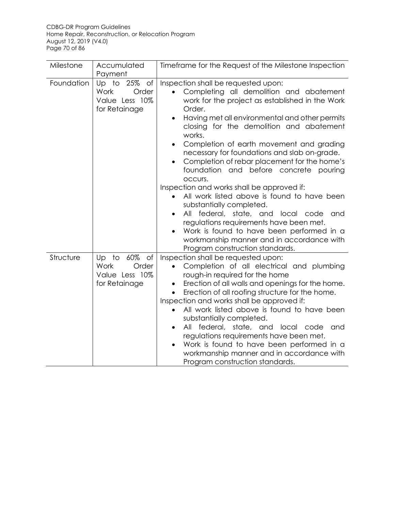| Milestone  | Accumulated<br>Payment                                                 | Timeframe for the Request of the Milestone Inspection                                                                                                                                                                                                                                                                                                                                                                                                                                                                                                                                                                                                                                                                                                                                                           |
|------------|------------------------------------------------------------------------|-----------------------------------------------------------------------------------------------------------------------------------------------------------------------------------------------------------------------------------------------------------------------------------------------------------------------------------------------------------------------------------------------------------------------------------------------------------------------------------------------------------------------------------------------------------------------------------------------------------------------------------------------------------------------------------------------------------------------------------------------------------------------------------------------------------------|
| Foundation | 25% of<br>Up to<br>Work<br>Order<br>Value Less 10%<br>for Retainage    | Inspection shall be requested upon:<br>Completing all demolition and abatement<br>work for the project as established in the Work<br>Order.<br>Having met all environmental and other permits<br>closing for the demolition and abatement<br>works.<br>Completion of earth movement and grading<br>$\bullet$<br>necessary for foundations and slab on-grade.<br>Completion of rebar placement for the home's<br>foundation and before concrete pouring<br>occurs.<br>Inspection and works shall be approved if:<br>All work listed above is found to have been<br>substantially completed.<br>All federal, state, and local code<br>and<br>regulations requirements have been met.<br>Work is found to have been performed in a<br>workmanship manner and in accordance with<br>Program construction standards. |
| Structure  | 60% of<br>Up<br>to<br>Work<br>Order<br>Value Less 10%<br>for Retainage | Inspection shall be requested upon:<br>Completion of all electrical and plumbing<br>$\bullet$<br>rough-in required for the home<br>Erection of all walls and openings for the home.<br>Erection of all roofing structure for the home.<br>Inspection and works shall be approved if:<br>All work listed above is found to have been<br>substantially completed.<br>All federal, state, and local code<br>and<br>$\bullet$<br>regulations requirements have been met.<br>Work is found to have been performed in a<br>$\bullet$<br>workmanship manner and in accordance with<br>Program construction standards.                                                                                                                                                                                                  |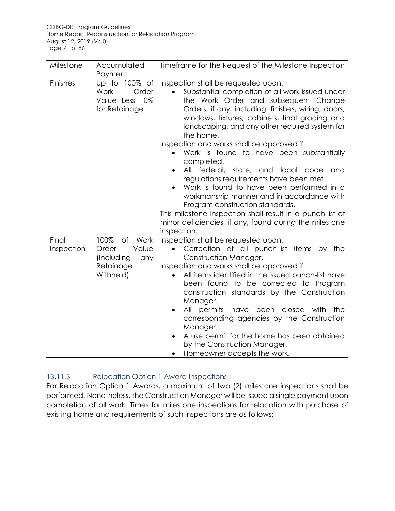| Milestone           | Accumulated<br>Payment                                                              | Timeframe for the Request of the Milestone Inspection                                                                                                                                                                                                                                                                                                                                                                                                                                                                                                                                                                                                                                                                                                                        |
|---------------------|-------------------------------------------------------------------------------------|------------------------------------------------------------------------------------------------------------------------------------------------------------------------------------------------------------------------------------------------------------------------------------------------------------------------------------------------------------------------------------------------------------------------------------------------------------------------------------------------------------------------------------------------------------------------------------------------------------------------------------------------------------------------------------------------------------------------------------------------------------------------------|
| <b>Finishes</b>     | Up to 100% of<br><b>Work</b><br>Order<br>Value Less 10%<br>for Retainage            | Inspection shall be requested upon:<br>Substantial completion of all work issued under<br>the Work Order and subsequent Change<br>Orders, if any, including: finishes, wiring, doors,<br>windows, fixtures, cabinets, final grading and<br>landscaping, and any other required system for<br>the home.<br>Inspection and works shall be approved if:<br>Work is found to have been substantially<br>completed.<br>All federal,<br>state, and local code<br>and<br>regulations requirements have been met.<br>Work is found to have been performed in a<br>workmanship manner and in accordance with<br>Program construction standards.<br>This milestone inspection shall result in a punch-list of<br>minor deficiencies, if any, found during the milestone<br>inspection. |
| Final<br>Inspection | 100%<br>of<br>Work<br>Value<br>Order<br>(Including<br>any<br>Retainage<br>Withheld) | Inspection shall be requested upon:<br>Correction of all punch-list items by the<br>Construction Manager.<br>Inspection and works shall be approved if:<br>All items identified in the issued punch-list have<br>been found to be corrected to Program<br>construction standards by the Construction<br>Manager.<br>All permits have been closed with<br>the<br>corresponding agencies by the Construction<br>Manager.<br>A use permit for the home has been obtained<br>by the Construction Manager.<br>Homeowner accepts the work.                                                                                                                                                                                                                                         |

# 13.11.3 Relocation Option 1 Award Inspections

For Relocation Option 1 Awards, a maximum of two (2) milestone inspections shall be performed. Nonetheless, the Construction Manager will be issued a single payment upon completion of all work. Times for milestone inspections for relocation with purchase of existing home and requirements of such inspections are as follows: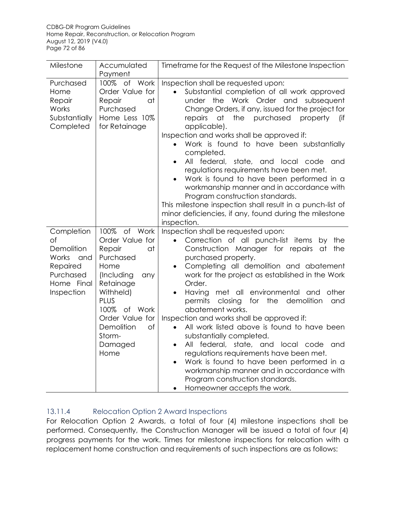| Milestone                                                                                           | Accumulated<br>Payment                                                                                                                                                                                                       | Timeframe for the Request of the Milestone Inspection                                                                                                                                                                                                                                                                                                                                                                                                                                                                                                                                                                                                                                                                                                                                                                                                   |
|-----------------------------------------------------------------------------------------------------|------------------------------------------------------------------------------------------------------------------------------------------------------------------------------------------------------------------------------|---------------------------------------------------------------------------------------------------------------------------------------------------------------------------------------------------------------------------------------------------------------------------------------------------------------------------------------------------------------------------------------------------------------------------------------------------------------------------------------------------------------------------------------------------------------------------------------------------------------------------------------------------------------------------------------------------------------------------------------------------------------------------------------------------------------------------------------------------------|
| Purchased<br>Home<br>Repair<br>Works<br>Substantially<br>Completed                                  | 100% of<br>Work<br>Order Value for<br>Repair<br>at<br>Purchased<br>Home Less 10%<br>for Retainage                                                                                                                            | Inspection shall be requested upon:<br>Substantial completion of all work approved<br>under the Work Order and subsequent<br>Change Orders, if any, issued for the project for<br>repairs<br>at<br>the<br>purchased<br>property<br>(if<br>applicable).<br>Inspection and works shall be approved if:<br>Work is found to have been substantially<br>completed.<br>All federal,<br>state, and local code and<br>$\bullet$<br>regulations requirements have been met.<br>Work is found to have been performed in a<br>workmanship manner and in accordance with<br>Program construction standards.<br>This milestone inspection shall result in a punch-list of<br>minor deficiencies, if any, found during the milestone<br>inspection.                                                                                                                  |
| Completion<br>of<br>Demolition<br>Works<br>and<br>Repaired<br>Purchased<br>Home Final<br>Inspection | 100%<br>of Work<br>Order Value for<br>Repair<br>at<br>Purchased<br>Home<br>(Including<br>any<br>Retainage<br>Withheld)<br><b>PLUS</b><br>100%<br>of Work<br>Order Value for<br>Demolition<br>of<br>Storm-<br>Damaged<br>Home | Inspection shall be requested upon:<br>Correction of all punch-list items<br>the<br>$\bullet$<br>by<br>Construction Manager for repairs<br>the<br>at<br>purchased property.<br>Completing all demolition and abatement<br>$\bullet$<br>work for the project as established in the Work<br>Order.<br>Having<br>met all environmental<br>other<br>and<br>$\bullet$<br>permits<br>closing<br>for<br>the<br>demolition<br>and<br>abatement works.<br>Inspection and works shall be approved if:<br>All work listed above is found to have been<br>$\bullet$<br>substantially completed.<br>federal, state, and local code<br>All<br>and<br>$\bullet$<br>regulations requirements have been met.<br>Work is found to have been performed in a<br>workmanship manner and in accordance with<br>Program construction standards.<br>Homeowner accepts the work. |

# 13.11.4 Relocation Option 2 Award Inspections

For Relocation Option 2 Awards, a total of four (4) milestone inspections shall be performed. Consequently, the Construction Manager will be issued a total of four (4) progress payments for the work. Times for milestone inspections for relocation with a replacement home construction and requirements of such inspections are as follows: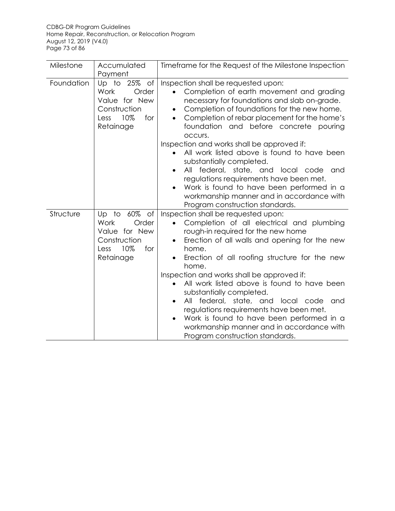| Milestone  | Accumulated<br>Payment                                                                               | Timeframe for the Request of the Milestone Inspection                                                                                                                                                                                                                                                                                                                                                                                                                                                                                                                                                                                                            |
|------------|------------------------------------------------------------------------------------------------------|------------------------------------------------------------------------------------------------------------------------------------------------------------------------------------------------------------------------------------------------------------------------------------------------------------------------------------------------------------------------------------------------------------------------------------------------------------------------------------------------------------------------------------------------------------------------------------------------------------------------------------------------------------------|
| Foundation | Up to 25% of<br>Work<br>Order<br>Value for New<br>Construction<br>10%<br>for<br>Less<br>Retainage    | Inspection shall be requested upon:<br>Completion of earth movement and grading<br>necessary for foundations and slab on-grade.<br>Completion of foundations for the new home.<br>٠<br>Completion of rebar placement for the home's<br>$\bullet$<br>foundation and before concrete pouring<br>OCCUIS.<br>Inspection and works shall be approved if:<br>All work listed above is found to have been<br>substantially completed.<br>All federal, state, and local code<br>and<br>$\bullet$<br>regulations requirements have been met.<br>Work is found to have been performed in a<br>workmanship manner and in accordance with<br>Program construction standards. |
| Structure  | 60% of<br>Up to<br>Work<br>Order<br>Value for New<br>Construction<br>10%<br>for<br>Less<br>Retainage | Inspection shall be requested upon:<br>Completion of all electrical and plumbing<br>rough-in required for the new home<br>Erection of all walls and opening for the new<br>home.<br>Erection of all roofing structure for the new<br>home.<br>Inspection and works shall be approved if:<br>All work listed above is found to have been<br>substantially completed.<br>All federal, state, and local code<br>and<br>$\bullet$<br>regulations requirements have been met.<br>Work is found to have been performed in a<br>workmanship manner and in accordance with<br>Program construction standards.                                                            |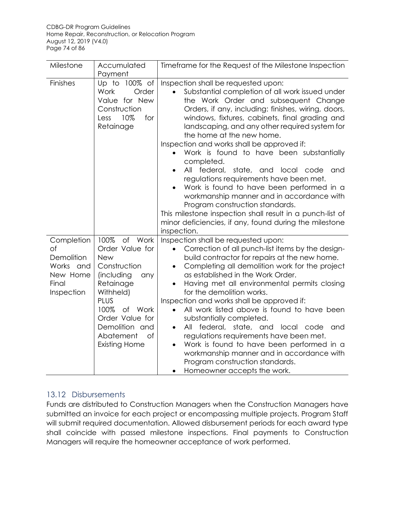| Milestone                                                                      | Accumulated                                                                                                                                                                                                                              | Timeframe for the Request of the Milestone Inspection                                                                                                                                                                                                                                                                                                                                                                                                                                                                                                                                                                                                                                                                                                                                        |
|--------------------------------------------------------------------------------|------------------------------------------------------------------------------------------------------------------------------------------------------------------------------------------------------------------------------------------|----------------------------------------------------------------------------------------------------------------------------------------------------------------------------------------------------------------------------------------------------------------------------------------------------------------------------------------------------------------------------------------------------------------------------------------------------------------------------------------------------------------------------------------------------------------------------------------------------------------------------------------------------------------------------------------------------------------------------------------------------------------------------------------------|
| Finishes                                                                       | Payment<br>Up to 100% of<br>Work<br>Order<br>Value for New<br>Construction<br>10%<br>for<br>Less<br>Retainage                                                                                                                            | Inspection shall be requested upon:<br>Substantial completion of all work issued under<br>the Work Order and subsequent Change<br>Orders, if any, including: finishes, wiring, doors,<br>windows, fixtures, cabinets, final grading and<br>landscaping, and any other required system for<br>the home at the new home.<br>Inspection and works shall be approved if:<br>Work is found to have been substantially<br>completed.<br>All federal,<br>state, and local code<br>and<br>regulations requirements have been met.<br>Work is found to have been performed in a<br>workmanship manner and in accordance with<br>Program construction standards.<br>This milestone inspection shall result in a punch-list of<br>minor deficiencies, if any, found during the milestone<br>inspection. |
| Completion<br>of<br>Demolition<br>Works and<br>New Home<br>Final<br>Inspection | 100%<br>of<br>Work<br>Order Value for<br><b>New</b><br>Construction<br>(including<br>any<br>Retainage<br>Withheld)<br><b>PLUS</b><br>100% of Work<br>Order Value for<br>Demolition and<br>Abatement<br><b>of</b><br><b>Existing Home</b> | Inspection shall be requested upon:<br>Correction of all punch-list items by the design-<br>build contractor for repairs at the new home.<br>Completing all demolition work for the project<br>as established in the Work Order.<br>Having met all environmental permits closing<br>for the demolition works.<br>Inspection and works shall be approved if:<br>All work listed above is found to have been<br>$\bullet$<br>substantially completed.<br>All federal, state, and local code<br>and<br>regulations requirements have been met.<br>Work is found to have been performed in a<br>workmanship manner and in accordance with<br>Program construction standards.<br>Homeowner accepts the work.                                                                                      |

## 13.12 Disbursements

Funds are distributed to Construction Managers when the Construction Managers have submitted an invoice for each project or encompassing multiple projects. Program Staff will submit required documentation. Allowed disbursement periods for each award type shall coincide with passed milestone inspections. Final payments to Construction Managers will require the homeowner acceptance of work performed.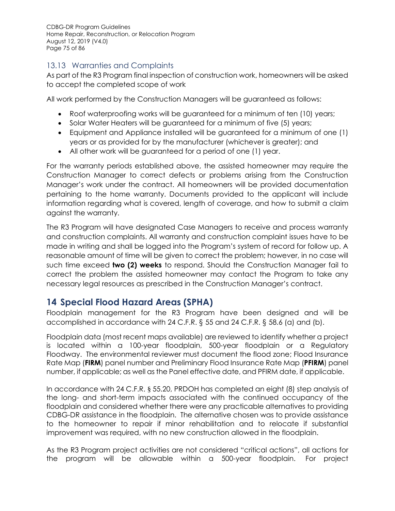CDBG-DR Program Guidelines Home Repair, Reconstruction, or Relocation Program August 12, 2019 (V4.0) Page 75 of 86

### 13.13 Warranties and Complaints

As part of the R3 Program final inspection of construction work, homeowners will be asked to accept the completed scope of work

All work performed by the Construction Managers will be guaranteed as follows:

- Roof waterproofing works will be guaranteed for a minimum of ten (10) years;
- Solar Water Heaters will be guaranteed for a minimum of five (5) years;
- Equipment and Appliance installed will be guaranteed for a minimum of one (1) years or as provided for by the manufacturer (whichever is greater); and
- All other work will be guaranteed for a period of one (1) year.

For the warranty periods established above, the assisted homeowner may require the Construction Manager to correct defects or problems arising from the Construction Manager's work under the contract. All homeowners will be provided documentation pertaining to the home warranty. Documents provided to the applicant will include information regarding what is covered, length of coverage, and how to submit a claim against the warranty.

The R3 Program will have designated Case Managers to receive and process warranty and construction complaints. All warranty and construction complaint issues have to be made in writing and shall be logged into the Program's system of record for follow up. A reasonable amount of time will be given to correct the problem; however, in no case will such time exceed **two (2) weeks** to respond. Should the Construction Manager fail to correct the problem the assisted homeowner may contact the Program to take any necessary legal resources as prescribed in the Construction Manager's contract.

# **14 Special Flood Hazard Areas (SPHA)**

Floodplain management for the R3 Program have been designed and will be accomplished in accordance with 24 C.F.R. § 55 and 24 C.F.R. § 58.6 (a) and (b).

Floodplain data (most recent maps available) are reviewed to identify whether a project is located within a 100-year floodplain, 500-year floodplain or a Regulatory Floodway. The environmental reviewer must document the flood zone; Flood Insurance Rate Map (**FIRM**) panel number and Preliminary Flood Insurance Rate Map (**PFIRM**) panel number, if applicable; as well as the Panel effective date, and PFIRM date, if applicable.

In accordance with 24 C.F.R. § 55.20, PRDOH has completed an eight (8) step analysis of the long- and short-term impacts associated with the continued occupancy of the floodplain and considered whether there were any practicable alternatives to providing CDBG-DR assistance in the floodplain. The alternative chosen was to provide assistance to the homeowner to repair if minor rehabilitation and to relocate if substantial improvement was required, with no new construction allowed in the floodplain.

As the R3 Program project activities are not considered "critical actions", all actions for the program will be allowable within a 500-year floodplain. For project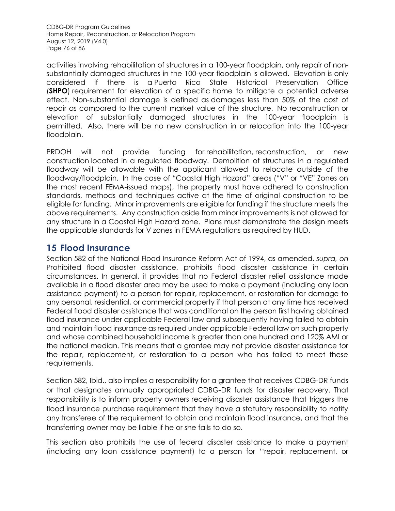CDBG-DR Program Guidelines Home Repair, Reconstruction, or Relocation Program August 12, 2019 (V4.0) Page 76 of 86

activities involving rehabilitation of structures in a 100-year floodplain, only repair of nonsubstantially damaged structures in the 100-year floodplain is allowed. Elevation is only considered if there is a Puerto Rico State Historical Preservation Office (**SHPO**) requirement for elevation of a specific home to mitigate a potential adverse effect. Non-substantial damage is defined as damages less than 50% of the cost of repair as compared to the current market value of the structure. No reconstruction or elevation of substantially damaged structures in the 100-year floodplain is permitted. Also, there will be no new construction in or relocation into the 100-year floodplain.

PRDOH will not provide funding for rehabilitation, reconstruction, or new construction located in a regulated floodway. Demolition of structures in a regulated floodway will be allowable with the applicant allowed to relocate outside of the floodway/floodplain. In the case of "Coastal High Hazard" areas ("V" or "VE" Zones on the most recent FEMA-issued maps), the property must have adhered to construction standards, methods and techniques active at the time of original construction to be eligible for funding. Minor improvements are eligible for funding if the structure meets the above requirements. Any construction aside from minor improvements is not allowed for any structure in a Coastal High Hazard zone. Plans must demonstrate the design meets the applicable standards for V zones in FEMA regulations as required by HUD.

## **15 Flood Insurance**

Section 582 of the National Flood Insurance Reform Act of 1994, as amended, *supra, on* Prohibited flood disaster assistance, prohibits flood disaster assistance in certain circumstances. In general, it provides that no Federal disaster relief assistance made available in a flood disaster area may be used to make a payment (including any loan assistance payment) to a person for repair, replacement, or restoration for damage to any personal, residential, or commercial property if that person at any time has received Federal flood disaster assistance that was conditional on the person first having obtained flood insurance under applicable Federal law and subsequently having failed to obtain and maintain flood insurance as required under applicable Federal law on such property and whose combined household income is greater than one hundred and 120% AMI or the national median. This means that a grantee may not provide disaster assistance for the repair, replacement, or restoration to a person who has failed to meet these requirements.

Section 582, Ibid., also implies a responsibility for a grantee that receives CDBG-DR funds or that designates annually appropriated CDBG-DR funds for disaster recovery. That responsibility is to inform property owners receiving disaster assistance that triggers the flood insurance purchase requirement that they have a statutory responsibility to notify any transferee of the requirement to obtain and maintain flood insurance, and that the transferring owner may be liable if he or she fails to do so.

This section also prohibits the use of federal disaster assistance to make a payment (including any loan assistance payment) to a person for ''repair, replacement, or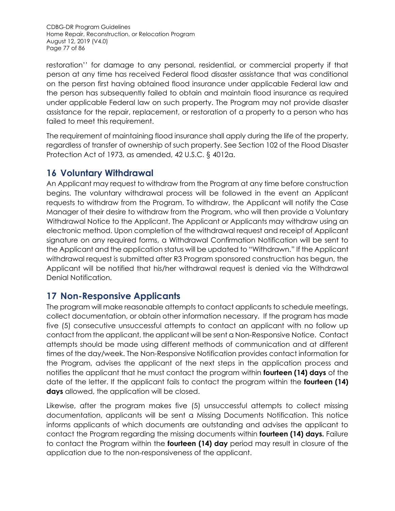CDBG-DR Program Guidelines Home Repair, Reconstruction, or Relocation Program August 12, 2019 (V4.0) Page 77 of 86

restoration'' for damage to any personal, residential, or commercial property if that person at any time has received Federal flood disaster assistance that was conditional on the person first having obtained flood insurance under applicable Federal law and the person has subsequently failed to obtain and maintain flood insurance as required under applicable Federal law on such property. The Program may not provide disaster assistance for the repair, replacement, or restoration of a property to a person who has failed to meet this requirement.

The requirement of maintaining flood insurance shall apply during the life of the property, regardless of transfer of ownership of such property. See Section 102 of the Flood Disaster Protection Act of 1973, as amended, 42 U.S.C. § 4012a.

# **16 Voluntary Withdrawal**

An Applicant may request to withdraw from the Program at any time before construction begins. The voluntary withdrawal process will be followed in the event an Applicant requests to withdraw from the Program. To withdraw, the Applicant will notify the Case Manager of their desire to withdraw from the Program, who will then provide a Voluntary Withdrawal Notice to the Applicant. The Applicant or Applicants may withdraw using an electronic method. Upon completion of the withdrawal request and receipt of Applicant signature on any required forms, a Withdrawal Confirmation Notification will be sent to the Applicant and the application status will be updated to "Withdrawn." If the Applicant withdrawal request is submitted after R3 Program sponsored construction has begun, the Applicant will be notified that his/her withdrawal request is denied via the Withdrawal Denial Notification.

## **17 Non-Responsive Applicants**

The program will make reasonable attempts to contact applicants to schedule meetings, collect documentation, or obtain other information necessary. If the program has made five (5) consecutive unsuccessful attempts to contact an applicant with no follow up contact from the applicant, the applicant will be sent a Non-Responsive Notice. Contact attempts should be made using different methods of communication and at different times of the day/week. The Non-Responsive Notification provides contact information for the Program, advises the applicant of the next steps in the application process and notifies the applicant that he must contact the program within **fourteen (14) days** of the date of the letter. If the applicant fails to contact the program within the **fourteen (14) days** allowed, the application will be closed.

Likewise, after the program makes five (5) unsuccessful attempts to collect missing documentation, applicants will be sent a Missing Documents Notification. This notice informs applicants of which documents are outstanding and advises the applicant to contact the Program regarding the missing documents within **fourteen (14) days.** Failure to contact the Program within the **fourteen (14) day** period may result in closure of the application due to the non-responsiveness of the applicant.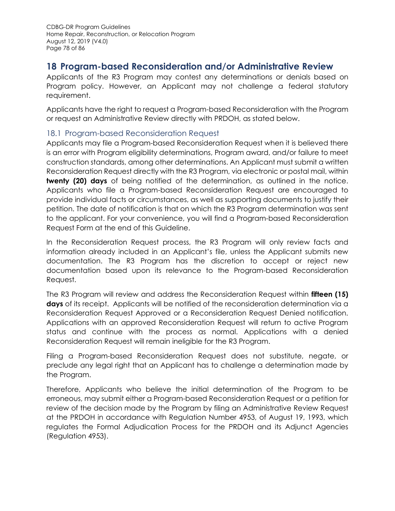## **18 Program-based Reconsideration and/or Administrative Review**

Applicants of the R3 Program may contest any determinations or denials based on Program policy. However, an Applicant may not challenge a federal statutory requirement.

Applicants have the right to request a Program-based Reconsideration with the Program or request an Administrative Review directly with PRDOH, as stated below.

### 18.1 Program-based Reconsideration Request

Applicants may file a Program-based Reconsideration Request when it is believed there is an error with Program eligibility determinations, Program award, and/or failure to meet construction standards, among other determinations. An Applicant must submit a written Reconsideration Request directly with the R3 Program, via electronic or postal mail, within **twenty (20) days** of being notified of the determination, as outlined in the notice. Applicants who file a Program-based Reconsideration Request are encouraged to provide individual facts or circumstances, as well as supporting documents to justify their petition. The date of notification is that on which the R3 Program determination was sent to the applicant. For your convenience, you will find a Program-based Reconsideration Request Form at the end of this Guideline.

In the Reconsideration Request process, the R3 Program will only review facts and information already included in an Applicant's file, unless the Applicant submits new documentation. The R3 Program has the discretion to accept or reject new documentation based upon its relevance to the Program-based Reconsideration Request.

The R3 Program will review and address the Reconsideration Request within **fifteen (15) days** of its receipt. Applicants will be notified of the reconsideration determination via a Reconsideration Request Approved or a Reconsideration Request Denied notification. Applications with an approved Reconsideration Request will return to active Program status and continue with the process as normal. Applications with a denied Reconsideration Request will remain ineligible for the R3 Program.

Filing a Program-based Reconsideration Request does not substitute, negate, or preclude any legal right that an Applicant has to challenge a determination made by the Program.

Therefore, Applicants who believe the initial determination of the Program to be erroneous, may submit either a Program-based Reconsideration Request or a petition for review of the decision made by the Program by filing an Administrative Review Request at the PRDOH in accordance with Regulation Number 4953, of August 19, 1993, which regulates the Formal Adjudication Process for the PRDOH and its Adjunct Agencies (Regulation 4953).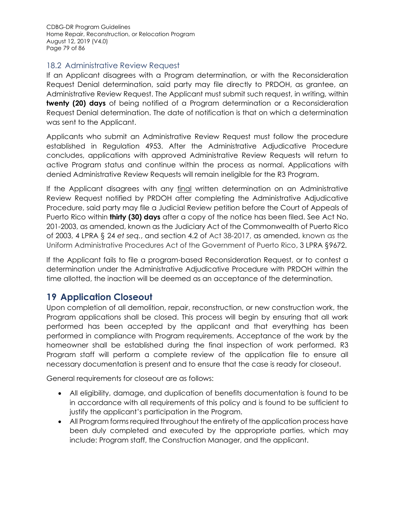CDBG-DR Program Guidelines Home Repair, Reconstruction, or Relocation Program August 12, 2019 (V4.0) Page 79 of 86

#### 18.2 Administrative Review Request

If an Applicant disagrees with a Program determination, or with the Reconsideration Request Denial determination, said party may file directly to PRDOH, as grantee, an Administrative Review Request. The Applicant must submit such request, in writing, within **twenty (20) days** of being notified of a Program determination or a Reconsideration Request Denial determination. The date of notification is that on which a determination was sent to the Applicant.

Applicants who submit an Administrative Review Request must follow the procedure established in Regulation 4953. After the Administrative Adjudicative Procedure concludes, applications with approved Administrative Review Requests will return to active Program status and continue within the process as normal. Applications with denied Administrative Review Requests will remain ineligible for the R3 Program.

If the Applicant disagrees with any final written determination on an Administrative Review Request notified by PRDOH after completing the Administrative Adjudicative Procedure, said party may file a Judicial Review petition before the Court of Appeals of Puerto Rico within **thirty (30) days** after a copy of the notice has been filed. See Act No. 201-2003, as amended, known as the Judiciary Act of the Commonwealth of Puerto Rico of 2003, 4 LPRA § 24 *et seq.*, and section 4.2 of Act 38-2017, as amended, known as the Uniform Administrative Procedures Act of the Government of Puerto Rico, 3 LPRA §9672.

If the Applicant fails to file a program-based Reconsideration Request, or to contest a determination under the Administrative Adjudicative Procedure with PRDOH within the time allotted, the inaction will be deemed as an acceptance of the determination.

## **19 Application Closeout**

Upon completion of all demolition, repair, reconstruction, or new construction work, the Program applications shall be closed. This process will begin by ensuring that all work performed has been accepted by the applicant and that everything has been performed in compliance with Program requirements. Acceptance of the work by the homeowner shall be established during the final inspection of work performed. R3 Program staff will perform a complete review of the application file to ensure all necessary documentation is present and to ensure that the case is ready for closeout.

General requirements for closeout are as follows:

- All eligibility, damage, and duplication of benefits documentation is found to be in accordance with all requirements of this policy and is found to be sufficient to justify the applicant's participation in the Program.
- All Program forms required throughout the entirety of the application process have been duly completed and executed by the appropriate parties, which may include: Program staff, the Construction Manager, and the applicant.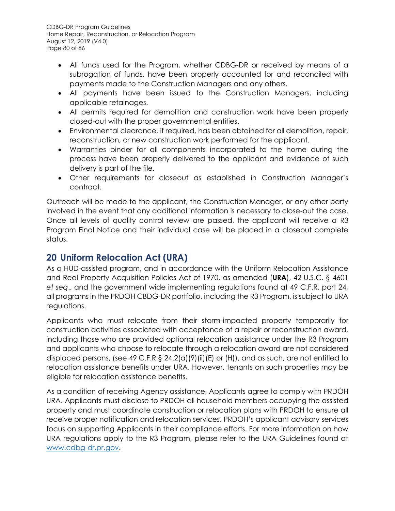CDBG-DR Program Guidelines Home Repair, Reconstruction, or Relocation Program August 12, 2019 (V4.0) Page 80 of 86

- All funds used for the Program, whether CDBG-DR or received by means of a subrogation of funds, have been properly accounted for and reconciled with payments made to the Construction Managers and any others.
- All payments have been issued to the Construction Managers, including applicable retainages.
- All permits required for demolition and construction work have been properly closed-out with the proper governmental entities.
- Environmental clearance, if required, has been obtained for all demolition, repair, reconstruction, or new construction work performed for the applicant.
- Warranties binder for all components incorporated to the home during the process have been properly delivered to the applicant and evidence of such delivery is part of the file.
- Other requirements for closeout as established in Construction Manager's contract.

Outreach will be made to the applicant, the Construction Manager, or any other party involved in the event that any additional information is necessary to close-out the case. Once all levels of quality control review are passed, the applicant will receive a R3 Program Final Notice and their individual case will be placed in a closeout complete status.

# **20 Uniform Relocation Act (URA)**

As a HUD-assisted program, and in accordance with the Uniform Relocation Assistance and Real Property Acquisition Policies Act of 1970, as amended (**URA**), 42 U.S.C. § 4601 *et seq*., and the government wide implementing regulations found at 49 C.F.R. part 24, all programs in the PRDOH CBDG-DR portfolio, including the R3 Program, is subject to URA regulations.

Applicants who must relocate from their storm-impacted property temporarily for construction activities associated with acceptance of a repair or reconstruction award, including those who are provided optional relocation assistance under the R3 Program and applicants who choose to relocate through a relocation award are not considered displaced persons, (see 49 C.F.R § 24.2(a)(9)(ii)(E) or (H)), and as such, are not entitled to relocation assistance benefits under URA. However, tenants on such properties may be eligible for relocation assistance benefits.

As a condition of receiving Agency assistance, Applicants agree to comply with PRDOH URA. Applicants must disclose to PRDOH all household members occupying the assisted property and must coordinate construction or relocation plans with PRDOH to ensure all receive proper notification and relocation services. PRDOH's applicant advisory services focus on supporting Applicants in their compliance efforts. For more information on how URA regulations apply to the R3 Program, please refer to the URA Guidelines found at [www.cdbg-dr.pr.gov.](http://www.cdbg-dr.pr.gov/)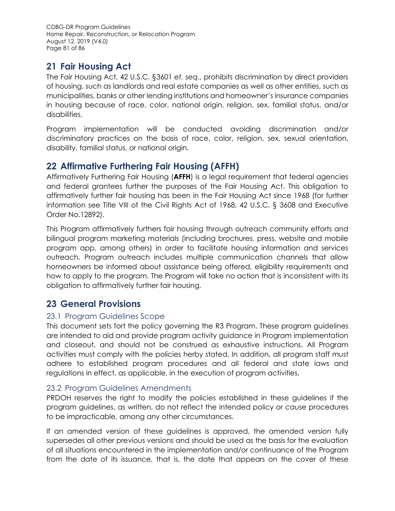CDBG-DR Program Guidelines Home Repair, Reconstruction, or Relocation Program August 12, 2019 (V4.0) Page 81 of 86

# **21 Fair Housing Act**

The Fair Housing Act, 42 U.S.C. §3601 *et. seq*., prohibits discrimination by direct providers of housing, such as landlords and real estate companies as well as other entities, such as municipalities, banks or other lending institutions and homeowner's insurance companies in housing because of race, color, national origin, religion, sex, familial status, and/or disabilities.

Program implementation will be conducted avoiding discrimination and/or discriminatory practices on the basis of race, color, religion, sex, sexual orientation, disability, familial status, or national origin.

# **22 Affirmative Furthering Fair Housing (AFFH)**

Affirmatively Furthering Fair Housing (**AFFH**) is a legal requirement that federal agencies and federal grantees further the purposes of the Fair Housing Act. This obligation to affirmatively further fair housing has been in the Fair Housing Act since 1968 (for further information see Title VIII of the Civil Rights Act of 1968, 42 U.S.C. § 3608 and Executive Order No.12892).

This Program affirmatively furthers fair housing through outreach community efforts and bilingual program marketing materials (including brochures, press, website and mobile program app, among others) in order to facilitate housing information and services outreach. Program outreach includes multiple communication channels that allow homeowners be informed about assistance being offered, eligibility requirements and how to apply to the program. The Program will take no action that is inconsistent with its obligation to affirmatively further fair housing.

# **23 General Provisions**

## 23.1 Program Guidelines Scope

This document sets fort the policy governing the R3 Program. These program guidelines are intended to aid and provide program activity guidance in Program implementation and closeout, and should not be construed as exhaustive instructions. All Program activities must comply with the policies herby stated. In addition, all program staff must adhere to established program procedures and all federal and state laws and regulations in effect, as applicable, in the execution of program activities.

### 23.2 Program Guidelines Amendments

PRDOH reserves the right to modify the policies established in these guidelines if the program guidelines, as written, do not reflect the intended policy or cause procedures to be impracticable, among any other circumstances.

If an amended version of these guidelines is approved, the amended version fully supersedes all other previous versions and should be used as the basis for the evaluation of all situations encountered in the implementation and/or continuance of the Program from the date of its issuance, that is, the date that appears on the cover of these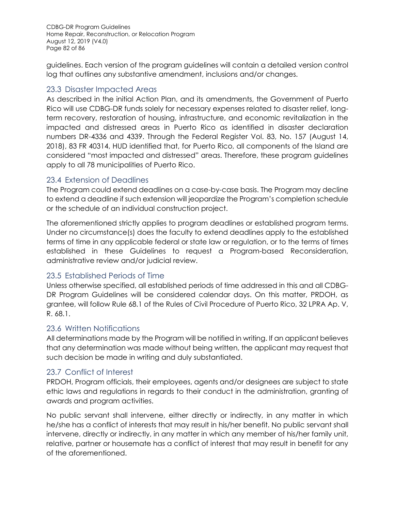CDBG-DR Program Guidelines Home Repair, Reconstruction, or Relocation Program August 12, 2019 (V4.0) Page 82 of 86

guidelines. Each version of the program guidelines will contain a detailed version control log that outlines any substantive amendment, inclusions and/or changes.

### 23.3 Disaster Impacted Areas

As described in the initial Action Plan, and its amendments, the Government of Puerto Rico will use CDBG-DR funds solely for necessary expenses related to disaster relief, longterm recovery, restoration of housing, infrastructure, and economic revitalization in the impacted and distressed areas in Puerto Rico as identified in disaster declaration numbers DR-4336 and 4339. Through the Federal Register Vol. 83, No. 157 (August 14, 2018), 83 FR 40314, HUD identified that, for Puerto Rico, all components of the Island are considered "most impacted and distressed" areas. Therefore, these program guidelines apply to all 78 municipalities of Puerto Rico.

### 23.4 Extension of Deadlines

The Program could extend deadlines on a case-by-case basis. The Program may decline to extend a deadline if such extension will jeopardize the Program's completion schedule or the schedule of an individual construction project.

The aforementioned strictly applies to program deadlines or established program terms. Under no circumstance(s) does the faculty to extend deadlines apply to the established terms of time in any applicable federal or state law or regulation, or to the terms of times established in these Guidelines to request a Program-based Reconsideration, administrative review and/or judicial review.

### 23.5 Established Periods of Time

Unless otherwise specified, all established periods of time addressed in this and all CDBG-DR Program Guidelines will be considered calendar days. On this matter, PRDOH, as grantee, will follow Rule 68.1 of the Rules of Civil Procedure of Puerto Rico, 32 LPRA Ap. V, R. 68.1.

#### 23.6 Written Notifications

All determinations made by the Program will be notified in writing. If an applicant believes that any determination was made without being written, the applicant may request that such decision be made in writing and duly substantiated.

### 23.7 Conflict of Interest

PRDOH, Program officials, their employees, agents and/or designees are subject to state ethic laws and regulations in regards to their conduct in the administration, granting of awards and program activities.

No public servant shall intervene, either directly or indirectly, in any matter in which he/she has a conflict of interests that may result in his/her benefit. No public servant shall intervene, directly or indirectly, in any matter in which any member of his/her family unit, relative, partner or housemate has a conflict of interest that may result in benefit for any of the aforementioned.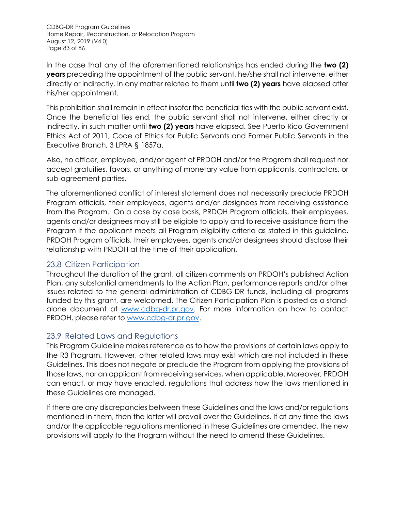CDBG-DR Program Guidelines Home Repair, Reconstruction, or Relocation Program August 12, 2019 (V4.0) Page 83 of 86

In the case that any of the aforementioned relationships has ended during the **two (2) years** preceding the appointment of the public servant, he/she shall not intervene, either directly or indirectly, in any matter related to them until **two (2) years** have elapsed after his/her appointment.

This prohibition shall remain in effect insofar the beneficial ties with the public servant exist. Once the beneficial ties end, the public servant shall not intervene, either directly or indirectly, in such matter until **two (2) years** have elapsed. See Puerto Rico Government Ethics Act of 2011, Code of Ethics for Public Servants and Former Public Servants in the Executive Branch, 3 LPRA § 1857a.

Also, no officer, employee, and/or agent of PRDOH and/or the Program shall request nor accept gratuities, favors, or anything of monetary value from applicants, contractors, or sub-agreement parties.

The aforementioned conflict of interest statement does not necessarily preclude PRDOH Program officials, their employees, agents and/or designees from receiving assistance from the Program. On a case by case basis, PRDOH Program officials, their employees, agents and/or designees may still be eligible to apply and to receive assistance from the Program if the applicant meets all Program eligibility criteria as stated in this guideline. PRDOH Program officials, their employees, agents and/or designees should disclose their relationship with PRDOH at the time of their application.

### 23.8 Citizen Participation

Throughout the duration of the grant, all citizen comments on PRDOH's published Action Plan, any substantial amendments to the Action Plan, performance reports and/or other issues related to the general administration of CDBG-DR funds, including all programs funded by this grant, are welcomed. The Citizen Participation Plan is posted as a standalone document at [www.cdbg-dr.pr.gov.](http://www.cdbg-dr.pr.gov/) For more information on how to contact PRDOH, please refer to [www.cdbg-dr.pr.gov.](http://www.cdbg-dr.pr.gov/)

#### 23.9 Related Laws and Regulations

This Program Guideline makes reference as to how the provisions of certain laws apply to the R3 Program. However, other related laws may exist which are not included in these Guidelines. This does not negate or preclude the Program from applying the provisions of those laws, nor an applicant from receiving services, when applicable. Moreover, PRDOH can enact, or may have enacted, regulations that address how the laws mentioned in these Guidelines are managed.

If there are any discrepancies between these Guidelines and the laws and/or regulations mentioned in them, then the latter will prevail over the Guidelines. If at any time the laws and/or the applicable regulations mentioned in these Guidelines are amended, the new provisions will apply to the Program without the need to amend these Guidelines.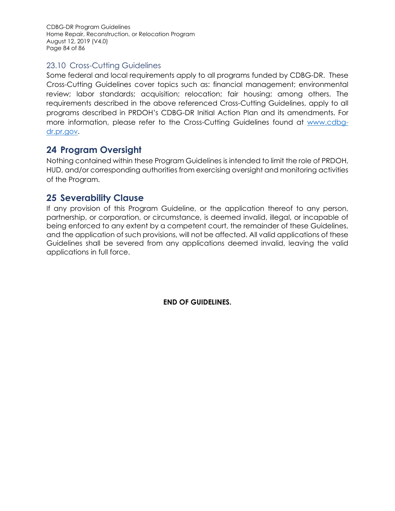CDBG-DR Program Guidelines Home Repair, Reconstruction, or Relocation Program August 12, 2019 (V4.0) Page 84 of 86

### 23.10 Cross-Cutting Guidelines

Some federal and local requirements apply to all programs funded by CDBG-DR. These Cross-Cutting Guidelines cover topics such as: financial management; environmental review; labor standards; acquisition; relocation; fair housing; among others. The requirements described in the above referenced Cross-Cutting Guidelines, apply to all programs described in PRDOH's CDBG-DR Initial Action Plan and its amendments. For more information, please refer to the Cross-Cutting Guidelines found at [www.cdbg](http://www.cdbg-dr.pr.gov/)[dr.pr.gov.](http://www.cdbg-dr.pr.gov/)

## **24 Program Oversight**

Nothing contained within these Program Guidelines is intended to limit the role of PRDOH, HUD, and/or corresponding authorities from exercising oversight and monitoring activities of the Program.

## **25 Severability Clause**

If any provision of this Program Guideline, or the application thereof to any person, partnership, or corporation, or circumstance, is deemed invalid, illegal, or incapable of being enforced to any extent by a competent court, the remainder of these Guidelines, and the application of such provisions, will not be affected. All valid applications of these Guidelines shall be severed from any applications deemed invalid, leaving the valid applications in full force.

**END OF GUIDELINES.**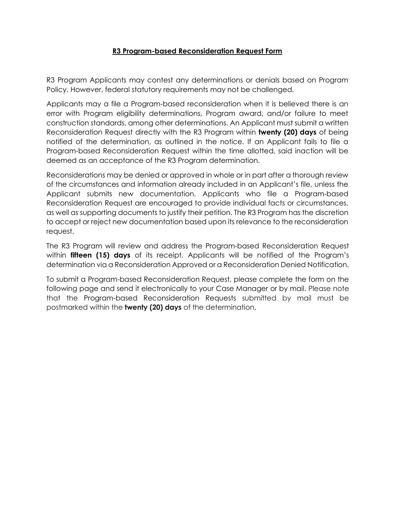#### **R3 Program-based Reconsideration Request Form**

R3 Program Applicants may contest any determinations or denials based on Program Policy. However, federal statutory requirements may not be challenged.

Applicants may a file a Program-based reconsideration when it is believed there is an error with Program eligibility determinations, Program award, and/or failure to meet construction standards, among other determinations. An Applicant must submit a written Reconsideration Request directly with the R3 Program within **twenty (20) days** of being notified of the determination, as outlined in the notice. If an Applicant fails to file a Program-based Reconsideration Request within the time allotted, said inaction will be deemed as an acceptance of the R3 Program determination.

Reconsiderations may be denied or approved in whole or in part after a thorough review of the circumstances and information already included in an Applicant's file, unless the Applicant submits new documentation. Applicants who file a Program-based Reconsideration Request are encouraged to provide individual facts or circumstances, as well as supporting documents to justify their petition. The R3 Program has the discretion to accept or reject new documentation based upon its relevance to the reconsideration request.

The R3 Program will review and address the Program-based Reconsideration Request within **fifteen (15) days** of its receipt. Applicants will be notified of the Program's determination via a Reconsideration Approved or a Reconsideration Denied Notification.

To submit a Program-based Reconsideration Request, please complete the form on the following page and send it electronically to your Case Manager or by mail. Please note that the Program-based Reconsideration Requests submitted by mail must be postmarked within the **twenty (20) days** of the determination.